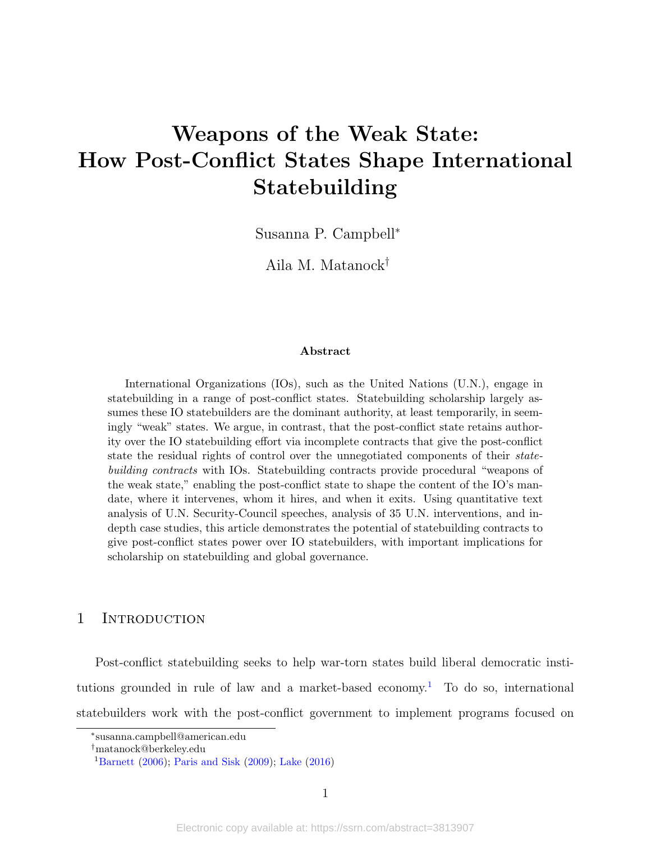# <span id="page-0-1"></span>Weapons of the Weak State: How Post-Conflict States Shape International Statebuilding

Susanna P. Campbell<sup>∗</sup>

Aila M. Matanock†

#### Abstract

International Organizations (IOs), such as the United Nations (U.N.), engage in statebuilding in a range of post-conflict states. Statebuilding scholarship largely assumes these IO statebuilders are the dominant authority, at least temporarily, in seemingly "weak" states. We argue, in contrast, that the post-conflict state retains authority over the IO statebuilding effort via incomplete contracts that give the post-conflict state the residual rights of control over the unnegotiated components of their statebuilding contracts with IOs. Statebuilding contracts provide procedural "weapons of the weak state," enabling the post-conflict state to shape the content of the IO's mandate, where it intervenes, whom it hires, and when it exits. Using quantitative text analysis of U.N. Security-Council speeches, analysis of 35 U.N. interventions, and indepth case studies, this article demonstrates the potential of statebuilding contracts to give post-conflict states power over IO statebuilders, with important implications for scholarship on statebuilding and global governance.

#### 1 INTRODUCTION

Post-conflict statebuilding seeks to help war-torn states build liberal democratic insti-tutions grounded in rule of law and a market-based economy.<sup>[1](#page-0-0)</sup> To do so, international statebuilders work with the post-conflict government to implement programs focused on

<sup>∗</sup> susanna.campbell@american.edu

<sup>†</sup>matanock@berkeley.edu

<span id="page-0-0"></span><sup>&</sup>lt;sup>1</sup>[Barnett](#page-39-0) [\(2006\)](#page-39-0); [Paris and Sisk](#page-48-0) [\(2009\)](#page-48-0); [Lake](#page-45-0) [\(2016\)](#page-45-0)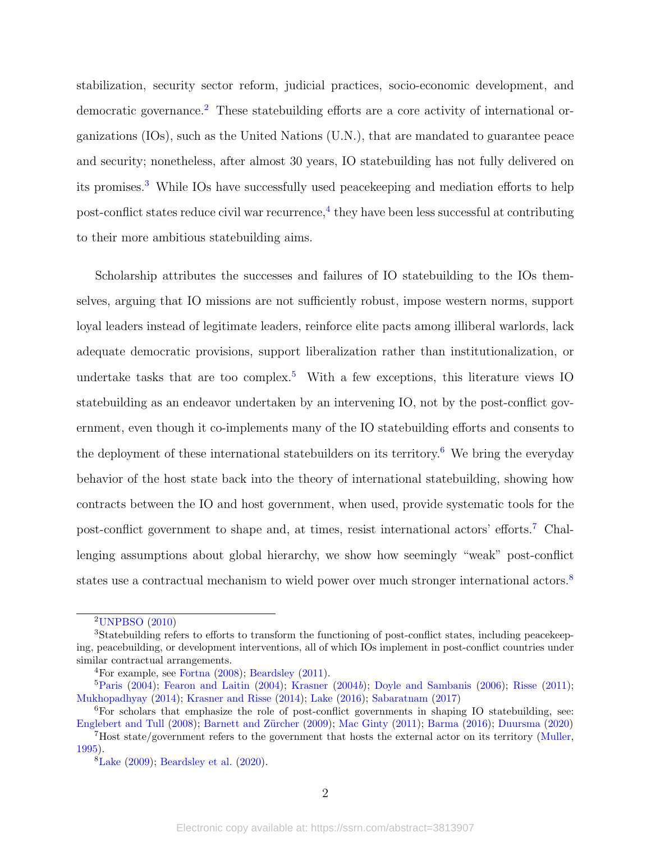stabilization, security sector reform, judicial practices, socio-economic development, and democratic governance.<sup>[2](#page-1-0)</sup> These statebuilding efforts are a core activity of international organizations (IOs), such as the United Nations (U.N.), that are mandated to guarantee peace and security; nonetheless, after almost 30 years, IO statebuilding has not fully delivered on its promises.<sup>[3](#page-1-1)</sup> While IOs have successfully used peacekeeping and mediation efforts to help  $\text{post-conflict states reduce civil war recurrence}, \text{4 they have been less successful at contributing}$  $\text{post-conflict states reduce civil war recurrence}, \text{4 they have been less successful at contributing}$  $\text{post-conflict states reduce civil war recurrence}, \text{4 they have been less successful at contributing}$ to their more ambitious statebuilding aims.

Scholarship attributes the successes and failures of IO statebuilding to the IOs themselves, arguing that IO missions are not sufficiently robust, impose western norms, support loyal leaders instead of legitimate leaders, reinforce elite pacts among illiberal warlords, lack adequate democratic provisions, support liberalization rather than institutionalization, or undertake tasks that are too complex.<sup>[5](#page-1-3)</sup> With a few exceptions, this literature views IO statebuilding as an endeavor undertaken by an intervening IO, not by the post-conflict government, even though it co-implements many of the IO statebuilding efforts and consents to the deployment of these international statebuilders on its territory.<sup>[6](#page-1-4)</sup> We bring the everyday behavior of the host state back into the theory of international statebuilding, showing how contracts between the IO and host government, when used, provide systematic tools for the post-conflict government to shape and, at times, resist international actors' efforts.[7](#page-1-5) Challenging assumptions about global hierarchy, we show how seemingly "weak" post-conflict states use a contractual mechanism to wield power over much stronger international actors.<sup>[8](#page-1-6)</sup>

<span id="page-1-1"></span><span id="page-1-0"></span><sup>2</sup>[UNPBSO](#page-50-0) [\(2010\)](#page-50-0)

<sup>3</sup>Statebuilding refers to efforts to transform the functioning of post-conflict states, including peacekeeping, peacebuilding, or development interventions, all of which IOs implement in post-conflict countries under similar contractual arrangements.

<span id="page-1-3"></span><span id="page-1-2"></span> ${}^{4}$ For example, see [Fortna](#page-42-0) [\(2008\)](#page-42-0); [Beardsley](#page-39-1) [\(2011\)](#page-39-1).

<sup>&</sup>lt;sup>5</sup>[Paris](#page-48-1) [\(2004\)](#page-42-1); [Fearon and Laitin](#page-42-1) (2004); [Krasner](#page-45-1) [\(2004](#page-45-1)b); [Doyle and Sambanis](#page-42-2) [\(2006\)](#page-42-2); [Risse](#page-49-0) [\(2011\)](#page-49-0); [Mukhopadhyay](#page-47-0) [\(2014\)](#page-47-0); [Krasner and Risse](#page-45-2) [\(2014\)](#page-45-2); [Lake](#page-45-0) [\(2016\)](#page-45-0); [Sabaratnam](#page-49-1) [\(2017\)](#page-49-1)

<span id="page-1-4"></span><sup>6</sup>For scholars that emphasize the role of post-conflict governments in shaping IO statebuilding, see: [Englebert and Tull](#page-42-3) [\(2008\)](#page-42-3); Barnett and Zürcher [\(2009\)](#page-39-2); [Mac Ginty](#page-46-0) [\(2011\)](#page-46-0); [Barma](#page-39-3) [\(2016\)](#page-39-3); [Duursma](#page-42-4) [\(2020\)](#page-42-4)

<span id="page-1-5"></span><sup>7</sup>Host state/government refers to the government that hosts the external actor on its territory [\(Muller,](#page-47-1) [1995\)](#page-47-1).

<span id="page-1-6"></span> ${}^{8}$ [Lake](#page-45-3) [\(2009\)](#page-45-3); [Beardsley et al.](#page-39-4) [\(2020\)](#page-39-4).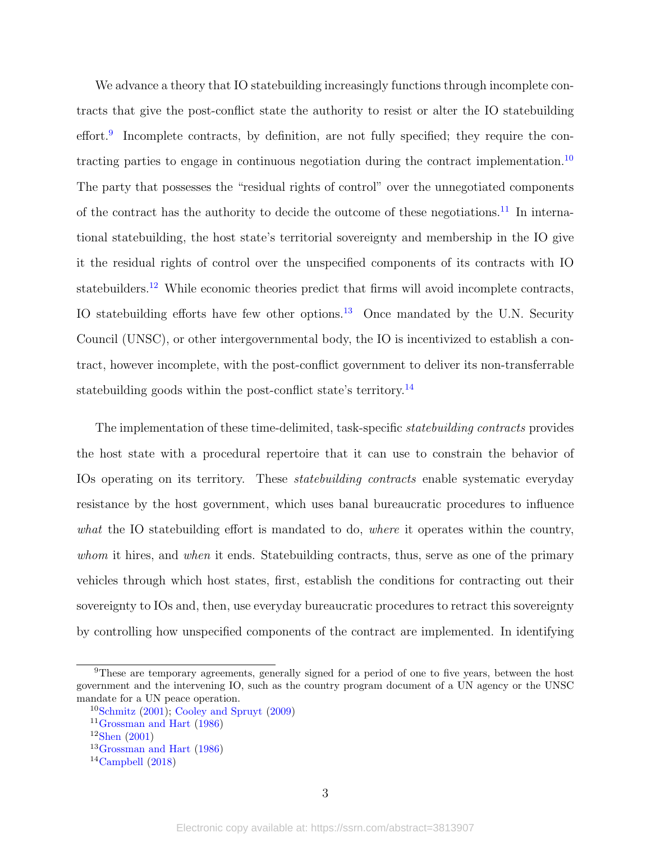We advance a theory that IO statebuilding increasingly functions through incomplete contracts that give the post-conflict state the authority to resist or alter the IO statebuilding effort.<sup>[9](#page-2-0)</sup> Incomplete contracts, by definition, are not fully specified; they require the contracting parties to engage in continuous negotiation during the contract implementation.[10](#page-2-1) The party that possesses the "residual rights of control" over the unnegotiated components of the contract has the authority to decide the outcome of these negotiations.<sup>[11](#page-2-2)</sup> In international statebuilding, the host state's territorial sovereignty and membership in the IO give it the residual rights of control over the unspecified components of its contracts with IO statebuilders.<sup>[12](#page-2-3)</sup> While economic theories predict that firms will avoid incomplete contracts, IO statebuilding efforts have few other options. $13$  Once mandated by the U.N. Security Council (UNSC), or other intergovernmental body, the IO is incentivized to establish a contract, however incomplete, with the post-conflict government to deliver its non-transferrable statebuilding goods within the post-conflict state's territory.<sup>[14](#page-2-5)</sup>

The implementation of these time-delimited, task-specific *statebuilding contracts* provides the host state with a procedural repertoire that it can use to constrain the behavior of IOs operating on its territory. These *statebuilding contracts* enable systematic everyday resistance by the host government, which uses banal bureaucratic procedures to influence what the IO statebuilding effort is mandated to do, where it operates within the country, whom it hires, and when it ends. Statebuilding contracts, thus, serve as one of the primary vehicles through which host states, first, establish the conditions for contracting out their sovereignty to IOs and, then, use everyday bureaucratic procedures to retract this sovereignty by controlling how unspecified components of the contract are implemented. In identifying

<span id="page-2-0"></span><sup>&</sup>lt;sup>9</sup>These are temporary agreements, generally signed for a period of one to five years, between the host government and the intervening IO, such as the country program document of a UN agency or the UNSC mandate for a UN peace operation.

<span id="page-2-1"></span> $10$ [Schmitz](#page-49-2) [\(2001\)](#page-49-2); [Cooley and Spruyt](#page-41-0) [\(2009\)](#page-41-0)

<span id="page-2-2"></span> $11$ [Grossman and Hart](#page-43-0) [\(1986\)](#page-43-0)

<span id="page-2-3"></span> $12$ [Shen](#page-50-1) [\(2001\)](#page-50-1)

<span id="page-2-4"></span><sup>13</sup>[Grossman and Hart](#page-43-0) [\(1986\)](#page-43-0)

<span id="page-2-5"></span> $14$ [Campbell](#page-40-0) [\(2018\)](#page-40-0)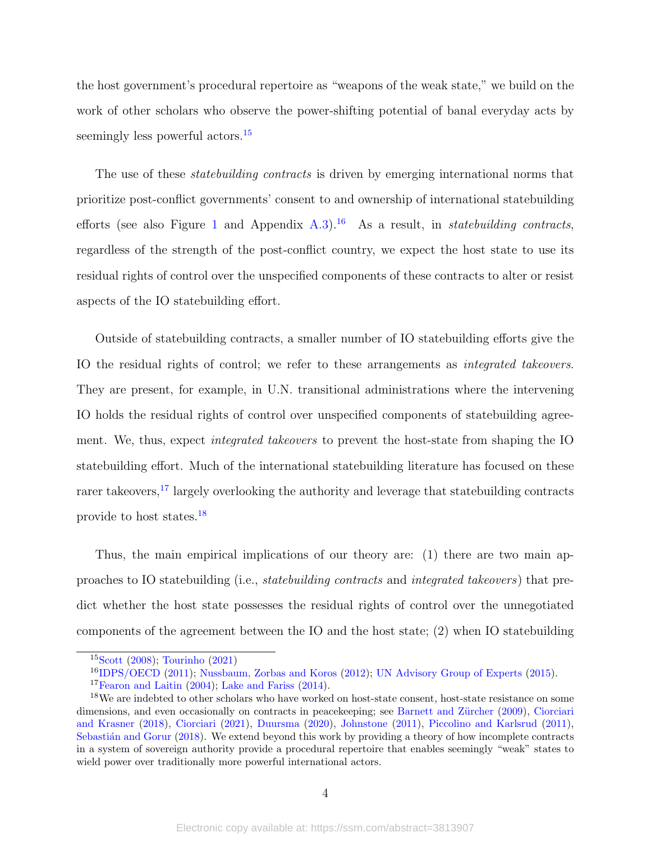the host government's procedural repertoire as "weapons of the weak state," we build on the work of other scholars who observe the power-shifting potential of banal everyday acts by seemingly less powerful actors.<sup>[15](#page-3-0)</sup>

The use of these *statebuilding contracts* is driven by emerging international norms that prioritize post-conflict governments' consent to and ownership of international statebuilding efforts (see also Figure [1](#page-10-0) and Appendix [A.3\)](#page-55-0).<sup>[16](#page-3-1)</sup> As a result, in *statebuilding contracts*, regardless of the strength of the post-conflict country, we expect the host state to use its residual rights of control over the unspecified components of these contracts to alter or resist aspects of the IO statebuilding effort.

Outside of statebuilding contracts, a smaller number of IO statebuilding efforts give the IO the residual rights of control; we refer to these arrangements as integrated takeovers. They are present, for example, in U.N. transitional administrations where the intervening IO holds the residual rights of control over unspecified components of statebuilding agreement. We, thus, expect integrated takeovers to prevent the host-state from shaping the IO statebuilding effort. Much of the international statebuilding literature has focused on these rarer takeovers,<sup>[17](#page-3-2)</sup> largely overlooking the authority and leverage that statebuilding contracts provide to host states.[18](#page-3-3)

Thus, the main empirical implications of our theory are: (1) there are two main approaches to IO statebuilding (i.e., statebuilding contracts and integrated takeovers) that predict whether the host state possesses the residual rights of control over the unnegotiated components of the agreement between the IO and the host state; (2) when IO statebuilding

<span id="page-3-0"></span><sup>15</sup>[Scott](#page-49-3) [\(2008\)](#page-49-3); [Tourinho](#page-50-2) [\(2021\)](#page-50-2)

<span id="page-3-1"></span><sup>16</sup>[IDPS/OECD](#page-44-0) [\(2011\)](#page-44-0); [Nussbaum, Zorbas and Koros](#page-47-2) [\(2012\)](#page-47-2); [UN Advisory Group of Experts](#page-50-3) [\(2015\)](#page-50-3).

<span id="page-3-3"></span><span id="page-3-2"></span><sup>&</sup>lt;sup>17</sup>[Fearon and Laitin](#page-42-1)  $(2004)$ ; [Lake and Fariss](#page-46-1)  $(2014)$ .

<sup>&</sup>lt;sup>18</sup>We are indebted to other scholars who have worked on host-state consent, host-state resistance on some dimensions, and even occasionally on contracts in peacekeeping; see Barnett and Zürcher [\(2009\)](#page-39-2), [Ciorciari](#page-41-1) [and Krasner](#page-41-1) [\(2018\)](#page-41-1), [Ciorciari](#page-41-2) [\(2021\)](#page-41-2), [Duursma](#page-42-4) [\(2020\)](#page-42-4), [Johnstone](#page-45-4) [\(2011\)](#page-45-4), [Piccolino and Karlsrud](#page-48-2) [\(2011\)](#page-48-2), Sebastián and Gorur [\(2018\)](#page-49-4). We extend beyond this work by providing a theory of how incomplete contracts in a system of sovereign authority provide a procedural repertoire that enables seemingly "weak" states to wield power over traditionally more powerful international actors.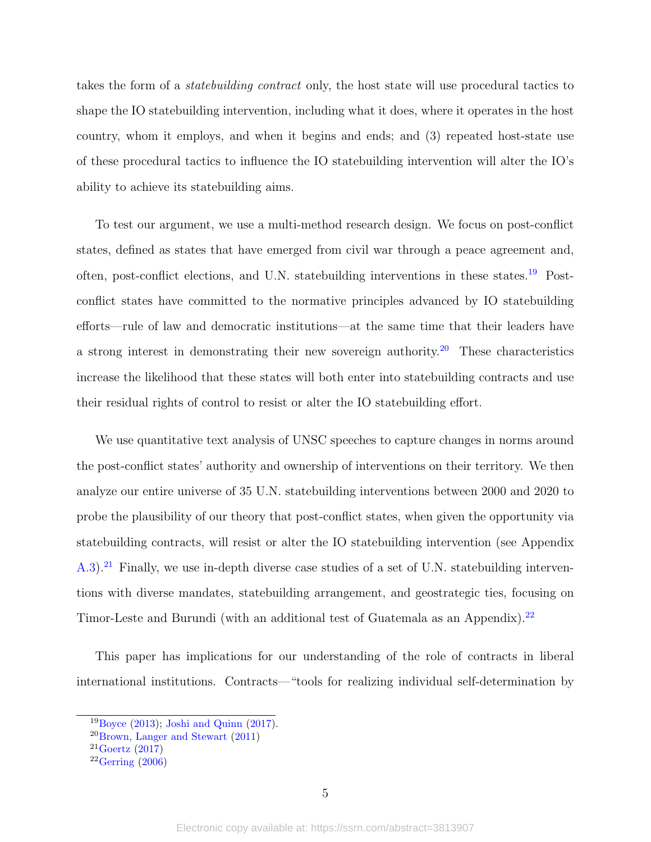takes the form of a statebuilding contract only, the host state will use procedural tactics to shape the IO statebuilding intervention, including what it does, where it operates in the host country, whom it employs, and when it begins and ends; and (3) repeated host-state use of these procedural tactics to influence the IO statebuilding intervention will alter the IO's ability to achieve its statebuilding aims.

To test our argument, we use a multi-method research design. We focus on post-conflict states, defined as states that have emerged from civil war through a peace agreement and, often, post-conflict elections, and U.N. statebuilding interventions in these states.[19](#page-4-0) Postconflict states have committed to the normative principles advanced by IO statebuilding efforts—rule of law and democratic institutions—at the same time that their leaders have a strong interest in demonstrating their new sovereign authority.<sup>[20](#page-4-1)</sup> These characteristics increase the likelihood that these states will both enter into statebuilding contracts and use their residual rights of control to resist or alter the IO statebuilding effort.

We use quantitative text analysis of UNSC speeches to capture changes in norms around the post-conflict states' authority and ownership of interventions on their territory. We then analyze our entire universe of 35 U.N. statebuilding interventions between 2000 and 2020 to probe the plausibility of our theory that post-conflict states, when given the opportunity via statebuilding contracts, will resist or alter the IO statebuilding intervention (see Appendix [A.3\)](#page-55-0).<sup>[21](#page-4-2)</sup> Finally, we use in-depth diverse case studies of a set of U.N. statebuilding interventions with diverse mandates, statebuilding arrangement, and geostrategic ties, focusing on Timor-Leste and Burundi (with an additional test of Guatemala as an Appendix).<sup>[22](#page-4-3)</sup>

This paper has implications for our understanding of the role of contracts in liberal international institutions. Contracts—"tools for realizing individual self-determination by

<span id="page-4-0"></span> $19Boyce$  $19Boyce$  [\(2013\)](#page-40-1); [Joshi and Quinn](#page-45-5) [\(2017\)](#page-45-5).

<span id="page-4-1"></span><sup>20</sup>[Brown, Langer and Stewart](#page-40-2) [\(2011\)](#page-40-2)

<span id="page-4-2"></span> $21$ [Goertz](#page-43-1) [\(2017\)](#page-43-1)

<span id="page-4-3"></span> $22Gerring (2006)$  $22Gerring (2006)$  $22Gerring (2006)$  $22Gerring (2006)$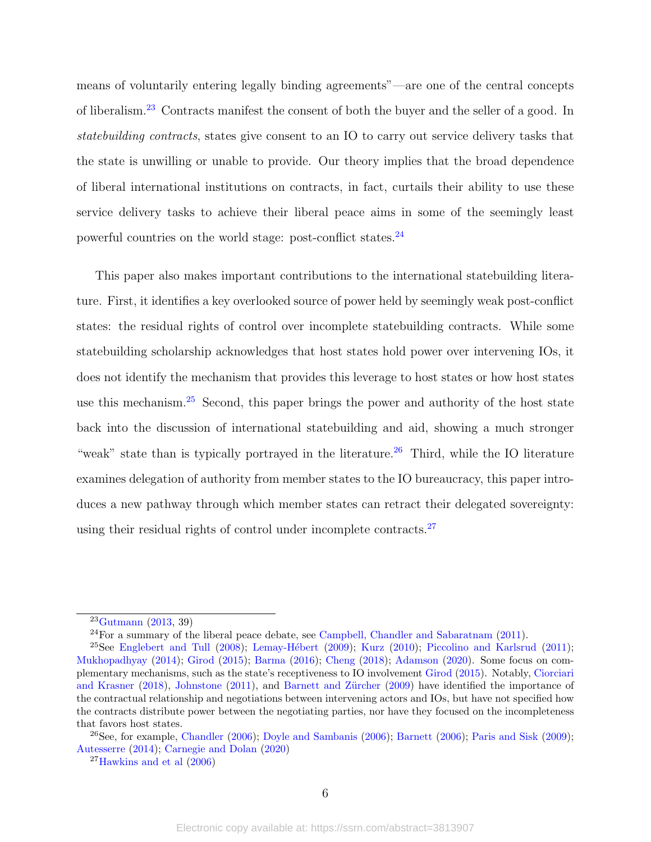means of voluntarily entering legally binding agreements"—are one of the central concepts of liberalism.[23](#page-5-0) Contracts manifest the consent of both the buyer and the seller of a good. In statebuilding contracts, states give consent to an IO to carry out service delivery tasks that the state is unwilling or unable to provide. Our theory implies that the broad dependence of liberal international institutions on contracts, in fact, curtails their ability to use these service delivery tasks to achieve their liberal peace aims in some of the seemingly least powerful countries on the world stage: post-conflict states.[24](#page-5-1)

This paper also makes important contributions to the international statebuilding literature. First, it identifies a key overlooked source of power held by seemingly weak post-conflict states: the residual rights of control over incomplete statebuilding contracts. While some statebuilding scholarship acknowledges that host states hold power over intervening IOs, it does not identify the mechanism that provides this leverage to host states or how host states use this mechanism.<sup>[25](#page-5-2)</sup> Second, this paper brings the power and authority of the host state back into the discussion of international statebuilding and aid, showing a much stronger "weak" state than is typically portrayed in the literature.<sup>[26](#page-5-3)</sup> Third, while the IO literature examines delegation of authority from member states to the IO bureaucracy, this paper introduces a new pathway through which member states can retract their delegated sovereignty: using their residual rights of control under incomplete contracts. $27$ 

<span id="page-5-0"></span> $23Gutmann$  $23Gutmann$  [\(2013,](#page-43-2) 39)

<span id="page-5-2"></span><span id="page-5-1"></span> $24$  For a summary of the liberal peace debate, see [Campbell, Chandler and Sabaratnam](#page-40-3) [\(2011\)](#page-40-3).

<sup>&</sup>lt;sup>25</sup>See [Englebert and Tull](#page-42-3) [\(2008\)](#page-42-3); Lemay-Hébert [\(2009\)](#page-46-2); [Kurz](#page-45-6) [\(2010\)](#page-45-6); [Piccolino and Karlsrud](#page-48-2) [\(2011\)](#page-48-2); [Mukhopadhyay](#page-47-0) [\(2014\)](#page-47-0); [Girod](#page-43-3) [\(2015\)](#page-43-3); [Barma](#page-39-3) [\(2016\)](#page-39-3); [Cheng](#page-41-3) [\(2018\)](#page-41-3); [Adamson](#page-39-5) [\(2020\)](#page-39-5). Some focus on complementary mechanisms, such as the state's receptiveness to IO involvement [Girod](#page-43-3) [\(2015\)](#page-43-3). Notably, [Ciorciari](#page-41-1) [and Krasner](#page-41-1) [\(2018\)](#page-41-1), [Johnstone](#page-45-4) [\(2011\)](#page-45-4), and Barnett and Zürcher [\(2009\)](#page-39-2) have identified the importance of the contractual relationship and negotiations between intervening actors and IOs, but have not specified how the contracts distribute power between the negotiating parties, nor have they focused on the incompleteness that favors host states.

<span id="page-5-3"></span> $26$ See, for example, [Chandler](#page-41-4) [\(2006\)](#page-39-0); [Doyle and Sambanis](#page-42-2) (2006); [Barnett](#page-39-0) (2006); [Paris and Sisk](#page-48-0) [\(2009\)](#page-48-0); [Autesserre](#page-39-6) [\(2014\)](#page-39-6); [Carnegie and Dolan](#page-40-4) [\(2020\)](#page-40-4)

<span id="page-5-4"></span> $27$ [Hawkins and et al](#page-43-4)  $(2006)$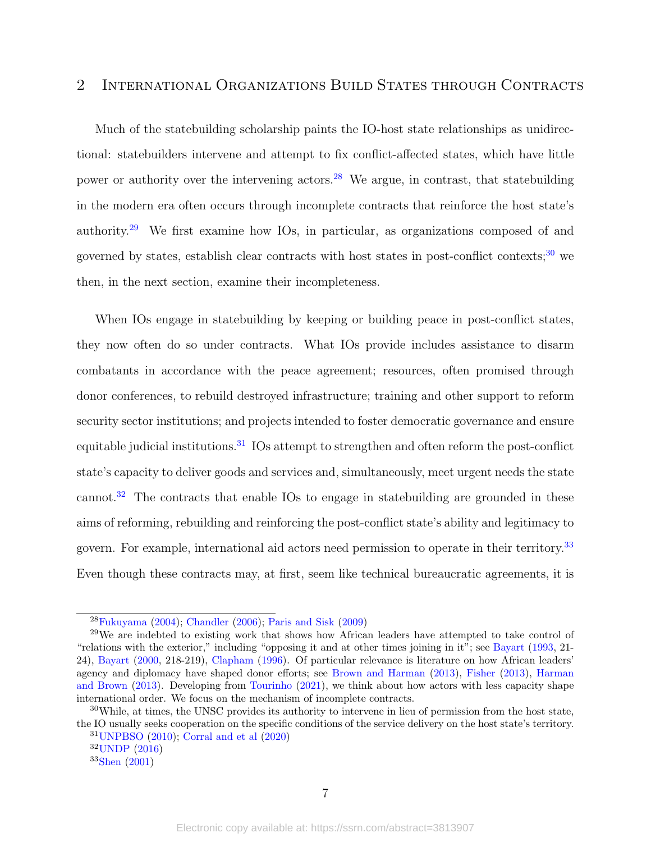# 2 International Organizations Build States through Contracts

Much of the statebuilding scholarship paints the IO-host state relationships as unidirectional: statebuilders intervene and attempt to fix conflict-affected states, which have little power or authority over the intervening actors.<sup>[28](#page-6-0)</sup> We argue, in contrast, that statebuilding in the modern era often occurs through incomplete contracts that reinforce the host state's authority.[29](#page-6-1) We first examine how IOs, in particular, as organizations composed of and governed by states, establish clear contracts with host states in post-conflict contexts; $30$  we then, in the next section, examine their incompleteness.

When IOs engage in statebuilding by keeping or building peace in post-conflict states, they now often do so under contracts. What IOs provide includes assistance to disarm combatants in accordance with the peace agreement; resources, often promised through donor conferences, to rebuild destroyed infrastructure; training and other support to reform security sector institutions; and projects intended to foster democratic governance and ensure equitable judicial institutions.<sup>[31](#page-6-3)</sup> IOs attempt to strengthen and often reform the post-conflict state's capacity to deliver goods and services and, simultaneously, meet urgent needs the state cannot.<sup>[32](#page-6-4)</sup> The contracts that enable IOs to engage in statebuilding are grounded in these aims of reforming, rebuilding and reinforcing the post-conflict state's ability and legitimacy to govern. For example, international aid actors need permission to operate in their territory.[33](#page-6-5) Even though these contracts may, at first, seem like technical bureaucratic agreements, it is

<span id="page-6-1"></span><span id="page-6-0"></span><sup>28</sup>[Fukuyama](#page-42-6) [\(2004\)](#page-42-6); [Chandler](#page-41-4) [\(2006\)](#page-41-4); [Paris and Sisk](#page-48-0) [\(2009\)](#page-48-0)

<sup>&</sup>lt;sup>29</sup>We are indebted to existing work that shows how African leaders have attempted to take control of "relations with the exterior," including "opposing it and at other times joining in it"; see [Bayart](#page-39-7) [\(1993,](#page-39-7) 21- 24), [Bayart](#page-39-8) [\(2000,](#page-39-8) 218-219), [Clapham](#page-41-5) [\(1996\)](#page-41-5). Of particular relevance is literature on how African leaders' agency and diplomacy have shaped donor efforts; see [Brown and Harman](#page-40-5) [\(2013\)](#page-40-5), [Fisher](#page-42-7) [\(2013\)](#page-42-7), [Harman](#page-43-5) [and Brown](#page-43-5) [\(2013\)](#page-43-5). Developing from [Tourinho](#page-50-2) [\(2021\)](#page-50-2), we think about how actors with less capacity shape international order. We focus on the mechanism of incomplete contracts.

<span id="page-6-2"></span> $30$ While, at times, the UNSC provides its authority to intervene in lieu of permission from the host state, the IO usually seeks cooperation on the specific conditions of the service delivery on the host state's territory. <sup>31</sup>[UNPBSO](#page-50-0) [\(2010\)](#page-50-0); [Corral and et al](#page-41-6) [\(2020\)](#page-41-6)

<span id="page-6-4"></span><span id="page-6-3"></span> $32$ [UNDP](#page-50-4)  $(2016)$ 

<span id="page-6-5"></span><sup>33</sup>[Shen](#page-50-1) [\(2001\)](#page-50-1)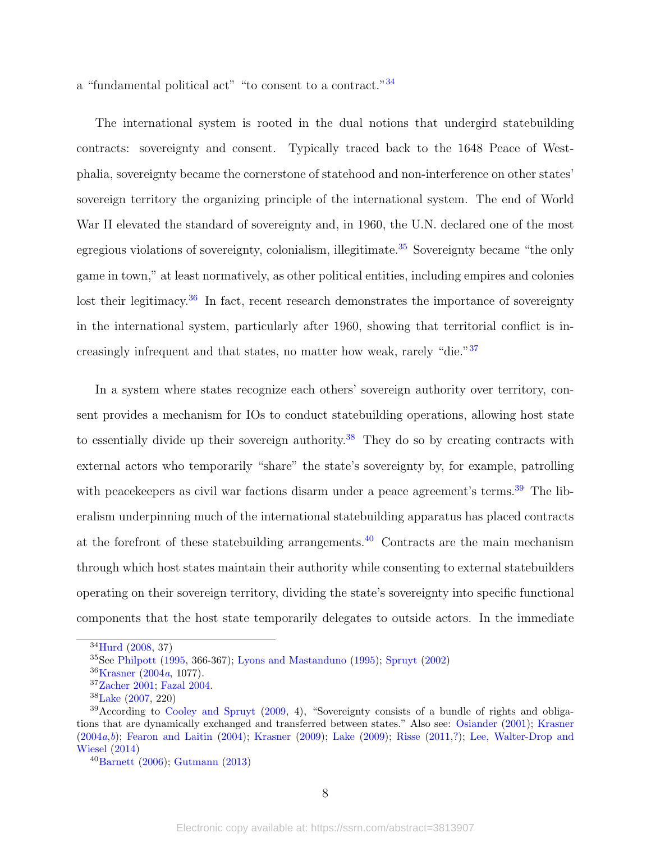a "fundamental political act" "to consent to a contract."[34](#page-7-0)

The international system is rooted in the dual notions that undergird statebuilding contracts: sovereignty and consent. Typically traced back to the 1648 Peace of Westphalia, sovereignty became the cornerstone of statehood and non-interference on other states' sovereign territory the organizing principle of the international system. The end of World War II elevated the standard of sovereignty and, in 1960, the U.N. declared one of the most egregious violations of sovereignty, colonialism, illegitimate.<sup>[35](#page-7-1)</sup> Sovereignty became "the only game in town," at least normatively, as other political entities, including empires and colonies lost their legitimacy.<sup>[36](#page-7-2)</sup> In fact, recent research demonstrates the importance of sovereignty in the international system, particularly after 1960, showing that territorial conflict is increasingly infrequent and that states, no matter how weak, rarely "die."[37](#page-7-3)

In a system where states recognize each others' sovereign authority over territory, consent provides a mechanism for IOs to conduct statebuilding operations, allowing host state to essentially divide up their sovereign authority.<sup>[38](#page-7-4)</sup> They do so by creating contracts with external actors who temporarily "share" the state's sovereignty by, for example, patrolling with peacekeepers as civil war factions disarm under a peace agreement's terms.<sup>[39](#page-7-5)</sup> The liberalism underpinning much of the international statebuilding apparatus has placed contracts at the forefront of these statebuilding arrangements.<sup>[40](#page-7-6)</sup> Contracts are the main mechanism through which host states maintain their authority while consenting to external statebuilders operating on their sovereign territory, dividing the state's sovereignty into specific functional components that the host state temporarily delegates to outside actors. In the immediate

<span id="page-7-0"></span><sup>34</sup>[Hurd](#page-44-1) [\(2008,](#page-44-1) 37)

<span id="page-7-1"></span> $35$ See [Philpott](#page-48-3) [\(1995,](#page-48-3) 366-367); [Lyons and Mastanduno](#page-46-3) [\(1995\)](#page-46-3); [Spruyt](#page-50-5) [\(2002\)](#page-50-5)

<span id="page-7-2"></span><sup>36</sup>[Krasner](#page-45-7) [\(2004](#page-45-7)a, 1077).

<span id="page-7-3"></span><sup>37</sup>[Zacher](#page-51-0) [2001;](#page-51-0) [Fazal](#page-42-8) [2004.](#page-42-8)

<span id="page-7-5"></span><span id="page-7-4"></span><sup>38</sup>[Lake](#page-45-8) [\(2007,](#page-45-8) 220)

<sup>39</sup>According to [Cooley and Spruyt](#page-41-0) [\(2009,](#page-41-0) 4), "Sovereignty consists of a bundle of rights and obligations that are dynamically exchanged and transferred between states." Also see: [Osiander](#page-48-4) [\(2001\)](#page-48-4); [Krasner](#page-45-7)  $(2004a,b);$  $(2004a,b);$  $(2004a,b);$  $(2004a,b);$  [Fearon and Laitin](#page-42-1)  $(2004);$  $(2004);$  [Krasner](#page-45-9)  $(2009);$  $(2009);$  [Lake](#page-45-3)  $(2009);$  [Risse](#page-49-0)  $(2011,?)$ ; [Lee, Walter-Drop and](#page-46-4) [Wiesel](#page-46-4) [\(2014\)](#page-46-4)

<span id="page-7-6"></span><sup>40</sup>[Barnett](#page-39-0) [\(2006\)](#page-39-0); [Gutmann](#page-43-2) [\(2013\)](#page-43-2)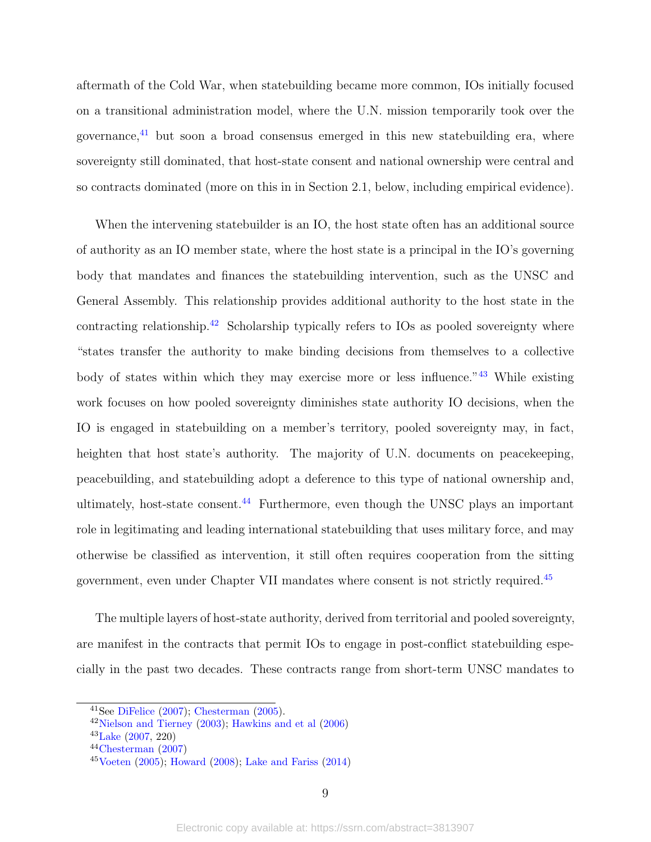aftermath of the Cold War, when statebuilding became more common, IOs initially focused on a transitional administration model, where the U.N. mission temporarily took over the governance,[41](#page-8-0) but soon a broad consensus emerged in this new statebuilding era, where sovereignty still dominated, that host-state consent and national ownership were central and so contracts dominated (more on this in in Section 2.1, below, including empirical evidence).

When the intervening statebuilder is an IO, the host state often has an additional source of authority as an IO member state, where the host state is a principal in the IO's governing body that mandates and finances the statebuilding intervention, such as the UNSC and General Assembly. This relationship provides additional authority to the host state in the contracting relationship.<sup>[42](#page-8-1)</sup> Scholarship typically refers to IOs as pooled sovereignty where "states transfer the authority to make binding decisions from themselves to a collective body of states within which they may exercise more or less influence."[43](#page-8-2) While existing work focuses on how pooled sovereignty diminishes state authority IO decisions, when the IO is engaged in statebuilding on a member's territory, pooled sovereignty may, in fact, heighten that host state's authority. The majority of U.N. documents on peace keeping, peacebuilding, and statebuilding adopt a deference to this type of national ownership and, ultimately, host-state consent. $44$  Furthermore, even though the UNSC plays an important role in legitimating and leading international statebuilding that uses military force, and may otherwise be classified as intervention, it still often requires cooperation from the sitting government, even under Chapter VII mandates where consent is not strictly required.<sup>[45](#page-8-4)</sup>

The multiple layers of host-state authority, derived from territorial and pooled sovereignty, are manifest in the contracts that permit IOs to engage in post-conflict statebuilding especially in the past two decades. These contracts range from short-term UNSC mandates to

<span id="page-8-0"></span><sup>41</sup>See [DiFelice](#page-41-7) [\(2007\)](#page-41-7); [Chesterman](#page-41-8) [\(2005\)](#page-41-8).

<span id="page-8-1"></span><sup>42</sup>[Nielson and Tierney](#page-47-3) [\(2003\)](#page-47-3); [Hawkins and et al](#page-43-4) [\(2006\)](#page-43-4)

<span id="page-8-2"></span><sup>43</sup>[Lake](#page-45-8) [\(2007,](#page-45-8) 220)

<span id="page-8-3"></span><sup>44</sup>[Chesterman](#page-41-9) [\(2007\)](#page-41-9)

<span id="page-8-4"></span> $45$ [Voeten](#page-51-1) [\(2005\)](#page-51-1); [Howard](#page-44-2) [\(2008\)](#page-44-2); [Lake and Fariss](#page-46-1) [\(2014\)](#page-46-1)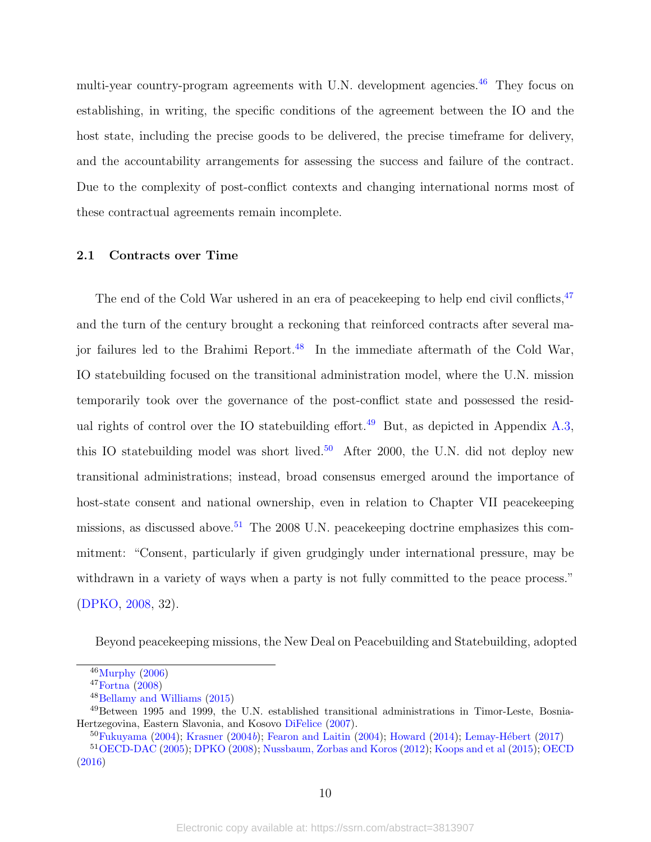multi-year country-program agreements with U.N. development agencies.<sup>[46](#page-9-0)</sup> They focus on establishing, in writing, the specific conditions of the agreement between the IO and the host state, including the precise goods to be delivered, the precise timeframe for delivery, and the accountability arrangements for assessing the success and failure of the contract. Due to the complexity of post-conflict contexts and changing international norms most of these contractual agreements remain incomplete.

#### 2.1 Contracts over Time

The end of the Cold War ushered in an era of peacekeeping to help end civil conflicts, <sup>[47](#page-9-1)</sup> and the turn of the century brought a reckoning that reinforced contracts after several major failures led to the Brahimi Report.[48](#page-9-2) In the immediate aftermath of the Cold War, IO statebuilding focused on the transitional administration model, where the U.N. mission temporarily took over the governance of the post-conflict state and possessed the resid-ual rights of control over the IO statebuilding effort.<sup>[49](#page-9-3)</sup> But, as depicted in Appendix [A.3,](#page-55-0) this IO statebuilding model was short lived.<sup>[50](#page-9-4)</sup> After 2000, the U.N. did not deploy new transitional administrations; instead, broad consensus emerged around the importance of host-state consent and national ownership, even in relation to Chapter VII peacekeeping missions, as discussed above.<sup>[51](#page-9-5)</sup> The 2008 U.N. peace keeping doctrine emphasizes this commitment: "Consent, particularly if given grudgingly under international pressure, may be withdrawn in a variety of ways when a party is not fully committed to the peace process." [\(DPKO,](#page-42-9) [2008,](#page-42-9) 32).

Beyond peacekeeping missions, the New Deal on Peacebuilding and Statebuilding, adopted

<span id="page-9-0"></span> $46$ [Murphy](#page-47-4)  $(2006)$ 

<span id="page-9-1"></span> $47$ [Fortna](#page-42-0)  $(2008)$ 

<span id="page-9-3"></span><span id="page-9-2"></span><sup>48</sup>[Bellamy and Williams](#page-40-6) [\(2015\)](#page-40-6)

<sup>49</sup>Between 1995 and 1999, the U.N. established transitional administrations in Timor-Leste, Bosnia-Hertzegovina, Eastern Slavonia, and Kosovo [DiFelice](#page-41-7) [\(2007\)](#page-41-7).

<span id="page-9-5"></span><span id="page-9-4"></span> $50$ [Fukuyama](#page-42-6) [\(2004\)](#page-42-1); [Krasner](#page-45-1) [\(2004](#page-45-1)b); [Fearon and Laitin](#page-42-1) (2004); [Howard](#page-44-3) [\(2014\)](#page-44-3); Lemay-Hébert [\(2017\)](#page-46-5)

<sup>51</sup>[OECD-DAC](#page-48-5) [\(2005\)](#page-48-5); [DPKO](#page-42-9) [\(2008\)](#page-42-9); [Nussbaum, Zorbas and Koros](#page-47-2) [\(2012\)](#page-47-2); [Koops and et al](#page-45-10) [\(2015\)](#page-45-10); [OECD](#page-47-5) [\(2016\)](#page-47-5)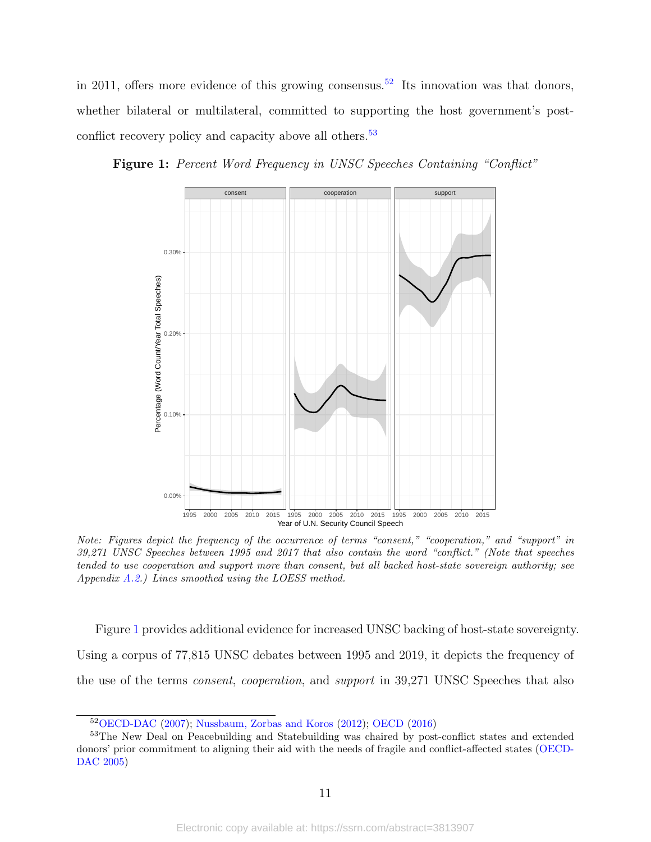in 2011, offers more evidence of this growing consensus.<sup>[52](#page-10-1)</sup> Its innovation was that donors, whether bilateral or multilateral, committed to supporting the host government's post-conflict recovery policy and capacity above all others.<sup>[53](#page-10-2)</sup>

<span id="page-10-0"></span>



Note: Figures depict the frequency of the occurrence of terms "consent," "cooperation," and "support" in 39,271 UNSC Speeches between 1995 and 2017 that also contain the word "conflict." (Note that speeches tended to use cooperation and support more than consent, but all backed host-state sovereign authority; see Appendix [A.2.](#page-53-0)) Lines smoothed using the LOESS method.

Figure [1](#page-10-0) provides additional evidence for increased UNSC backing of host-state sovereignty. Using a corpus of 77,815 UNSC debates between 1995 and 2019, it depicts the frequency of the use of the terms consent, cooperation, and support in 39,271 UNSC Speeches that also

<span id="page-10-2"></span><span id="page-10-1"></span><sup>52</sup>[OECD-DAC](#page-48-6) [\(2007\)](#page-48-6); [Nussbaum, Zorbas and Koros](#page-47-2) [\(2012\)](#page-47-2); [OECD](#page-47-5) [\(2016\)](#page-47-5)

<sup>53</sup>The New Deal on Peacebuilding and Statebuilding was chaired by post-conflict states and extended donors' prior commitment to aligning their aid with the needs of fragile and conflict-affected states [\(OECD-](#page-48-5)[DAC](#page-48-5) [2005\)](#page-48-5)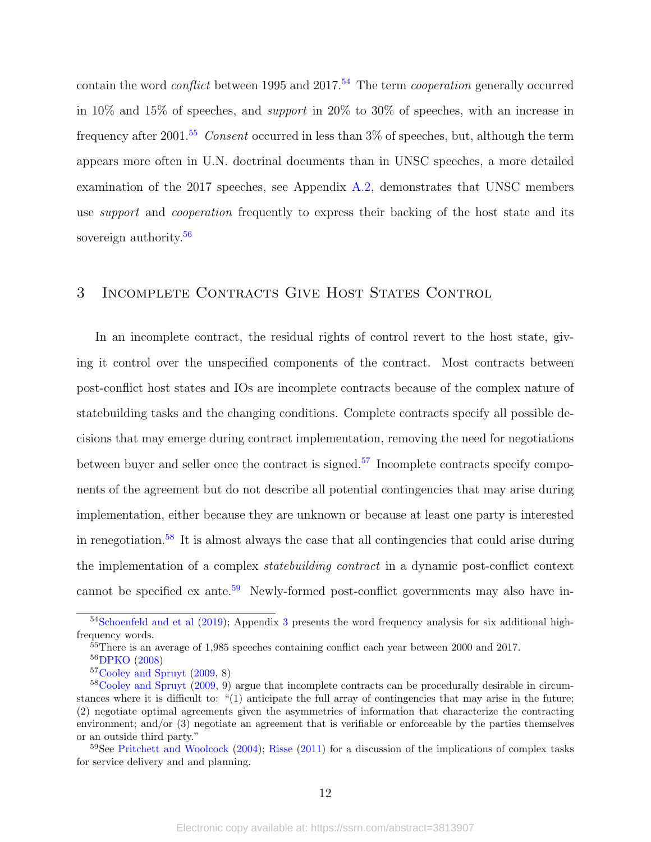contain the word *conflict* between 1995 and 2017.<sup>[54](#page-11-0)</sup> The term *cooperation* generally occurred in 10% and 15% of speeches, and support in 20% to 30% of speeches, with an increase in frequency after 2001.<sup>[55](#page-11-1)</sup> Consent occurred in less than  $3\%$  of speeches, but, although the term appears more often in U.N. doctrinal documents than in UNSC speeches, a more detailed examination of the 2017 speeches, see Appendix [A.2,](#page-53-0) demonstrates that UNSC members use *support* and *cooperation* frequently to express their backing of the host state and its sovereign authority.<sup>[56](#page-11-2)</sup>

# 3 Incomplete Contracts Give Host States Control

In an incomplete contract, the residual rights of control revert to the host state, giving it control over the unspecified components of the contract. Most contracts between post-conflict host states and IOs are incomplete contracts because of the complex nature of statebuilding tasks and the changing conditions. Complete contracts specify all possible decisions that may emerge during contract implementation, removing the need for negotiations between buyer and seller once the contract is signed.<sup>[57](#page-11-3)</sup> Incomplete contracts specify components of the agreement but do not describe all potential contingencies that may arise during implementation, either because they are unknown or because at least one party is interested in renegotiation.<sup>[58](#page-11-4)</sup> It is almost always the case that all contingencies that could arise during the implementation of a complex statebuilding contract in a dynamic post-conflict context cannot be specified ex ante.<sup>[59](#page-11-5)</sup> Newly-formed post-conflict governments may also have in-

<span id="page-11-0"></span><sup>&</sup>lt;sup>54</sup>[Schoenfeld and et al](#page-49-5) [\(2019\)](#page-49-5); Appendix [3](#page-52-0) presents the word frequency analysis for six additional highfrequency words.

<span id="page-11-1"></span><sup>55</sup>There is an average of 1,985 speeches containing conflict each year between 2000 and 2017.

<span id="page-11-2"></span><sup>56</sup>[DPKO](#page-42-9) [\(2008\)](#page-42-9)

<span id="page-11-4"></span><span id="page-11-3"></span><sup>57</sup>[Cooley and Spruyt](#page-41-0) [\(2009,](#page-41-0) 8)

<sup>&</sup>lt;sup>58</sup>[Cooley and Spruyt](#page-41-0) [\(2009,](#page-41-0) 9) argue that incomplete contracts can be procedurally desirable in circumstances where it is difficult to: "(1) anticipate the full array of contingencies that may arise in the future; (2) negotiate optimal agreements given the asymmetries of information that characterize the contracting environment; and/or (3) negotiate an agreement that is verifiable or enforceable by the parties themselves or an outside third party."

<span id="page-11-5"></span><sup>59</sup>See [Pritchett and Woolcock](#page-48-7) [\(2004\)](#page-48-7); [Risse](#page-49-0) [\(2011\)](#page-49-0) for a discussion of the implications of complex tasks for service delivery and and planning.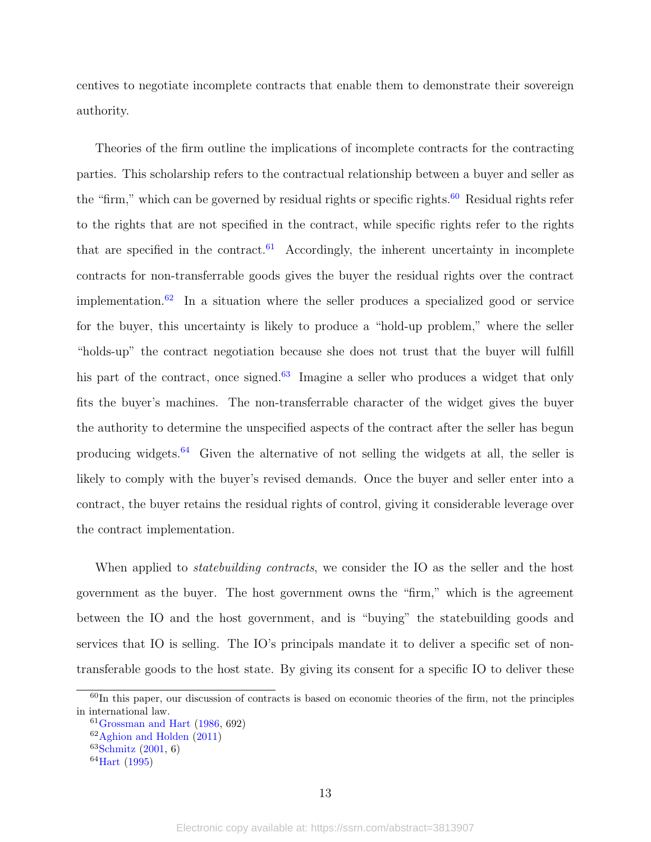centives to negotiate incomplete contracts that enable them to demonstrate their sovereign authority.

Theories of the firm outline the implications of incomplete contracts for the contracting parties. This scholarship refers to the contractual relationship between a buyer and seller as the "firm," which can be governed by residual rights or specific rights. $60$  Residual rights refer to the rights that are not specified in the contract, while specific rights refer to the rights that are specified in the contract. $61$  Accordingly, the inherent uncertainty in incomplete contracts for non-transferrable goods gives the buyer the residual rights over the contract implementation.<sup>[62](#page-12-2)</sup> In a situation where the seller produces a specialized good or service for the buyer, this uncertainty is likely to produce a "hold-up problem," where the seller "holds-up" the contract negotiation because she does not trust that the buyer will fulfill his part of the contract, once signed.<sup>[63](#page-12-3)</sup> Imagine a seller who produces a widget that only fits the buyer's machines. The non-transferrable character of the widget gives the buyer the authority to determine the unspecified aspects of the contract after the seller has begun producing widgets.<sup>[64](#page-12-4)</sup> Given the alternative of not selling the widgets at all, the seller is likely to comply with the buyer's revised demands. Once the buyer and seller enter into a contract, the buyer retains the residual rights of control, giving it considerable leverage over the contract implementation.

When applied to *statebuilding contracts*, we consider the IO as the seller and the host government as the buyer. The host government owns the "firm," which is the agreement between the IO and the host government, and is "buying" the statebuilding goods and services that IO is selling. The IO's principals mandate it to deliver a specific set of nontransferable goods to the host state. By giving its consent for a specific IO to deliver these

<span id="page-12-0"></span> $60$ In this paper, our discussion of contracts is based on economic theories of the firm, not the principles in international law.

<span id="page-12-1"></span> $61G$ rossman and Hart [\(1986,](#page-43-0) 692)

<span id="page-12-2"></span><sup>62</sup>[Aghion and Holden](#page-39-9) [\(2011\)](#page-39-9)

<span id="page-12-3"></span> $63$ [Schmitz](#page-49-2) [\(2001,](#page-49-2) 6)

<span id="page-12-4"></span><sup>64</sup>[Hart](#page-43-6) [\(1995\)](#page-43-6)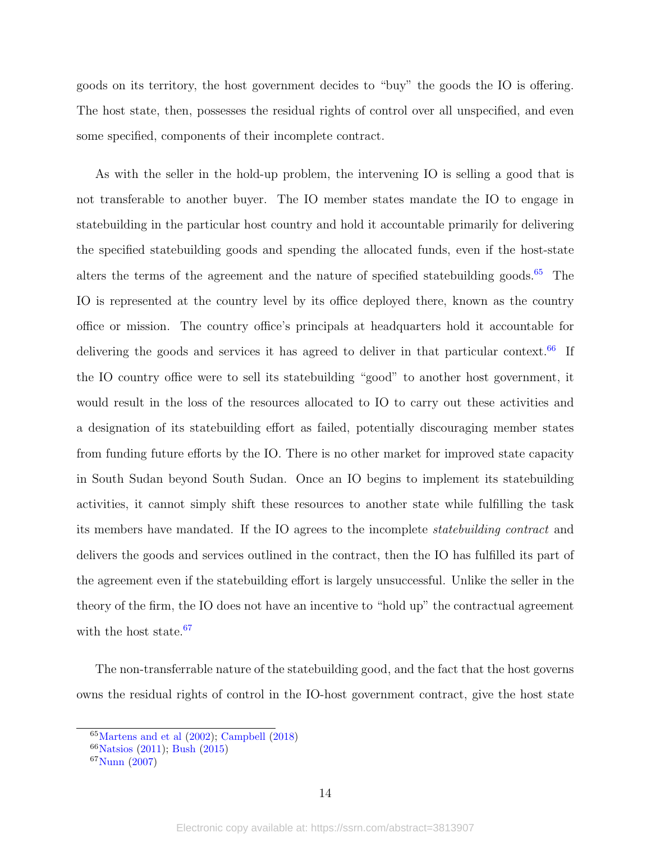goods on its territory, the host government decides to "buy" the goods the IO is offering. The host state, then, possesses the residual rights of control over all unspecified, and even some specified, components of their incomplete contract.

As with the seller in the hold-up problem, the intervening IO is selling a good that is not transferable to another buyer. The IO member states mandate the IO to engage in statebuilding in the particular host country and hold it accountable primarily for delivering the specified statebuilding goods and spending the allocated funds, even if the host-state alters the terms of the agreement and the nature of specified statebuilding goods.<sup>[65](#page-13-0)</sup> The IO is represented at the country level by its office deployed there, known as the country office or mission. The country office's principals at headquarters hold it accountable for delivering the goods and services it has agreed to deliver in that particular context.<sup>[66](#page-13-1)</sup> If the IO country office were to sell its statebuilding "good" to another host government, it would result in the loss of the resources allocated to IO to carry out these activities and a designation of its statebuilding effort as failed, potentially discouraging member states from funding future efforts by the IO. There is no other market for improved state capacity in South Sudan beyond South Sudan. Once an IO begins to implement its statebuilding activities, it cannot simply shift these resources to another state while fulfilling the task its members have mandated. If the IO agrees to the incomplete statebuilding contract and delivers the goods and services outlined in the contract, then the IO has fulfilled its part of the agreement even if the statebuilding effort is largely unsuccessful. Unlike the seller in the theory of the firm, the IO does not have an incentive to "hold up" the contractual agreement with the host state.<sup>[67](#page-13-2)</sup>

The non-transferrable nature of the statebuilding good, and the fact that the host governs owns the residual rights of control in the IO-host government contract, give the host state

<span id="page-13-0"></span><sup>65</sup>[Martens and et al](#page-46-6) [\(2002\)](#page-46-6); [Campbell](#page-40-0) [\(2018\)](#page-40-0)

<span id="page-13-1"></span><sup>66</sup>[Natsios](#page-47-6) [\(2011\)](#page-47-6); [Bush](#page-40-7) [\(2015\)](#page-40-7)

<span id="page-13-2"></span> ${}^{67}$ [Nunn](#page-47-7) [\(2007\)](#page-47-7)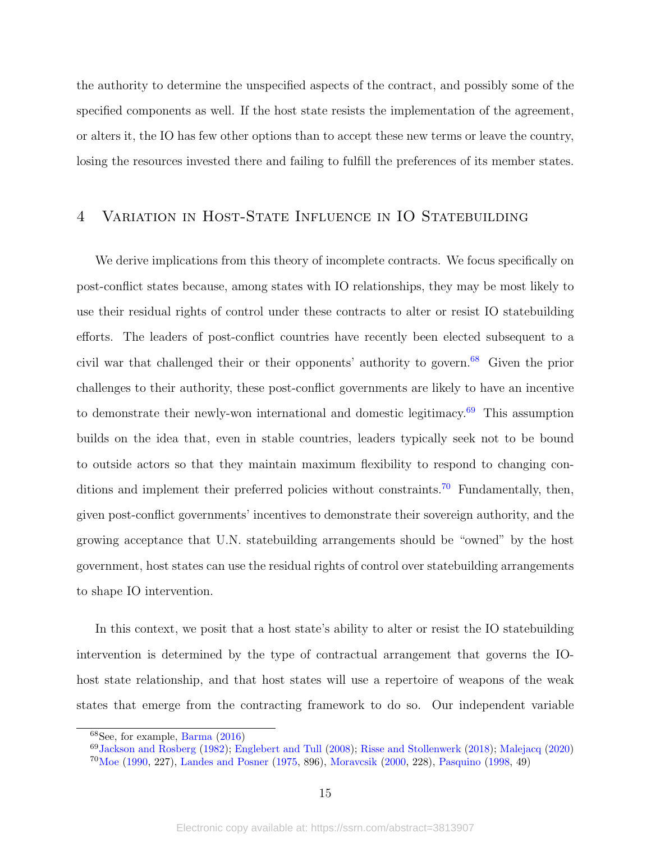the authority to determine the unspecified aspects of the contract, and possibly some of the specified components as well. If the host state resists the implementation of the agreement, or alters it, the IO has few other options than to accept these new terms or leave the country, losing the resources invested there and failing to fulfill the preferences of its member states.

# 4 Variation in Host-State Influence in IO Statebuilding

We derive implications from this theory of incomplete contracts. We focus specifically on post-conflict states because, among states with IO relationships, they may be most likely to use their residual rights of control under these contracts to alter or resist IO statebuilding efforts. The leaders of post-conflict countries have recently been elected subsequent to a civil war that challenged their or their opponents' authority to govern.[68](#page-14-0) Given the prior challenges to their authority, these post-conflict governments are likely to have an incentive to demonstrate their newly-won international and domestic legitimacy. $69$  This assumption builds on the idea that, even in stable countries, leaders typically seek not to be bound to outside actors so that they maintain maximum flexibility to respond to changing con-ditions and implement their preferred policies without constraints.<sup>[70](#page-14-2)</sup> Fundamentally, then, given post-conflict governments' incentives to demonstrate their sovereign authority, and the growing acceptance that U.N. statebuilding arrangements should be "owned" by the host government, host states can use the residual rights of control over statebuilding arrangements to shape IO intervention.

In this context, we posit that a host state's ability to alter or resist the IO statebuilding intervention is determined by the type of contractual arrangement that governs the IOhost state relationship, and that host states will use a repertoire of weapons of the weak states that emerge from the contracting framework to do so. Our independent variable

<span id="page-14-0"></span> $68$ See, for example, [Barma](#page-39-3)  $(2016)$ 

<span id="page-14-2"></span><span id="page-14-1"></span><sup>69</sup>[Jackson and Rosberg](#page-44-4) [\(1982\)](#page-44-4); [Englebert and Tull](#page-42-3) [\(2008\)](#page-42-3); [Risse and Stollenwerk](#page-49-6) [\(2018\)](#page-49-6); [Malejacq](#page-46-7) [\(2020\)](#page-46-7) <sup>70</sup>[Moe](#page-46-8) [\(1990,](#page-46-8) 227), [Landes and Posner](#page-46-9) [\(1975,](#page-46-9) 896), [Moravcsik](#page-47-8) [\(2000,](#page-47-8) 228), [Pasquino](#page-48-8) [\(1998,](#page-48-8) 49)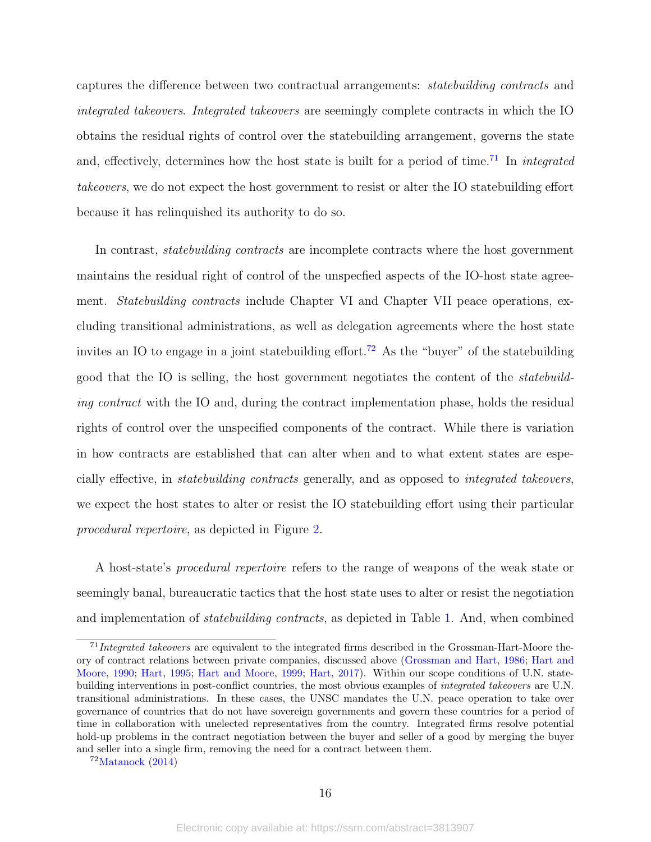captures the difference between two contractual arrangements: statebuilding contracts and integrated takeovers. Integrated takeovers are seemingly complete contracts in which the IO obtains the residual rights of control over the statebuilding arrangement, governs the state and, effectively, determines how the host state is built for a period of time.<sup>[71](#page-15-0)</sup> In *integrated* takeovers, we do not expect the host government to resist or alter the IO statebuilding effort because it has relinquished its authority to do so.

In contrast, *statebuilding contracts* are incomplete contracts where the host government maintains the residual right of control of the unspecfied aspects of the IO-host state agreement. *Statebuilding contracts* include Chapter VI and Chapter VII peace operations, excluding transitional administrations, as well as delegation agreements where the host state invites an IO to engage in a joint statebuilding effort.<sup>[72](#page-15-1)</sup> As the "buyer" of the statebuilding good that the IO is selling, the host government negotiates the content of the statebuilding contract with the IO and, during the contract implementation phase, holds the residual rights of control over the unspecified components of the contract. While there is variation in how contracts are established that can alter when and to what extent states are especially effective, in statebuilding contracts generally, and as opposed to integrated takeovers, we expect the host states to alter or resist the IO statebuilding effort using their particular procedural repertoire, as depicted in Figure [2.](#page-16-0)

A host-state's procedural repertoire refers to the range of weapons of the weak state or seemingly banal, bureaucratic tactics that the host state uses to alter or resist the negotiation and implementation of statebuilding contracts, as depicted in Table [1.](#page-19-0) And, when combined

<span id="page-15-0"></span> $71$ Integrated takeovers are equivalent to the integrated firms described in the Grossman-Hart-Moore theory of contract relations between private companies, discussed above [\(Grossman and Hart,](#page-43-0) [1986;](#page-43-0) [Hart and](#page-43-7) [Moore,](#page-43-7) [1990;](#page-43-7) [Hart,](#page-43-6) [1995;](#page-43-6) [Hart and Moore,](#page-43-8) [1999;](#page-43-8) [Hart,](#page-43-9) [2017\)](#page-43-9). Within our scope conditions of U.N. statebuilding interventions in post-conflict countries, the most obvious examples of integrated takeovers are U.N. transitional administrations. In these cases, the UNSC mandates the U.N. peace operation to take over governance of countries that do not have sovereign governments and govern these countries for a period of time in collaboration with unelected representatives from the country. Integrated firms resolve potential hold-up problems in the contract negotiation between the buyer and seller of a good by merging the buyer and seller into a single firm, removing the need for a contract between them.

<span id="page-15-1"></span> $72$ [Matanock](#page-46-10)  $(2014)$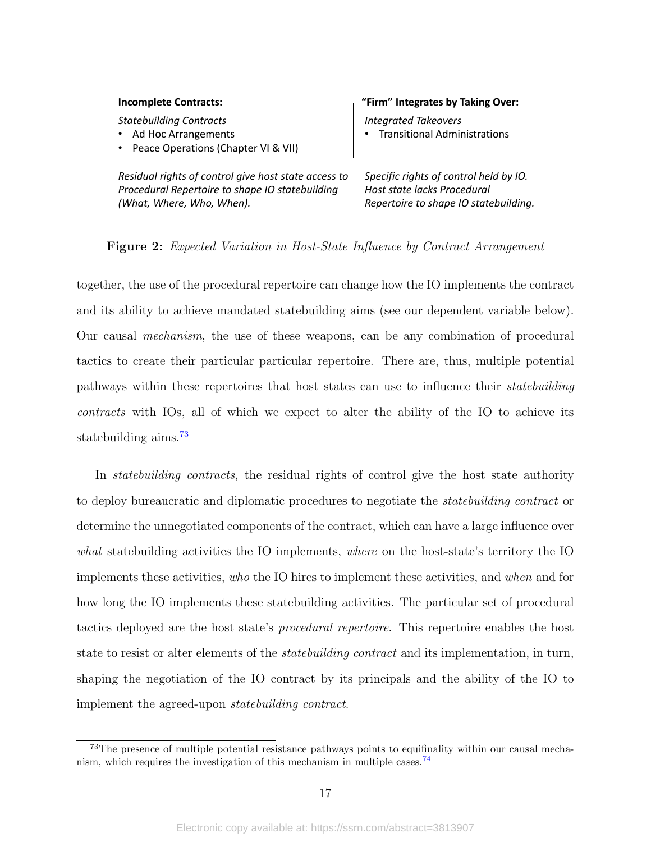<span id="page-16-0"></span>

| <b>Incomplete Contracts:</b>                                                                                                         | "Firm" Integrates by Taking Over:                                                                              |
|--------------------------------------------------------------------------------------------------------------------------------------|----------------------------------------------------------------------------------------------------------------|
| <b>Statebuilding Contracts</b><br>Ad Hoc Arrangements<br>$\bullet$<br>Peace Operations (Chapter VI & VII)<br>$\bullet$               | <b>Integrated Takeovers</b><br><b>Transitional Administrations</b>                                             |
| Residual rights of control give host state access to<br>Procedural Repertoire to shape IO statebuilding<br>(What, Where, Who, When). | Specific rights of control held by IO.<br>Host state lacks Procedural<br>Repertoire to shape IO statebuilding. |

Figure 2: Expected Variation in Host-State Influence by Contract Arrangement

together, the use of the procedural repertoire can change how the IO implements the contract and its ability to achieve mandated statebuilding aims (see our dependent variable below). Our causal mechanism, the use of these weapons, can be any combination of procedural tactics to create their particular particular repertoire. There are, thus, multiple potential pathways within these repertoires that host states can use to influence their statebuilding contracts with IOs, all of which we expect to alter the ability of the IO to achieve its statebuilding aims.[73](#page-16-1)

In *statebuilding contracts*, the residual rights of control give the host state authority to deploy bureaucratic and diplomatic procedures to negotiate the statebuilding contract or determine the unnegotiated components of the contract, which can have a large influence over what statebuilding activities the IO implements, where on the host-state's territory the IO implements these activities, who the IO hires to implement these activities, and when and for how long the IO implements these statebuilding activities. The particular set of procedural tactics deployed are the host state's procedural repertoire. This repertoire enables the host state to resist or alter elements of the *statebuilding contract* and its implementation, in turn, shaping the negotiation of the IO contract by its principals and the ability of the IO to implement the agreed-upon statebuilding contract.

<span id="page-16-1"></span><sup>73</sup>The presence of multiple potential resistance pathways points to equifinality within our causal mecha-nism, which requires the investigation of this mechanism in multiple cases.<sup>[74](#page-0-1)</sup>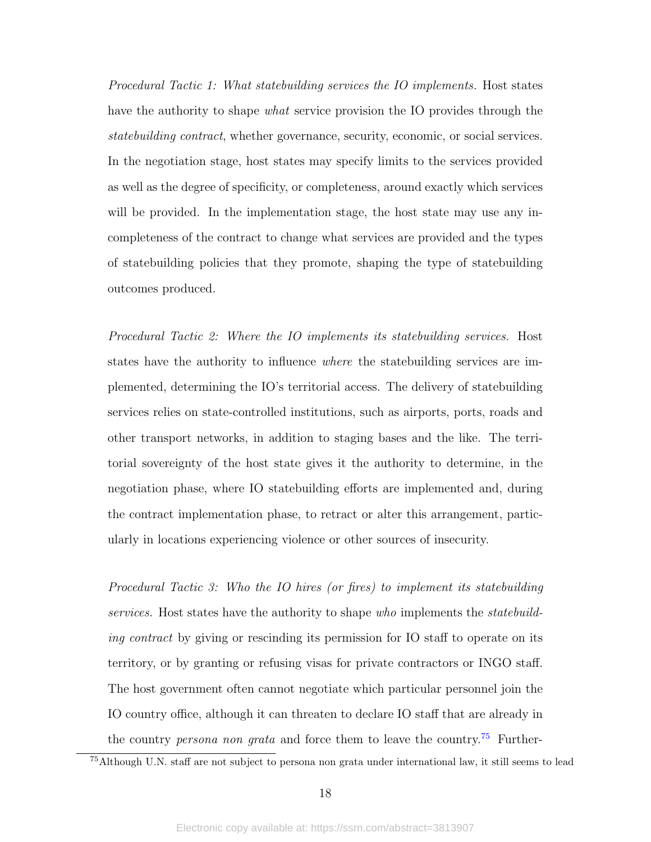Procedural Tactic 1: What statebuilding services the IO implements. Host states have the authority to shape *what* service provision the IO provides through the statebuilding contract, whether governance, security, economic, or social services. In the negotiation stage, host states may specify limits to the services provided as well as the degree of specificity, or completeness, around exactly which services will be provided. In the implementation stage, the host state may use any incompleteness of the contract to change what services are provided and the types of statebuilding policies that they promote, shaping the type of statebuilding outcomes produced.

Procedural Tactic 2: Where the IO implements its statebuilding services. Host states have the authority to influence where the statebuilding services are implemented, determining the IO's territorial access. The delivery of statebuilding services relies on state-controlled institutions, such as airports, ports, roads and other transport networks, in addition to staging bases and the like. The territorial sovereignty of the host state gives it the authority to determine, in the negotiation phase, where IO statebuilding efforts are implemented and, during the contract implementation phase, to retract or alter this arrangement, particularly in locations experiencing violence or other sources of insecurity.

Procedural Tactic 3: Who the IO hires (or fires) to implement its statebuilding services. Host states have the authority to shape who implements the *statebuild*ing contract by giving or rescinding its permission for IO staff to operate on its territory, or by granting or refusing visas for private contractors or INGO staff. The host government often cannot negotiate which particular personnel join the IO country office, although it can threaten to declare IO staff that are already in the country *persona non grata* and force them to leave the country.<sup>[75](#page-17-0)</sup> Further-

<span id="page-17-0"></span><sup>75</sup>Although U.N. staff are not subject to persona non grata under international law, it still seems to lead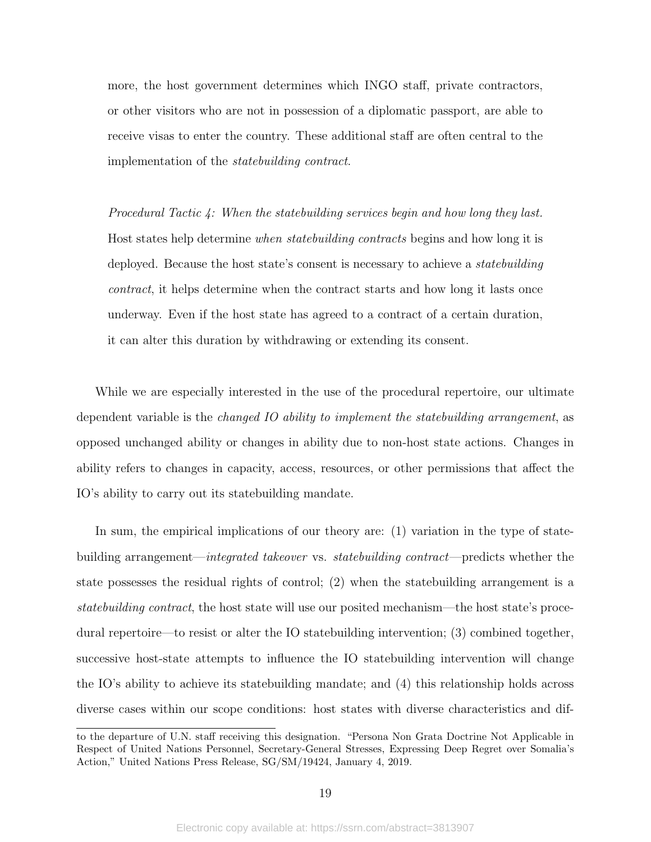more, the host government determines which INGO staff, private contractors, or other visitors who are not in possession of a diplomatic passport, are able to receive visas to enter the country. These additional staff are often central to the implementation of the statebuilding contract.

Procedural Tactic  $\lambda$ : When the statebuilding services begin and how long they last. Host states help determine when statebuilding contracts begins and how long it is deployed. Because the host state's consent is necessary to achieve a *statebuilding* contract, it helps determine when the contract starts and how long it lasts once underway. Even if the host state has agreed to a contract of a certain duration, it can alter this duration by withdrawing or extending its consent.

While we are especially interested in the use of the procedural repertoire, our ultimate dependent variable is the *changed IO ability to implement the statebuilding arrangement*, as opposed unchanged ability or changes in ability due to non-host state actions. Changes in ability refers to changes in capacity, access, resources, or other permissions that affect the IO's ability to carry out its statebuilding mandate.

In sum, the empirical implications of our theory are: (1) variation in the type of statebuilding arrangement—integrated takeover vs. statebuilding contract—predicts whether the state possesses the residual rights of control; (2) when the statebuilding arrangement is a statebuilding contract, the host state will use our posited mechanism—the host state's procedural repertoire—to resist or alter the IO statebuilding intervention; (3) combined together, successive host-state attempts to influence the IO statebuilding intervention will change the IO's ability to achieve its statebuilding mandate; and (4) this relationship holds across diverse cases within our scope conditions: host states with diverse characteristics and dif-

to the departure of U.N. staff receiving this designation. "Persona Non Grata Doctrine Not Applicable in Respect of United Nations Personnel, Secretary-General Stresses, Expressing Deep Regret over Somalia's Action," United Nations Press Release, SG/SM/19424, January 4, 2019.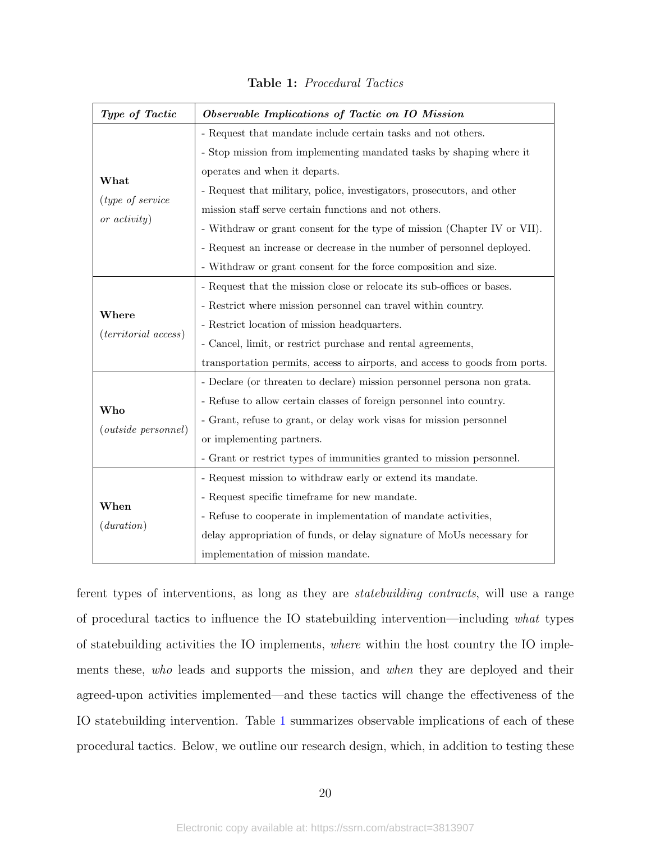<span id="page-19-0"></span>

| Type of Tactic             | Observable Implications of Tactic on IO Mission                             |
|----------------------------|-----------------------------------------------------------------------------|
|                            | - Request that mandate include certain tasks and not others.                |
|                            | - Stop mission from implementing mandated tasks by shaping where it         |
| What                       | operates and when it departs.                                               |
|                            | - Request that military, police, investigators, prosecutors, and other      |
| (type of service           | mission staff serve certain functions and not others.                       |
| or $activity)$             | - Withdraw or grant consent for the type of mission (Chapter IV or VII).    |
|                            | - Request an increase or decrease in the number of personnel deployed.      |
|                            | - Withdraw or grant consent for the force composition and size.             |
|                            | - Request that the mission close or relocate its sub-offices or bases.      |
|                            | - Restrict where mission personnel can travel within country.               |
| Where                      | - Restrict location of mission headquarters.                                |
| (territical access)        | - Cancel, limit, or restrict purchase and rental agreements,                |
|                            | transportation permits, access to airports, and access to goods from ports. |
|                            | - Declare (or threaten to declare) mission personnel persona non grata.     |
|                            | - Refuse to allow certain classes of foreign personnel into country.        |
| Who                        | - Grant, refuse to grant, or delay work visas for mission personnel         |
| <i>(outside personnel)</i> | or implementing partners.                                                   |
|                            | - Grant or restrict types of immunities granted to mission personnel.       |
|                            | - Request mission to withdraw early or extend its mandate.                  |
|                            | - Request specific timeframe for new mandate.                               |
| When                       | - Refuse to cooperate in implementation of mandate activities,              |
| (duration)                 | delay appropriation of funds, or delay signature of MoUs necessary for      |
|                            | implementation of mission mandate.                                          |

Table 1: Procedural Tactics

ferent types of interventions, as long as they are statebuilding contracts, will use a range of procedural tactics to influence the IO statebuilding intervention—including what types of statebuilding activities the IO implements, where within the host country the IO implements these, who leads and supports the mission, and when they are deployed and their agreed-upon activities implemented—and these tactics will change the effectiveness of the IO statebuilding intervention. Table [1](#page-19-0) summarizes observable implications of each of these procedural tactics. Below, we outline our research design, which, in addition to testing these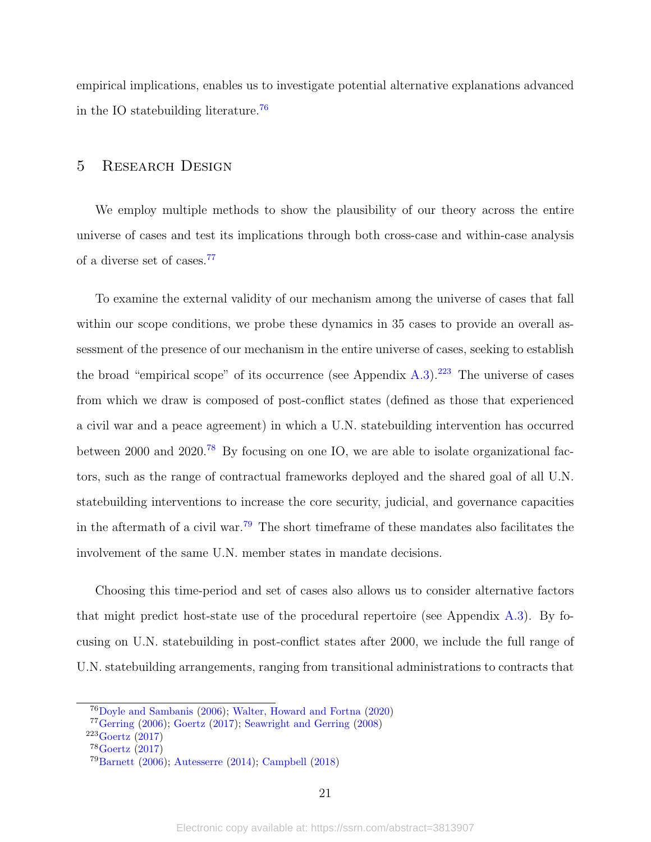empirical implications, enables us to investigate potential alternative explanations advanced in the IO statebuilding literature.<sup>[76](#page-20-0)</sup>

# 5 Research Design

We employ multiple methods to show the plausibility of our theory across the entire universe of cases and test its implications through both cross-case and within-case analysis of a diverse set of cases.[77](#page-20-1)

To examine the external validity of our mechanism among the universe of cases that fall within our scope conditions, we probe these dynamics in 35 cases to provide an overall assessment of the presence of our mechanism in the entire universe of cases, seeking to establish the broad "empirical scope" of its occurrence (see Appendix  $A.3$ ).<sup>[223](#page-20-2)</sup> The universe of cases from which we draw is composed of post-conflict states (defined as those that experienced a civil war and a peace agreement) in which a U.N. statebuilding intervention has occurred between 2000 and 2020.[78](#page-20-3) By focusing on one IO, we are able to isolate organizational factors, such as the range of contractual frameworks deployed and the shared goal of all U.N. statebuilding interventions to increase the core security, judicial, and governance capacities in the aftermath of a civil war.[79](#page-20-4) The short timeframe of these mandates also facilitates the involvement of the same U.N. member states in mandate decisions.

Choosing this time-period and set of cases also allows us to consider alternative factors that might predict host-state use of the procedural repertoire (see Appendix [A.3\)](#page-55-0). By focusing on U.N. statebuilding in post-conflict states after 2000, we include the full range of U.N. statebuilding arrangements, ranging from transitional administrations to contracts that

<span id="page-20-0"></span><sup>76</sup>[Doyle and Sambanis](#page-42-2) [\(2006\)](#page-42-2); [Walter, Howard and Fortna](#page-51-2) [\(2020\)](#page-51-2)

<span id="page-20-1"></span> $77$ [Gerring](#page-42-5) [\(2006\)](#page-42-5); [Goertz](#page-43-1) [\(2017\)](#page-43-1); [Seawright and Gerring](#page-49-7) [\(2008\)](#page-49-7)

<span id="page-20-2"></span><sup>223</sup>[Goertz](#page-43-1) [\(2017\)](#page-43-1)

<span id="page-20-3"></span><sup>78</sup>[Goertz](#page-43-1) [\(2017\)](#page-43-1)

<span id="page-20-4"></span><sup>79</sup>[Barnett](#page-39-0) [\(2006\)](#page-39-0); [Autesserre](#page-39-6) [\(2014\)](#page-39-6); [Campbell](#page-40-0) [\(2018\)](#page-40-0)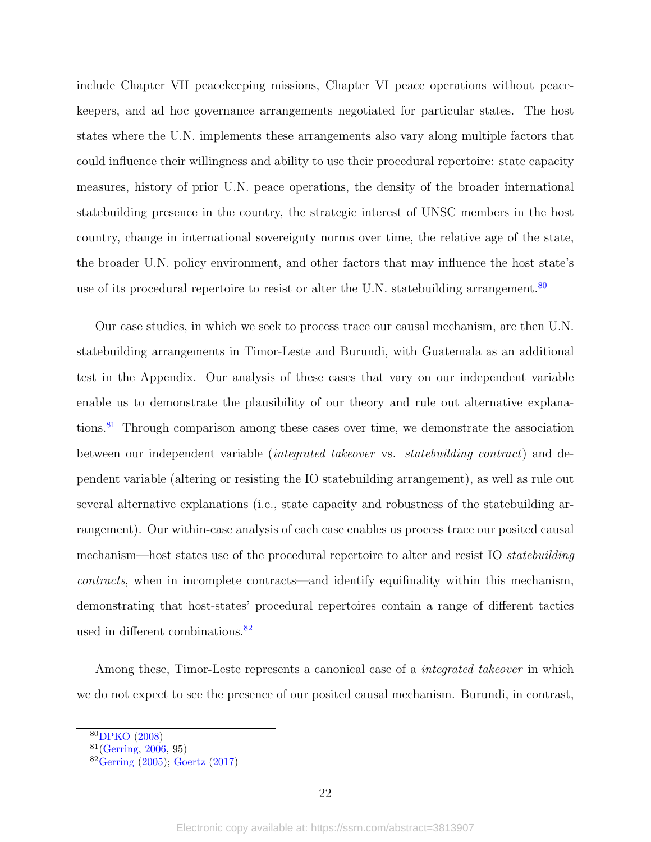include Chapter VII peacekeeping missions, Chapter VI peace operations without peacekeepers, and ad hoc governance arrangements negotiated for particular states. The host states where the U.N. implements these arrangements also vary along multiple factors that could influence their willingness and ability to use their procedural repertoire: state capacity measures, history of prior U.N. peace operations, the density of the broader international statebuilding presence in the country, the strategic interest of UNSC members in the host country, change in international sovereignty norms over time, the relative age of the state, the broader U.N. policy environment, and other factors that may influence the host state's use of its procedural repertoire to resist or alter the U.N. statebuilding arrangement.<sup>[80](#page-21-0)</sup>

Our case studies, in which we seek to process trace our causal mechanism, are then U.N. statebuilding arrangements in Timor-Leste and Burundi, with Guatemala as an additional test in the Appendix. Our analysis of these cases that vary on our independent variable enable us to demonstrate the plausibility of our theory and rule out alternative explana-tions.<sup>[81](#page-21-1)</sup> Through comparison among these cases over time, we demonstrate the association between our independent variable (integrated takeover vs. statebuilding contract) and dependent variable (altering or resisting the IO statebuilding arrangement), as well as rule out several alternative explanations (i.e., state capacity and robustness of the statebuilding arrangement). Our within-case analysis of each case enables us process trace our posited causal mechanism—host states use of the procedural repertoire to alter and resist IO statebuilding contracts, when in incomplete contracts—and identify equifinality within this mechanism, demonstrating that host-states' procedural repertoires contain a range of different tactics used in different combinations.<sup>[82](#page-21-2)</sup>

Among these, Timor-Leste represents a canonical case of a *integrated takeover* in which we do not expect to see the presence of our posited causal mechanism. Burundi, in contrast,

<span id="page-21-0"></span><sup>80</sup>[DPKO](#page-42-9) [\(2008\)](#page-42-9)

<span id="page-21-1"></span> $81$ [\(Gerring,](#page-42-5) [2006,](#page-42-5) 95)

<span id="page-21-2"></span><sup>82</sup>[Gerring](#page-42-10) [\(2005\)](#page-42-10); [Goertz](#page-43-1) [\(2017\)](#page-43-1)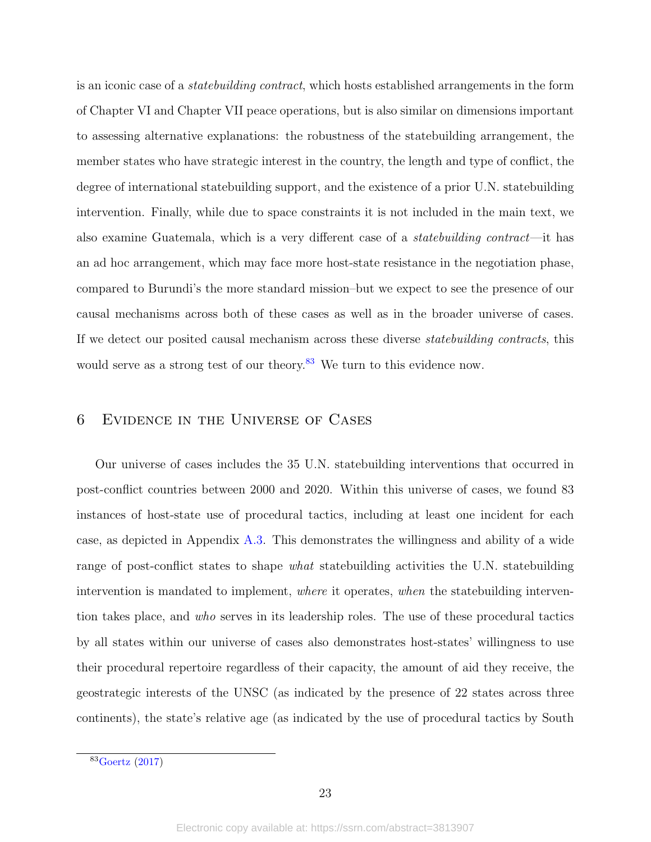is an iconic case of a *statebuilding contract*, which hosts established arrangements in the form of Chapter VI and Chapter VII peace operations, but is also similar on dimensions important to assessing alternative explanations: the robustness of the statebuilding arrangement, the member states who have strategic interest in the country, the length and type of conflict, the degree of international statebuilding support, and the existence of a prior U.N. statebuilding intervention. Finally, while due to space constraints it is not included in the main text, we also examine Guatemala, which is a very different case of a statebuilding contract—it has an ad hoc arrangement, which may face more host-state resistance in the negotiation phase, compared to Burundi's the more standard mission–but we expect to see the presence of our causal mechanisms across both of these cases as well as in the broader universe of cases. If we detect our posited causal mechanism across these diverse statebuilding contracts, this would serve as a strong test of our theory.<sup>[83](#page-22-0)</sup> We turn to this evidence now.

# 6 Evidence in the Universe of Cases

Our universe of cases includes the 35 U.N. statebuilding interventions that occurred in post-conflict countries between 2000 and 2020. Within this universe of cases, we found 83 instances of host-state use of procedural tactics, including at least one incident for each case, as depicted in Appendix [A.3.](#page-55-0) This demonstrates the willingness and ability of a wide range of post-conflict states to shape *what* statebuilding activities the U.N. statebuilding intervention is mandated to implement, where it operates, when the statebuilding intervention takes place, and who serves in its leadership roles. The use of these procedural tactics by all states within our universe of cases also demonstrates host-states' willingness to use their procedural repertoire regardless of their capacity, the amount of aid they receive, the geostrategic interests of the UNSC (as indicated by the presence of 22 states across three continents), the state's relative age (as indicated by the use of procedural tactics by South

<span id="page-22-0"></span><sup>83</sup>[Goertz](#page-43-1) [\(2017\)](#page-43-1)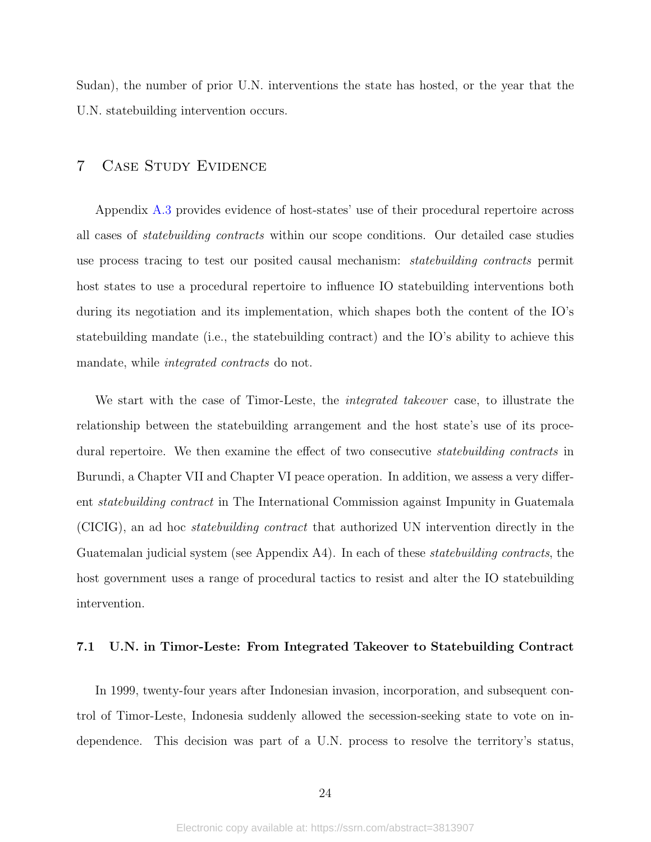Sudan), the number of prior U.N. interventions the state has hosted, or the year that the U.N. statebuilding intervention occurs.

# 7 Case Study Evidence

Appendix [A.3](#page-55-0) provides evidence of host-states' use of their procedural repertoire across all cases of statebuilding contracts within our scope conditions. Our detailed case studies use process tracing to test our posited causal mechanism: statebuilding contracts permit host states to use a procedural repertoire to influence IO statebuilding interventions both during its negotiation and its implementation, which shapes both the content of the IO's statebuilding mandate (i.e., the statebuilding contract) and the IO's ability to achieve this mandate, while *integrated contracts* do not.

We start with the case of Timor-Leste, the *integrated takeover* case, to illustrate the relationship between the statebuilding arrangement and the host state's use of its procedural repertoire. We then examine the effect of two consecutive statebuilding contracts in Burundi, a Chapter VII and Chapter VI peace operation. In addition, we assess a very different statebuilding contract in The International Commission against Impunity in Guatemala (CICIG), an ad hoc statebuilding contract that authorized UN intervention directly in the Guatemalan judicial system (see Appendix A4). In each of these *statebuilding contracts*, the host government uses a range of procedural tactics to resist and alter the IO statebuilding intervention.

#### 7.1 U.N. in Timor-Leste: From Integrated Takeover to Statebuilding Contract

In 1999, twenty-four years after Indonesian invasion, incorporation, and subsequent control of Timor-Leste, Indonesia suddenly allowed the secession-seeking state to vote on independence. This decision was part of a U.N. process to resolve the territory's status,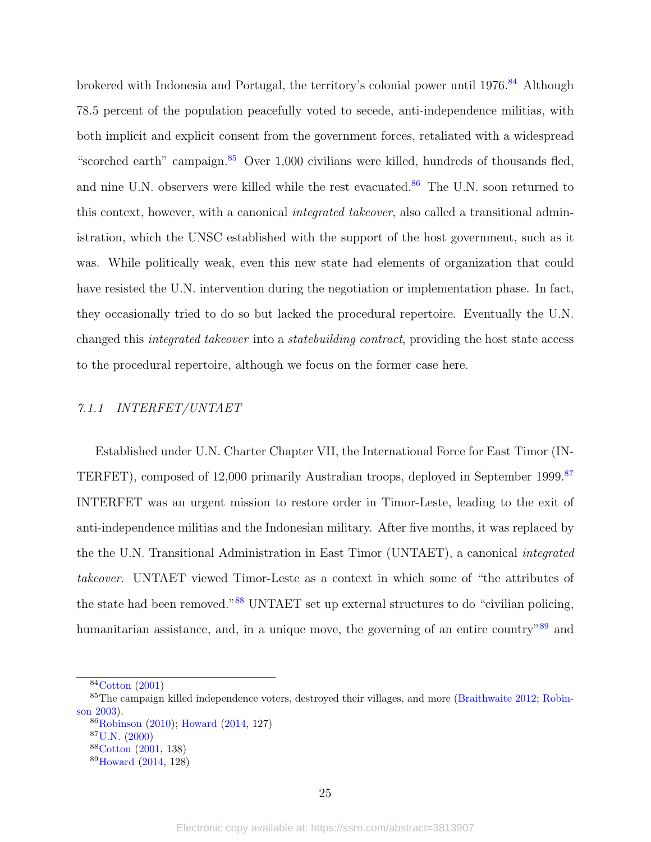brokered with Indonesia and Portugal, the territory's colonial power until 1976.<sup>[84](#page-24-0)</sup> Although 78.5 percent of the population peacefully voted to secede, anti-independence militias, with both implicit and explicit consent from the government forces, retaliated with a widespread "scorched earth" campaign. $85$  Over 1,000 civilians were killed, hundreds of thousands fled, and nine U.N. observers were killed while the rest evacuated.<sup>[86](#page-24-2)</sup> The U.N. soon returned to this context, however, with a canonical integrated takeover, also called a transitional administration, which the UNSC established with the support of the host government, such as it was. While politically weak, even this new state had elements of organization that could have resisted the U.N. intervention during the negotiation or implementation phase. In fact, they occasionally tried to do so but lacked the procedural repertoire. Eventually the U.N. changed this integrated takeover into a statebuilding contract, providing the host state access to the procedural repertoire, although we focus on the former case here.

#### 7.1.1 INTERFET/UNTAET

Established under U.N. Charter Chapter VII, the International Force for East Timor (IN-TERFET), composed of 12,000 primarily Australian troops, deployed in September 1999.<sup>[87](#page-24-3)</sup> INTERFET was an urgent mission to restore order in Timor-Leste, leading to the exit of anti-independence militias and the Indonesian military. After five months, it was replaced by the the U.N. Transitional Administration in East Timor (UNTAET), a canonical integrated takeover. UNTAET viewed Timor-Leste as a context in which some of "the attributes of the state had been removed."[88](#page-24-4) UNTAET set up external structures to do "civilian policing, humanitarian assistance, and, in a unique move, the governing of an entire country<sup>"[89](#page-24-5)</sup> and

<span id="page-24-1"></span><span id="page-24-0"></span> $84$ [Cotton](#page-41-10) [\(2001\)](#page-41-10)

<sup>85</sup>The campaign killed independence voters, destroyed their villages, and more [\(Braithwaite](#page-40-8) [2012;](#page-40-8) [Robin](#page-49-8)[son](#page-49-8) [2003\)](#page-49-8).

<span id="page-24-2"></span><sup>86</sup>[Robinson](#page-49-9) [\(2010\)](#page-49-9); [Howard](#page-44-3) [\(2014,](#page-44-3) 127)

<span id="page-24-3"></span><sup>87</sup>[U.N.](#page-50-6) [\(2000\)](#page-50-6)

<span id="page-24-4"></span><sup>88</sup>[Cotton](#page-41-10) [\(2001,](#page-41-10) 138)

<span id="page-24-5"></span><sup>89</sup>[Howard](#page-44-3) [\(2014,](#page-44-3) 128)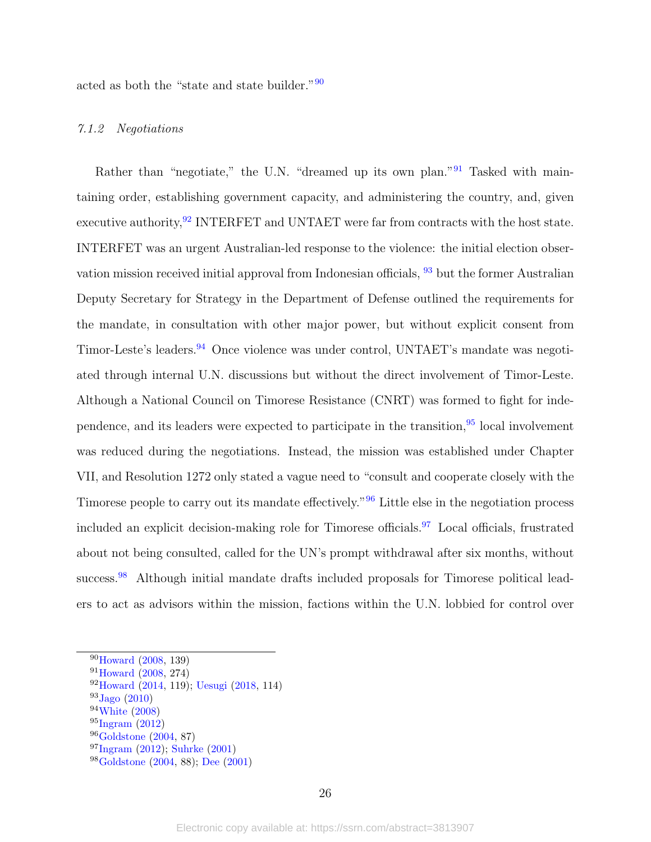acted as both the "state and state builder."[90](#page-25-0)

#### 7.1.2 Negotiations

Rather than "negotiate," the U.N. "dreamed up its own plan."<sup>[91](#page-25-1)</sup> Tasked with maintaining order, establishing government capacity, and administering the country, and, given executive authority,  $92$  INTERFET and UNTAET were far from contracts with the host state. INTERFET was an urgent Australian-led response to the violence: the initial election observation mission received initial approval from Indonesian officials, [93](#page-25-3) but the former Australian Deputy Secretary for Strategy in the Department of Defense outlined the requirements for the mandate, in consultation with other major power, but without explicit consent from Timor-Leste's leaders.[94](#page-25-4) Once violence was under control, UNTAET's mandate was negotiated through internal U.N. discussions but without the direct involvement of Timor-Leste. Although a National Council on Timorese Resistance (CNRT) was formed to fight for independence, and its leaders were expected to participate in the transition,  $95$  local involvement was reduced during the negotiations. Instead, the mission was established under Chapter VII, and Resolution 1272 only stated a vague need to "consult and cooperate closely with the Timorese people to carry out its mandate effectively."[96](#page-25-6) Little else in the negotiation process included an explicit decision-making role for Timorese officials.<sup>[97](#page-25-7)</sup> Local officials, frustrated about not being consulted, called for the UN's prompt withdrawal after six months, without success.<sup>[98](#page-25-8)</sup> Although initial mandate drafts included proposals for Timorese political leaders to act as advisors within the mission, factions within the U.N. lobbied for control over

<span id="page-25-0"></span><sup>90</sup>[Howard](#page-44-2) [\(2008,](#page-44-2) 139)

<span id="page-25-1"></span><sup>91</sup>[Howard](#page-44-2) [\(2008,](#page-44-2) 274)

<span id="page-25-2"></span> $92$ [Howard](#page-44-3) [\(2014,](#page-44-3) 119); [Uesugi](#page-50-7) [\(2018,](#page-50-7) 114)

<span id="page-25-3"></span> $93$ [Jago](#page-45-11) [\(2010\)](#page-45-11)

<span id="page-25-4"></span><sup>94</sup>[White](#page-51-3) [\(2008\)](#page-51-3)

<span id="page-25-5"></span> $95 \text{Ingram}$  $95 \text{Ingram}$  $95 \text{Ingram}$  [\(2012\)](#page-44-5)

<span id="page-25-6"></span><sup>96</sup>[Goldstone](#page-43-10) [\(2004,](#page-43-10) 87)

<span id="page-25-7"></span><sup>97</sup>[Ingram](#page-44-5) [\(2012\)](#page-44-5); [Suhrke](#page-50-8) [\(2001\)](#page-50-8)

<span id="page-25-8"></span><sup>98</sup>[Goldstone](#page-43-10) [\(2004,](#page-43-10) 88); [Dee](#page-41-11) [\(2001\)](#page-41-11)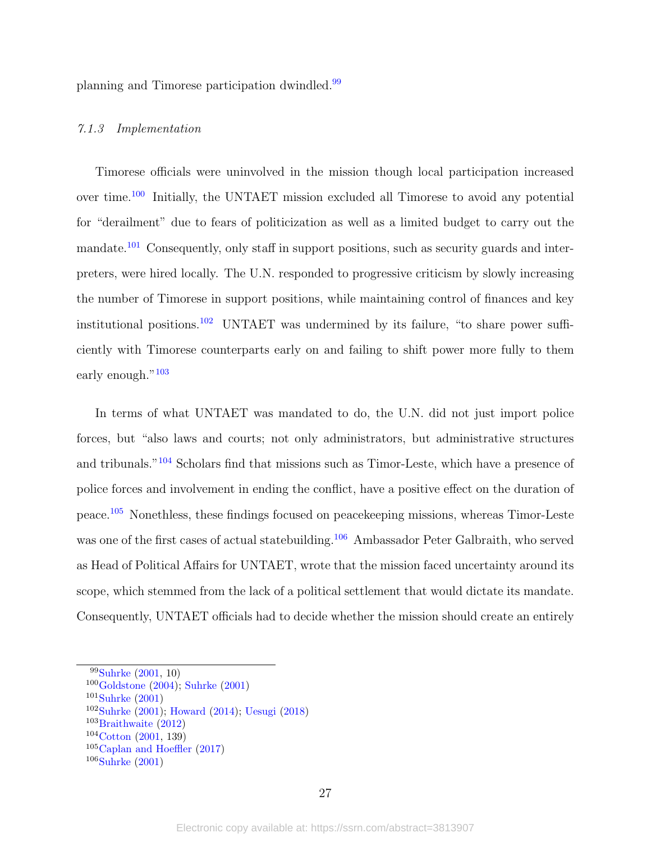planning and Timorese participation dwindled.[99](#page-26-0)

# 7.1.3 Implementation

Timorese officials were uninvolved in the mission though local participation increased over time.[100](#page-26-1) Initially, the UNTAET mission excluded all Timorese to avoid any potential for "derailment" due to fears of politicization as well as a limited budget to carry out the mandate.<sup>[101](#page-26-2)</sup> Consequently, only staff in support positions, such as security guards and interpreters, were hired locally. The U.N. responded to progressive criticism by slowly increasing the number of Timorese in support positions, while maintaining control of finances and key institutional positions.<sup>[102](#page-26-3)</sup> UNTAET was undermined by its failure, "to share power sufficiently with Timorese counterparts early on and failing to shift power more fully to them early enough."<sup>[103](#page-26-4)</sup>

In terms of what UNTAET was mandated to do, the U.N. did not just import police forces, but "also laws and courts; not only administrators, but administrative structures and tribunals."[104](#page-26-5) Scholars find that missions such as Timor-Leste, which have a presence of police forces and involvement in ending the conflict, have a positive effect on the duration of peace.[105](#page-26-6) Nonethless, these findings focused on peacekeeping missions, whereas Timor-Leste was one of the first cases of actual statebuilding.<sup>[106](#page-26-7)</sup> Ambassador Peter Galbraith, who served as Head of Political Affairs for UNTAET, wrote that the mission faced uncertainty around its scope, which stemmed from the lack of a political settlement that would dictate its mandate. Consequently, UNTAET officials had to decide whether the mission should create an entirely

<span id="page-26-0"></span><sup>99</sup>[Suhrke](#page-50-8) [\(2001,](#page-50-8) 10)

<span id="page-26-1"></span> $100$ [Goldstone](#page-43-10) [\(2004\)](#page-43-10); [Suhrke](#page-50-8) [\(2001\)](#page-50-8)

<span id="page-26-2"></span> $101$ [Suhrke](#page-50-8)  $(2001)$ 

<span id="page-26-3"></span><sup>102</sup>[Suhrke](#page-50-8) [\(2001\)](#page-50-8); [Howard](#page-44-3) [\(2014\)](#page-44-3); [Uesugi](#page-50-7) [\(2018\)](#page-50-7)

<span id="page-26-4"></span><sup>103</sup>[Braithwaite](#page-40-8) [\(2012\)](#page-40-8)

<span id="page-26-5"></span> $104$ [Cotton](#page-41-10)  $(2001, 139)$  $(2001, 139)$ 

<span id="page-26-6"></span><sup>105</sup>[Caplan and Hoeffler](#page-40-9) [\(2017\)](#page-40-9)

<span id="page-26-7"></span> $106$ [Suhrke](#page-50-8)  $(2001)$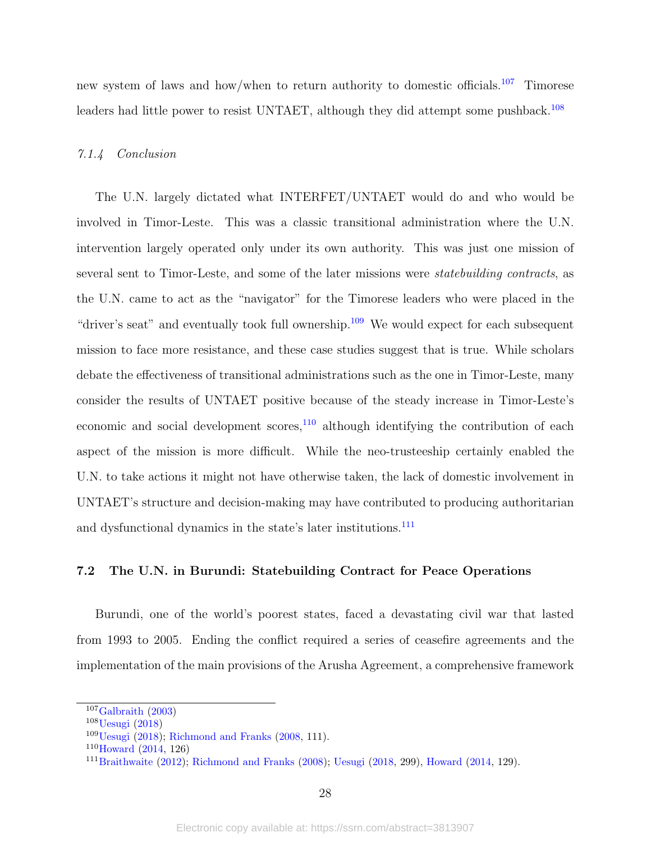new system of laws and how/when to return authority to domestic officials.[107](#page-27-0) Timorese leaders had little power to resist UNTAET, although they did attempt some pushback.<sup>[108](#page-27-1)</sup>

#### 7.1.4 Conclusion

The U.N. largely dictated what INTERFET/UNTAET would do and who would be involved in Timor-Leste. This was a classic transitional administration where the U.N. intervention largely operated only under its own authority. This was just one mission of several sent to Timor-Leste, and some of the later missions were statebuilding contracts, as the U.N. came to act as the "navigator" for the Timorese leaders who were placed in the "driver's seat" and eventually took full ownership.<sup>[109](#page-27-2)</sup> We would expect for each subsequent mission to face more resistance, and these case studies suggest that is true. While scholars debate the effectiveness of transitional administrations such as the one in Timor-Leste, many consider the results of UNTAET positive because of the steady increase in Timor-Leste's economic and social development scores, $110$  although identifying the contribution of each aspect of the mission is more difficult. While the neo-trusteeship certainly enabled the U.N. to take actions it might not have otherwise taken, the lack of domestic involvement in UNTAET's structure and decision-making may have contributed to producing authoritarian and dysfunctional dynamics in the state's later institutions.<sup>[111](#page-27-4)</sup>

#### 7.2 The U.N. in Burundi: Statebuilding Contract for Peace Operations

Burundi, one of the world's poorest states, faced a devastating civil war that lasted from 1993 to 2005. Ending the conflict required a series of ceasefire agreements and the implementation of the main provisions of the Arusha Agreement, a comprehensive framework

<span id="page-27-0"></span> $107$ [Galbraith](#page-42-11)  $(2003)$ 

<span id="page-27-1"></span><sup>108</sup>[Uesugi](#page-50-7) [\(2018\)](#page-50-7)

<span id="page-27-2"></span><sup>109</sup>[Uesugi](#page-50-7) [\(2018\)](#page-50-7); [Richmond and Franks](#page-49-10) [\(2008,](#page-49-10) 111).

<span id="page-27-3"></span> $110$ [Howard](#page-44-3) [\(2014,](#page-44-3) 126)

<span id="page-27-4"></span><sup>111</sup>[Braithwaite](#page-40-8) [\(2012\)](#page-40-8); [Richmond and Franks](#page-49-10) [\(2008\)](#page-49-10); [Uesugi](#page-50-7) [\(2018,](#page-50-7) 299), [Howard](#page-44-3) [\(2014,](#page-44-3) 129).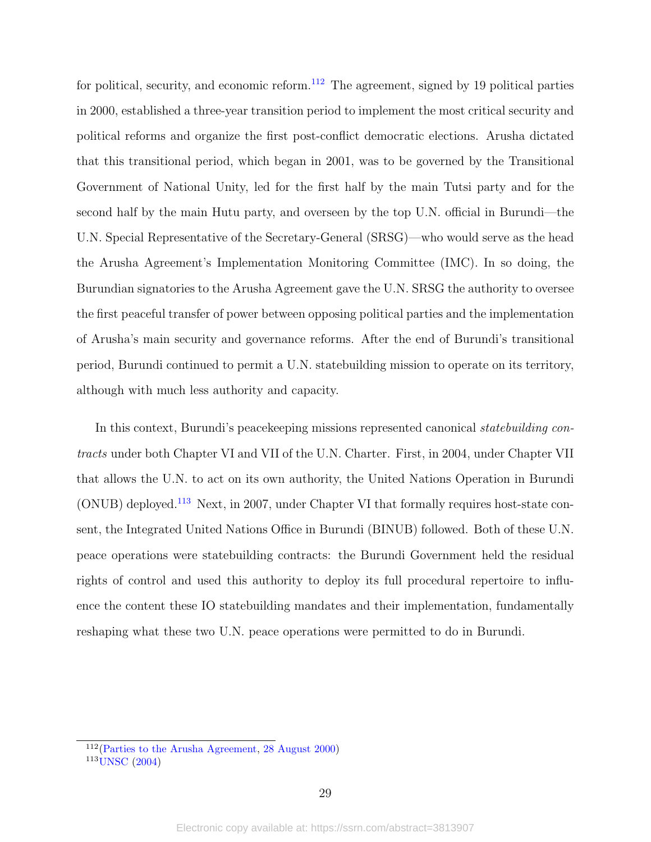for political, security, and economic reform.<sup>[112](#page-28-0)</sup> The agreement, signed by 19 political parties in 2000, established a three-year transition period to implement the most critical security and political reforms and organize the first post-conflict democratic elections. Arusha dictated that this transitional period, which began in 2001, was to be governed by the Transitional Government of National Unity, led for the first half by the main Tutsi party and for the second half by the main Hutu party, and overseen by the top U.N. official in Burundi—the U.N. Special Representative of the Secretary-General (SRSG)—who would serve as the head the Arusha Agreement's Implementation Monitoring Committee (IMC). In so doing, the Burundian signatories to the Arusha Agreement gave the U.N. SRSG the authority to oversee the first peaceful transfer of power between opposing political parties and the implementation of Arusha's main security and governance reforms. After the end of Burundi's transitional period, Burundi continued to permit a U.N. statebuilding mission to operate on its territory, although with much less authority and capacity.

In this context, Burundi's peace keeping missions represented canonical *statebuilding con*tracts under both Chapter VI and VII of the U.N. Charter. First, in 2004, under Chapter VII that allows the U.N. to act on its own authority, the United Nations Operation in Burundi (ONUB) deployed.[113](#page-28-1) Next, in 2007, under Chapter VI that formally requires host-state consent, the Integrated United Nations Office in Burundi (BINUB) followed. Both of these U.N. peace operations were statebuilding contracts: the Burundi Government held the residual rights of control and used this authority to deploy its full procedural repertoire to influence the content these IO statebuilding mandates and their implementation, fundamentally reshaping what these two U.N. peace operations were permitted to do in Burundi.

<span id="page-28-1"></span><span id="page-28-0"></span> $112(Parties to the Arusha Agreement, 28 August 2000)$  $112(Parties to the Arusha Agreement, 28 August 2000)$  $112(Parties to the Arusha Agreement, 28 August 2000)$  $112(Parties to the Arusha Agreement, 28 August 2000)$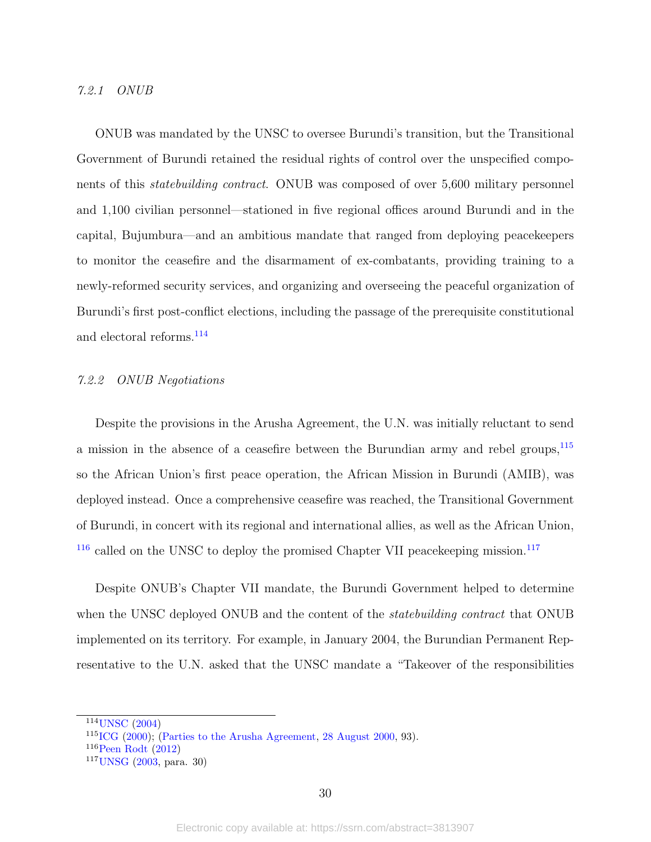#### 7.2.1 ONUB

ONUB was mandated by the UNSC to oversee Burundi's transition, but the Transitional Government of Burundi retained the residual rights of control over the unspecified components of this statebuilding contract. ONUB was composed of over 5,600 military personnel and 1,100 civilian personnel—stationed in five regional offices around Burundi and in the capital, Bujumbura—and an ambitious mandate that ranged from deploying peacekeepers to monitor the ceasefire and the disarmament of ex-combatants, providing training to a newly-reformed security services, and organizing and overseeing the peaceful organization of Burundi's first post-conflict elections, including the passage of the prerequisite constitutional and electoral reforms.<sup>[114](#page-29-0)</sup>

### 7.2.2 ONUB Negotiations

Despite the provisions in the Arusha Agreement, the U.N. was initially reluctant to send a mission in the absence of a ceasefire between the Burundian army and rebel groups,  $^{115}$  $^{115}$  $^{115}$ so the African Union's first peace operation, the African Mission in Burundi (AMIB), was deployed instead. Once a comprehensive ceasefire was reached, the Transitional Government of Burundi, in concert with its regional and international allies, as well as the African Union,  $116$  called on the UNSC to deploy the promised Chapter VII peace keeping mission.<sup>[117](#page-29-3)</sup>

Despite ONUB's Chapter VII mandate, the Burundi Government helped to determine when the UNSC deployed ONUB and the content of the *statebuilding contract* that ONUB implemented on its territory. For example, in January 2004, the Burundian Permanent Representative to the U.N. asked that the UNSC mandate a "Takeover of the responsibilities

<span id="page-29-0"></span><sup>114</sup>[UNSC](#page-50-9) [\(2004\)](#page-50-9)

<span id="page-29-1"></span><sup>115</sup>[ICG](#page-44-6) [\(2000\)](#page-44-6); [\(Parties to the Arusha Agreement,](#page-48-9) [28 August 2000,](#page-48-9) 93).

<span id="page-29-2"></span> $116$ [Peen Rodt](#page-48-10) [\(2012\)](#page-48-10)

<span id="page-29-3"></span> $117$ [UNSG](#page-51-4) [\(2003,](#page-51-4) para. 30)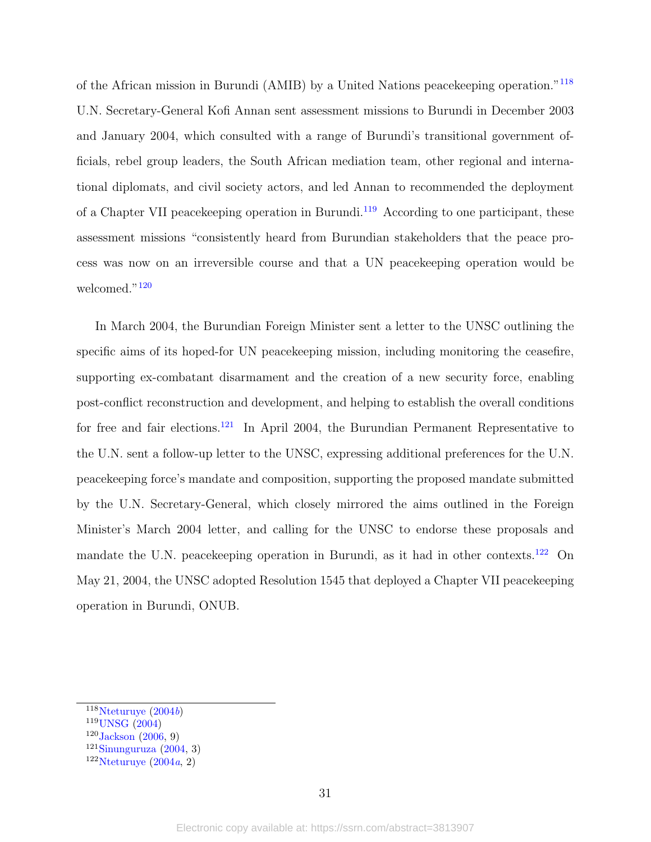of the African mission in Burundi (AMIB) by a United Nations peacekeeping operation."[118](#page-30-0) U.N. Secretary-General Kofi Annan sent assessment missions to Burundi in December 2003 and January 2004, which consulted with a range of Burundi's transitional government officials, rebel group leaders, the South African mediation team, other regional and international diplomats, and civil society actors, and led Annan to recommended the deployment of a Chapter VII peacekeeping operation in Burundi.[119](#page-30-1) According to one participant, these assessment missions "consistently heard from Burundian stakeholders that the peace process was now on an irreversible course and that a UN peacekeeping operation would be welcomed."<sup>[120](#page-30-2)</sup>

In March 2004, the Burundian Foreign Minister sent a letter to the UNSC outlining the specific aims of its hoped-for UN peacekeeping mission, including monitoring the ceasefire, supporting ex-combatant disarmament and the creation of a new security force, enabling post-conflict reconstruction and development, and helping to establish the overall conditions for free and fair elections.<sup>[121](#page-30-3)</sup> In April 2004, the Burundian Permanent Representative to the U.N. sent a follow-up letter to the UNSC, expressing additional preferences for the U.N. peacekeeping force's mandate and composition, supporting the proposed mandate submitted by the U.N. Secretary-General, which closely mirrored the aims outlined in the Foreign Minister's March 2004 letter, and calling for the UNSC to endorse these proposals and mandate the U.N. peacekeeping operation in Burundi, as it had in other contexts.[122](#page-30-4) On May 21, 2004, the UNSC adopted Resolution 1545 that deployed a Chapter VII peacekeeping operation in Burundi, ONUB.

<span id="page-30-0"></span> $118$ [Nteturuye](#page-47-9)  $(2004b)$  $(2004b)$ 

<span id="page-30-1"></span><sup>119</sup>[UNSG](#page-51-5) [\(2004\)](#page-51-5)

<span id="page-30-2"></span> $120$  [Jackson](#page-44-7) [\(2006,](#page-44-7) 9)

<span id="page-30-3"></span> $121$ [Sinunguruza](#page-50-10) [\(2004,](#page-50-10) 3)

<span id="page-30-4"></span> $122$ Nteturuve  $(2004a, 2)$  $(2004a, 2)$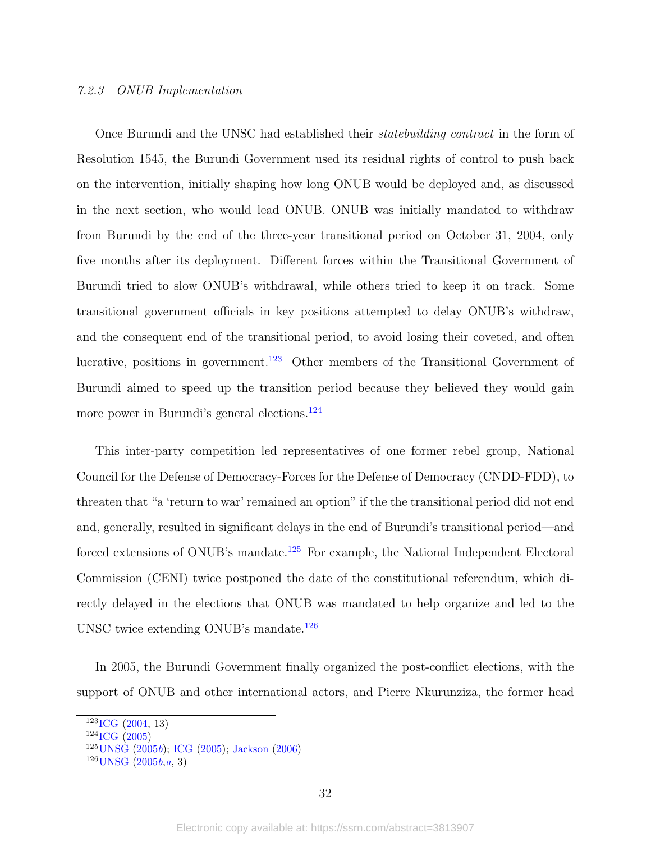#### 7.2.3 ONUB Implementation

Once Burundi and the UNSC had established their *statebuilding contract* in the form of Resolution 1545, the Burundi Government used its residual rights of control to push back on the intervention, initially shaping how long ONUB would be deployed and, as discussed in the next section, who would lead ONUB. ONUB was initially mandated to withdraw from Burundi by the end of the three-year transitional period on October 31, 2004, only five months after its deployment. Different forces within the Transitional Government of Burundi tried to slow ONUB's withdrawal, while others tried to keep it on track. Some transitional government officials in key positions attempted to delay ONUB's withdraw, and the consequent end of the transitional period, to avoid losing their coveted, and often lucrative, positions in government.<sup>[123](#page-31-0)</sup> Other members of the Transitional Government of Burundi aimed to speed up the transition period because they believed they would gain more power in Burundi's general elections.<sup>[124](#page-31-1)</sup>

This inter-party competition led representatives of one former rebel group, National Council for the Defense of Democracy-Forces for the Defense of Democracy (CNDD-FDD), to threaten that "a 'return to war' remained an option" if the the transitional period did not end and, generally, resulted in significant delays in the end of Burundi's transitional period—and forced extensions of ONUB's mandate.<sup>[125](#page-31-2)</sup> For example, the National Independent Electoral Commission (CENI) twice postponed the date of the constitutional referendum, which directly delayed in the elections that ONUB was mandated to help organize and led to the UNSC twice extending ONUB's mandate.[126](#page-31-3)

In 2005, the Burundi Government finally organized the post-conflict elections, with the support of ONUB and other international actors, and Pierre Nkurunziza, the former head

<span id="page-31-3"></span> $126$  [UNSG](#page-51-6)  $(2005b,a, 3)$  $(2005b,a, 3)$  $(2005b,a, 3)$  $(2005b,a, 3)$ 

<span id="page-31-0"></span> $123$ <sub>[ICG](#page-44-8)</sub> [\(2004,](#page-44-8) 13)

<span id="page-31-1"></span> $124$ <sub>[ICG](#page-44-9)</sub> [\(2005\)](#page-44-9)

<span id="page-31-2"></span> $125$ [UNSG](#page-51-6) [\(2005](#page-51-6)b); [ICG](#page-44-9) [\(2005\)](#page-44-9); [Jackson](#page-44-7) [\(2006\)](#page-44-7)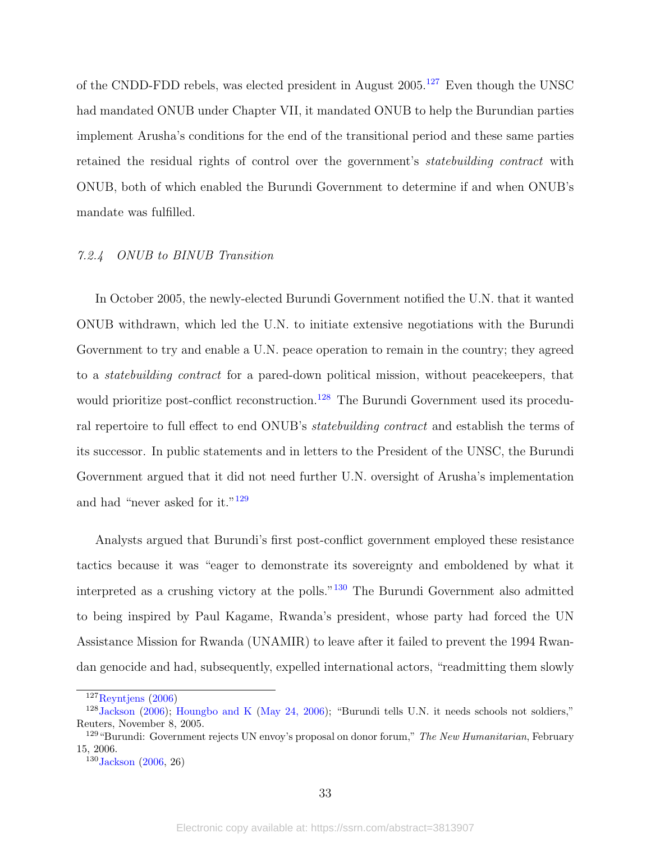of the CNDD-FDD rebels, was elected president in August  $2005$ .<sup>[127](#page-32-0)</sup> Even though the UNSC had mandated ONUB under Chapter VII, it mandated ONUB to help the Burundian parties implement Arusha's conditions for the end of the transitional period and these same parties retained the residual rights of control over the government's statebuilding contract with ONUB, both of which enabled the Burundi Government to determine if and when ONUB's mandate was fulfilled.

#### 7.2.4 ONUB to BINUB Transition

In October 2005, the newly-elected Burundi Government notified the U.N. that it wanted ONUB withdrawn, which led the U.N. to initiate extensive negotiations with the Burundi Government to try and enable a U.N. peace operation to remain in the country; they agreed to a statebuilding contract for a pared-down political mission, without peacekeepers, that would prioritize post-conflict reconstruction.<sup>[128](#page-32-1)</sup> The Burundi Government used its procedural repertoire to full effect to end ONUB's statebuilding contract and establish the terms of its successor. In public statements and in letters to the President of the UNSC, the Burundi Government argued that it did not need further U.N. oversight of Arusha's implementation and had "never asked for it."[129](#page-32-2)

Analysts argued that Burundi's first post-conflict government employed these resistance tactics because it was "eager to demonstrate its sovereignty and emboldened by what it interpreted as a crushing victory at the polls."[130](#page-32-3) The Burundi Government also admitted to being inspired by Paul Kagame, Rwanda's president, whose party had forced the UN Assistance Mission for Rwanda (UNAMIR) to leave after it failed to prevent the 1994 Rwandan genocide and had, subsequently, expelled international actors, "readmitting them slowly

<span id="page-32-1"></span><span id="page-32-0"></span> $127$ [Reyntjens](#page-49-11) [\(2006\)](#page-49-11)

<sup>128</sup>[Jackson](#page-44-7) [\(2006\)](#page-44-7); [Houngbo and K](#page-43-11) [\(May 24, 2006\)](#page-43-11); "Burundi tells U.N. it needs schools not soldiers," Reuters, November 8, 2005.

<span id="page-32-2"></span><sup>&</sup>lt;sup>129</sup> "Burundi: Government rejects UN envoy's proposal on donor forum," The New Humanitarian, February 15, 2006.

<span id="page-32-3"></span> $130$  [Jackson](#page-44-7) [\(2006,](#page-44-7) 26)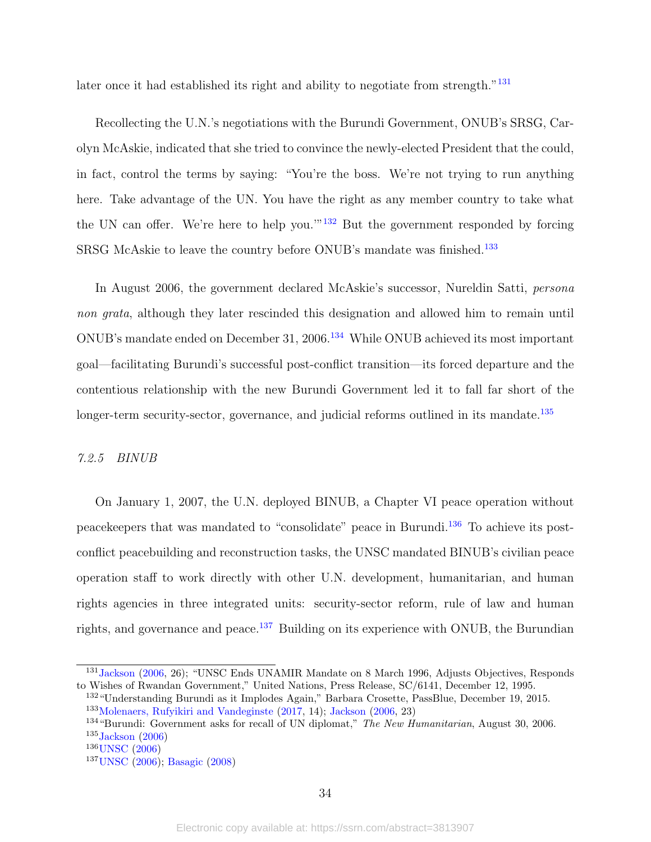later once it had established its right and ability to negotiate from strength."<sup>[131](#page-33-0)</sup>

Recollecting the U.N.'s negotiations with the Burundi Government, ONUB's SRSG, Carolyn McAskie, indicated that she tried to convince the newly-elected President that the could, in fact, control the terms by saying: "You're the boss. We're not trying to run anything here. Take advantage of the UN. You have the right as any member country to take what the UN can offer. We're here to help you.'"[132](#page-33-1) But the government responded by forcing SRSG McAskie to leave the country before ONUB's mandate was finished.<sup>[133](#page-33-2)</sup>

In August 2006, the government declared McAskie's successor, Nureldin Satti, persona non grata, although they later rescinded this designation and allowed him to remain until ONUB's mandate ended on December 31, 2006.[134](#page-33-3) While ONUB achieved its most important goal—facilitating Burundi's successful post-conflict transition—its forced departure and the contentious relationship with the new Burundi Government led it to fall far short of the longer-term security-sector, governance, and judicial reforms outlined in its mandate. $135$ 

#### 7.2.5 BINUB

On January 1, 2007, the U.N. deployed BINUB, a Chapter VI peace operation without peacekeepers that was mandated to "consolidate" peace in Burundi.[136](#page-33-5) To achieve its postconflict peacebuilding and reconstruction tasks, the UNSC mandated BINUB's civilian peace operation staff to work directly with other U.N. development, humanitarian, and human rights agencies in three integrated units: security-sector reform, rule of law and human rights, and governance and peace.<sup>[137](#page-33-6)</sup> Building on its experience with ONUB, the Burundian

<span id="page-33-2"></span><span id="page-33-1"></span><sup>132</sup>"Understanding Burundi as it Implodes Again," Barbara Crosette, PassBlue, December 19, 2015. <sup>133</sup>[Molenaers, Rufyikiri and Vandeginste](#page-47-11) [\(2017,](#page-47-11) 14); [Jackson](#page-44-7) [\(2006,](#page-44-7) 23)

<span id="page-33-0"></span><sup>&</sup>lt;sup>131</sup> [Jackson](#page-44-7) [\(2006,](#page-44-7) 26); "UNSC Ends UNAMIR Mandate on 8 March 1996, Adjusts Objectives, Responds to Wishes of Rwandan Government," United Nations, Press Release, SC/6141, December 12, 1995.

<span id="page-33-4"></span><span id="page-33-3"></span><sup>&</sup>lt;sup>134</sup> "Burundi: Government asks for recall of UN diplomat," The New Humanitarian, August 30, 2006.  $135$ [Jackson](#page-44-7) [\(2006\)](#page-44-7)

<span id="page-33-5"></span><sup>&</sup>lt;sup>136</sup>[UNSC](#page-50-11) [\(2006\)](#page-50-11)

<span id="page-33-6"></span><sup>137</sup>[UNSC](#page-50-11) [\(2006\)](#page-50-11); [Basagic](#page-39-10) [\(2008\)](#page-39-10)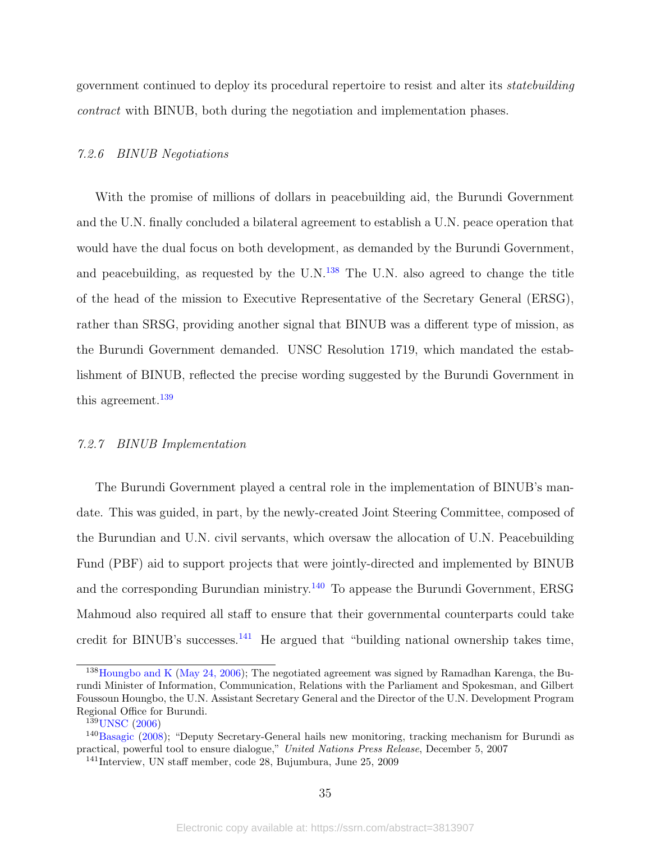government continued to deploy its procedural repertoire to resist and alter its statebuilding contract with BINUB, both during the negotiation and implementation phases.

#### 7.2.6 BINUB Negotiations

With the promise of millions of dollars in peacebuilding aid, the Burundi Government and the U.N. finally concluded a bilateral agreement to establish a U.N. peace operation that would have the dual focus on both development, as demanded by the Burundi Government, and peacebuilding, as requested by the  $U.N.<sup>138</sup>$  $U.N.<sup>138</sup>$  $U.N.<sup>138</sup>$  The U.N. also agreed to change the title of the head of the mission to Executive Representative of the Secretary General (ERSG), rather than SRSG, providing another signal that BINUB was a different type of mission, as the Burundi Government demanded. UNSC Resolution 1719, which mandated the establishment of BINUB, reflected the precise wording suggested by the Burundi Government in this agreement.<sup>[139](#page-34-1)</sup>

#### 7.2.7 BINUB Implementation

The Burundi Government played a central role in the implementation of BINUB's mandate. This was guided, in part, by the newly-created Joint Steering Committee, composed of the Burundian and U.N. civil servants, which oversaw the allocation of U.N. Peacebuilding Fund (PBF) aid to support projects that were jointly-directed and implemented by BINUB and the corresponding Burundian ministry.[140](#page-34-2) To appease the Burundi Government, ERSG Mahmoud also required all staff to ensure that their governmental counterparts could take credit for BINUB's successes.<sup>[141](#page-34-3)</sup> He argued that "building national ownership takes time,

<span id="page-34-0"></span><sup>&</sup>lt;sup>138</sup>[Houngbo and K](#page-43-11) [\(May 24, 2006\)](#page-43-11); The negotiated agreement was signed by Ramadhan Karenga, the Burundi Minister of Information, Communication, Relations with the Parliament and Spokesman, and Gilbert Foussoun Houngbo, the U.N. Assistant Secretary General and the Director of the U.N. Development Program Regional Office for Burundi.

<span id="page-34-2"></span><span id="page-34-1"></span><sup>139</sup>[UNSC](#page-50-11) [\(2006\)](#page-50-11)

<sup>140</sup>[Basagic](#page-39-10) [\(2008\)](#page-39-10); "Deputy Secretary-General hails new monitoring, tracking mechanism for Burundi as practical, powerful tool to ensure dialogue," United Nations Press Release, December 5, 2007

<span id="page-34-3"></span><sup>141</sup>Interview, UN staff member, code 28, Bujumbura, June 25, 2009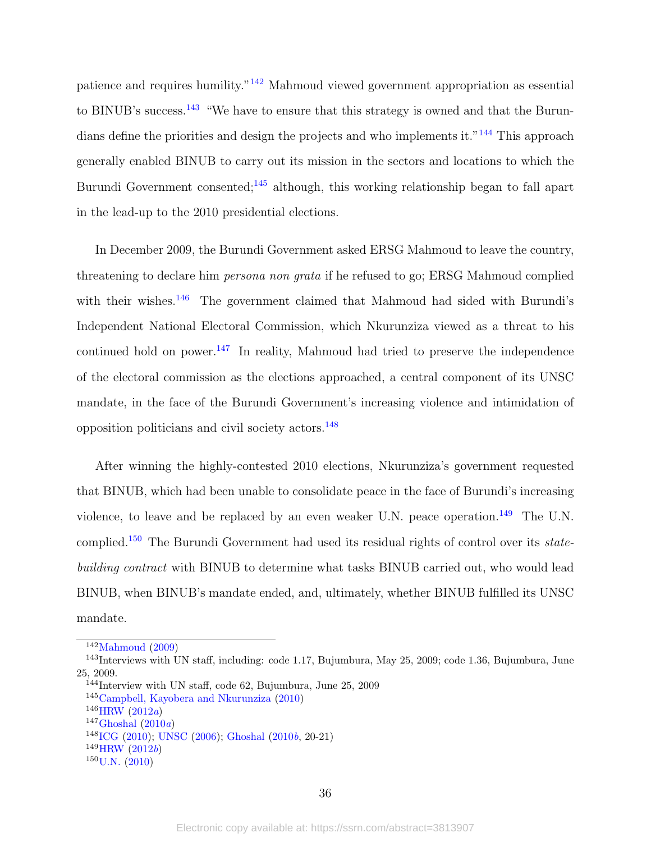patience and requires humility."[142](#page-35-0) Mahmoud viewed government appropriation as essential to BINUB's success.<sup>[143](#page-35-1)</sup> "We have to ensure that this strategy is owned and that the Burun-dians define the priorities and design the projects and who implements it."<sup>[144](#page-35-2)</sup> This approach generally enabled BINUB to carry out its mission in the sectors and locations to which the Burundi Government consented;<sup>[145](#page-35-3)</sup> although, this working relationship began to fall apart in the lead-up to the 2010 presidential elections.

In December 2009, the Burundi Government asked ERSG Mahmoud to leave the country, threatening to declare him persona non grata if he refused to go; ERSG Mahmoud complied with their wishes.<sup>[146](#page-35-4)</sup> The government claimed that Mahmoud had sided with Burundi's Independent National Electoral Commission, which Nkurunziza viewed as a threat to his continued hold on power.<sup>[147](#page-35-5)</sup> In reality, Mahmoud had tried to preserve the independence of the electoral commission as the elections approached, a central component of its UNSC mandate, in the face of the Burundi Government's increasing violence and intimidation of opposition politicians and civil society actors.[148](#page-35-6)

After winning the highly-contested 2010 elections, Nkurunziza's government requested that BINUB, which had been unable to consolidate peace in the face of Burundi's increasing violence, to leave and be replaced by an even weaker U.N. peace operation.<sup>[149](#page-35-7)</sup> The U.N. complied.[150](#page-35-8) The Burundi Government had used its residual rights of control over its statebuilding contract with BINUB to determine what tasks BINUB carried out, who would lead BINUB, when BINUB's mandate ended, and, ultimately, whether BINUB fulfilled its UNSC mandate.

<span id="page-35-1"></span><span id="page-35-0"></span> $142$ [Mahmoud](#page-46-11) [\(2009\)](#page-46-11)

<sup>143</sup>Interviews with UN staff, including: code 1.17, Bujumbura, May 25, 2009; code 1.36, Bujumbura, June 25, 2009.

<span id="page-35-2"></span><sup>144</sup>Interview with UN staff, code 62, Bujumbura, June 25, 2009

<span id="page-35-3"></span><sup>145</sup>[Campbell, Kayobera and Nkurunziza](#page-40-10) [\(2010\)](#page-40-10)

<span id="page-35-4"></span> $146$ [HRW](#page-44-10)  $(2012a)$  $(2012a)$ 

<span id="page-35-5"></span> $147\text{Ghoshal}$  $147\text{Ghoshal}$  $147\text{Ghoshal}$  [\(2010](#page-42-12)a)

<span id="page-35-6"></span><sup>148</sup>[ICG](#page-44-11) [\(2010\)](#page-44-11); [UNSC](#page-50-11) [\(2006\)](#page-50-11); [Ghoshal](#page-42-13) [\(2010](#page-42-13)b, 20-21)

<span id="page-35-7"></span> $149$ [HRW](#page-44-12)  $(2012b)$  $(2012b)$ 

<span id="page-35-8"></span> $150$  [U.N.](#page-50-12)  $(2010)$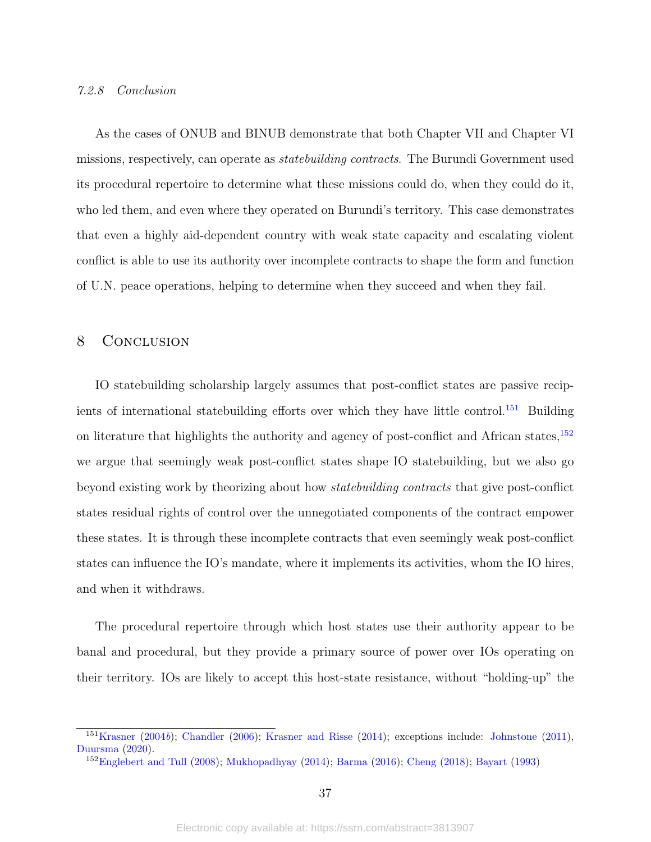#### 7.2.8 Conclusion

As the cases of ONUB and BINUB demonstrate that both Chapter VII and Chapter VI missions, respectively, can operate as statebuilding contracts. The Burundi Government used its procedural repertoire to determine what these missions could do, when they could do it, who led them, and even where they operated on Burundi's territory. This case demonstrates that even a highly aid-dependent country with weak state capacity and escalating violent conflict is able to use its authority over incomplete contracts to shape the form and function of U.N. peace operations, helping to determine when they succeed and when they fail.

# 8 CONCLUSION

IO statebuilding scholarship largely assumes that post-conflict states are passive recip-ients of international statebuilding efforts over which they have little control.<sup>[151](#page-36-0)</sup> Building on literature that highlights the authority and agency of post-conflict and African states,<sup>[152](#page-36-1)</sup> we argue that seemingly weak post-conflict states shape IO statebuilding, but we also go beyond existing work by theorizing about how statebuilding contracts that give post-conflict states residual rights of control over the unnegotiated components of the contract empower these states. It is through these incomplete contracts that even seemingly weak post-conflict states can influence the IO's mandate, where it implements its activities, whom the IO hires, and when it withdraws.

The procedural repertoire through which host states use their authority appear to be banal and procedural, but they provide a primary source of power over IOs operating on their territory. IOs are likely to accept this host-state resistance, without "holding-up" the

<span id="page-36-0"></span><sup>151</sup>[Krasner](#page-45-1) [\(2004](#page-45-1)b); [Chandler](#page-41-4) [\(2006\)](#page-41-4); [Krasner and Risse](#page-45-2) [\(2014\)](#page-45-2); exceptions include: [Johnstone](#page-45-4) [\(2011\)](#page-45-4), [Duursma](#page-42-4) [\(2020\)](#page-42-4).

<span id="page-36-1"></span><sup>152</sup>[Englebert and Tull](#page-42-3) [\(2008\)](#page-42-3); [Mukhopadhyay](#page-47-0) [\(2014\)](#page-47-0); [Barma](#page-39-3) [\(2016\)](#page-39-3); [Cheng](#page-41-3) [\(2018\)](#page-41-3); [Bayart](#page-39-7) [\(1993\)](#page-39-7)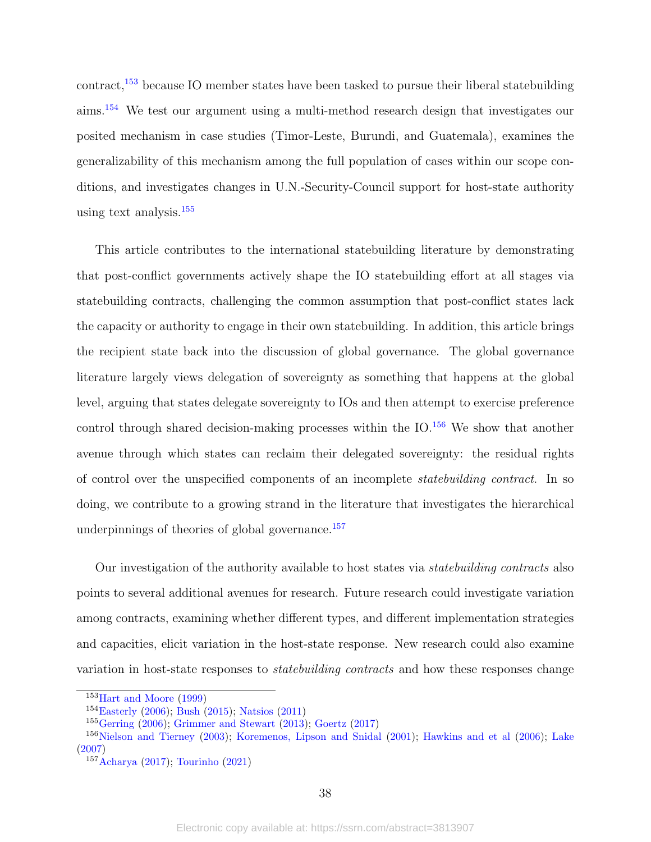contract,[153](#page-37-0) because IO member states have been tasked to pursue their liberal statebuilding aims.[154](#page-37-1) We test our argument using a multi-method research design that investigates our posited mechanism in case studies (Timor-Leste, Burundi, and Guatemala), examines the generalizability of this mechanism among the full population of cases within our scope conditions, and investigates changes in U.N.-Security-Council support for host-state authority using text analysis.[155](#page-37-2)

This article contributes to the international statebuilding literature by demonstrating that post-conflict governments actively shape the IO statebuilding effort at all stages via statebuilding contracts, challenging the common assumption that post-conflict states lack the capacity or authority to engage in their own statebuilding. In addition, this article brings the recipient state back into the discussion of global governance. The global governance literature largely views delegation of sovereignty as something that happens at the global level, arguing that states delegate sovereignty to IOs and then attempt to exercise preference control through shared decision-making processes within the IO.<sup>[156](#page-37-3)</sup> We show that another avenue through which states can reclaim their delegated sovereignty: the residual rights of control over the unspecified components of an incomplete statebuilding contract. In so doing, we contribute to a growing strand in the literature that investigates the hierarchical underpinnings of theories of global governance.<sup>[157](#page-37-4)</sup>

Our investigation of the authority available to host states via *statebuilding contracts* also points to several additional avenues for research. Future research could investigate variation among contracts, examining whether different types, and different implementation strategies and capacities, elicit variation in the host-state response. New research could also examine variation in host-state responses to statebuilding contracts and how these responses change

<span id="page-37-0"></span><sup>153</sup>[Hart and Moore](#page-43-8) [\(1999\)](#page-43-8)

<span id="page-37-1"></span><sup>154</sup>[Easterly](#page-42-14) [\(2006\)](#page-42-14); [Bush](#page-40-7) [\(2015\)](#page-40-7); [Natsios](#page-47-6) [\(2011\)](#page-47-6)

<span id="page-37-3"></span><span id="page-37-2"></span><sup>155</sup>[Gerring](#page-42-5) [\(2006\)](#page-42-5); [Grimmer and Stewart](#page-43-12) [\(2013\)](#page-43-12); [Goertz](#page-43-1) [\(2017\)](#page-43-1)

<sup>156</sup>[Nielson and Tierney](#page-47-3) [\(2003\)](#page-47-3); [Koremenos, Lipson and Snidal](#page-45-12) [\(2001\)](#page-45-12); [Hawkins and et al](#page-43-4) [\(2006\)](#page-43-4); [Lake](#page-45-8) [\(2007\)](#page-45-8)

<span id="page-37-4"></span><sup>157</sup>[Acharya](#page-39-11) [\(2017\)](#page-39-11); [Tourinho](#page-50-2) [\(2021\)](#page-50-2)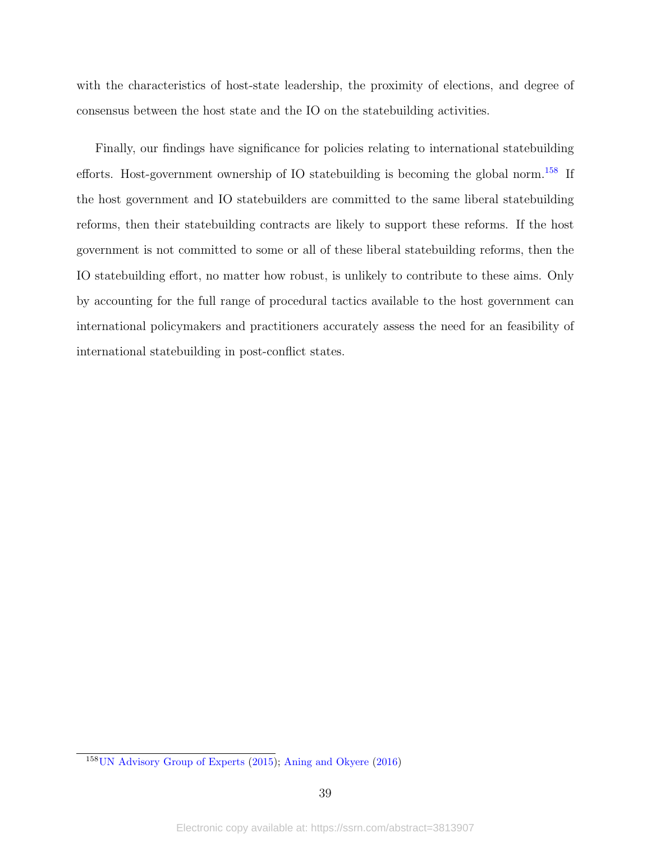with the characteristics of host-state leadership, the proximity of elections, and degree of consensus between the host state and the IO on the statebuilding activities.

Finally, our findings have significance for policies relating to international statebuilding efforts. Host-government ownership of IO statebuilding is becoming the global norm.<sup>[158](#page-38-0)</sup> If the host government and IO statebuilders are committed to the same liberal statebuilding reforms, then their statebuilding contracts are likely to support these reforms. If the host government is not committed to some or all of these liberal statebuilding reforms, then the IO statebuilding effort, no matter how robust, is unlikely to contribute to these aims. Only by accounting for the full range of procedural tactics available to the host government can international policymakers and practitioners accurately assess the need for an feasibility of international statebuilding in post-conflict states.

<span id="page-38-0"></span><sup>158</sup>[UN Advisory Group of Experts](#page-50-3) [\(2015\)](#page-50-3); [Aning and Okyere](#page-39-12) [\(2016\)](#page-39-12)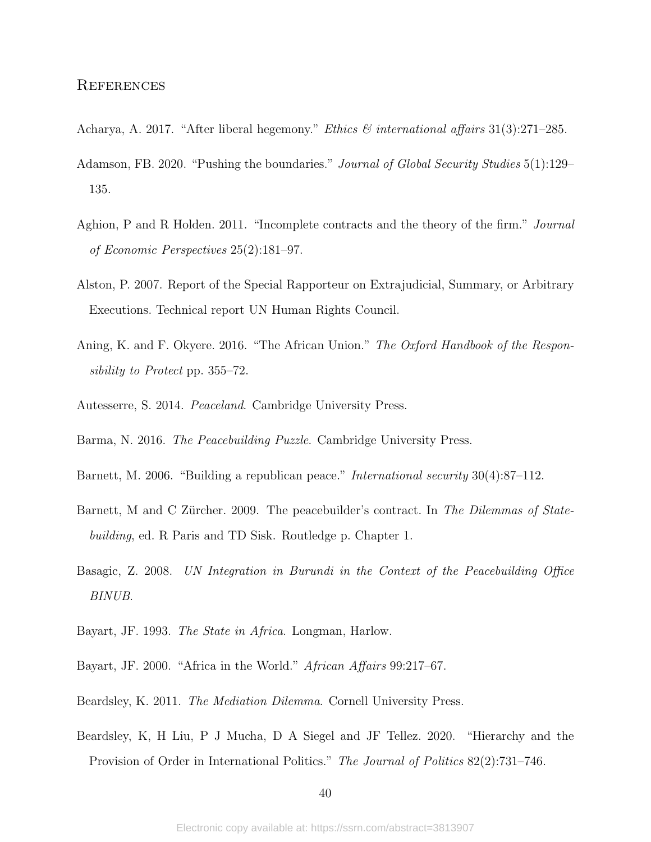- <span id="page-39-11"></span>Acharya, A. 2017. "After liberal hegemony." Ethics & international affairs 31(3):271–285.
- <span id="page-39-5"></span>Adamson, FB. 2020. "Pushing the boundaries." Journal of Global Security Studies 5(1):129– 135.
- <span id="page-39-9"></span>Aghion, P and R Holden. 2011. "Incomplete contracts and the theory of the firm." Journal of Economic Perspectives 25(2):181–97.
- <span id="page-39-13"></span>Alston, P. 2007. Report of the Special Rapporteur on Extrajudicial, Summary, or Arbitrary Executions. Technical report UN Human Rights Council.
- <span id="page-39-12"></span>Aning, K. and F. Okyere. 2016. "The African Union." The Oxford Handbook of the Responsibility to Protect pp. 355–72.
- <span id="page-39-6"></span><span id="page-39-3"></span>Autesserre, S. 2014. Peaceland. Cambridge University Press.
- Barma, N. 2016. The Peacebuilding Puzzle. Cambridge University Press.
- <span id="page-39-0"></span>Barnett, M. 2006. "Building a republican peace." International security 30(4):87–112.
- <span id="page-39-2"></span>Barnett, M and C Zürcher. 2009. The peacebuilder's contract. In The Dilemmas of Statebuilding, ed. R Paris and TD Sisk. Routledge p. Chapter 1.
- <span id="page-39-10"></span>Basagic, Z. 2008. UN Integration in Burundi in the Context of the Peacebuilding Office BINUB.
- <span id="page-39-7"></span>Bayart, JF. 1993. The State in Africa. Longman, Harlow.
- <span id="page-39-8"></span>Bayart, JF. 2000. "Africa in the World." African Affairs 99:217–67.
- <span id="page-39-1"></span>Beardsley, K. 2011. The Mediation Dilemma. Cornell University Press.
- <span id="page-39-4"></span>Beardsley, K, H Liu, P J Mucha, D A Siegel and JF Tellez. 2020. "Hierarchy and the Provision of Order in International Politics." The Journal of Politics 82(2):731–746.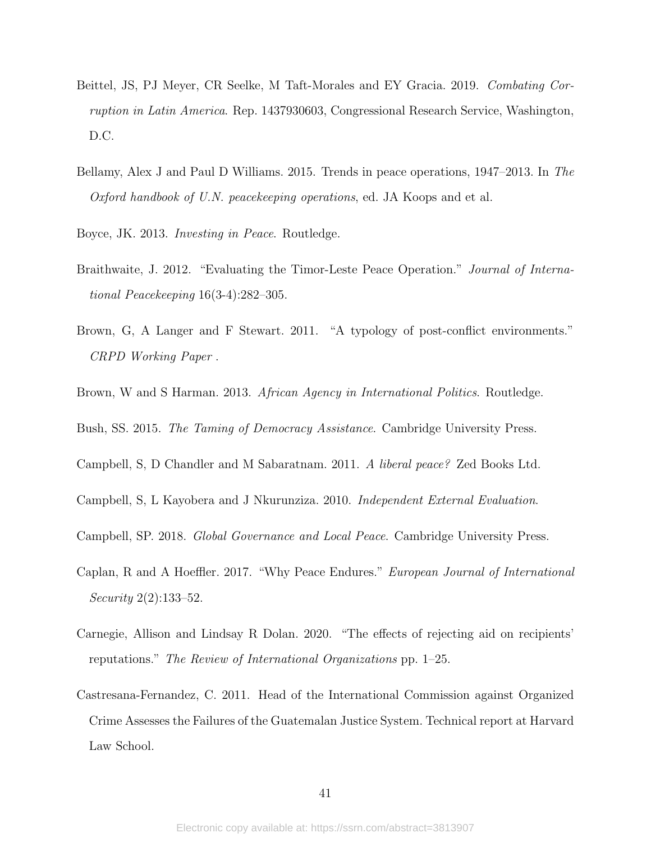- <span id="page-40-12"></span>Beittel, JS, PJ Meyer, CR Seelke, M Taft-Morales and EY Gracia. 2019. Combating Corruption in Latin America. Rep. 1437930603, Congressional Research Service, Washington, D.C.
- <span id="page-40-6"></span>Bellamy, Alex J and Paul D Williams. 2015. Trends in peace operations, 1947–2013. In The Oxford handbook of U.N. peacekeeping operations, ed. JA Koops and et al.
- <span id="page-40-1"></span>Boyce, JK. 2013. Investing in Peace. Routledge.
- <span id="page-40-8"></span>Braithwaite, J. 2012. "Evaluating the Timor-Leste Peace Operation." Journal of International Peacekeeping 16(3-4):282–305.
- <span id="page-40-2"></span>Brown, G, A Langer and F Stewart. 2011. "A typology of post-conflict environments." CRPD Working Paper .
- <span id="page-40-5"></span>Brown, W and S Harman. 2013. African Agency in International Politics. Routledge.

<span id="page-40-7"></span>Bush, SS. 2015. The Taming of Democracy Assistance. Cambridge University Press.

- <span id="page-40-3"></span>Campbell, S, D Chandler and M Sabaratnam. 2011. A liberal peace? Zed Books Ltd.
- <span id="page-40-10"></span>Campbell, S, L Kayobera and J Nkurunziza. 2010. Independent External Evaluation.
- <span id="page-40-0"></span>Campbell, SP. 2018. Global Governance and Local Peace. Cambridge University Press.
- <span id="page-40-9"></span>Caplan, R and A Hoeffler. 2017. "Why Peace Endures." European Journal of International Security 2(2):133–52.
- <span id="page-40-4"></span>Carnegie, Allison and Lindsay R Dolan. 2020. "The effects of rejecting aid on recipients' reputations." The Review of International Organizations pp. 1–25.
- <span id="page-40-11"></span>Castresana-Fernandez, C. 2011. Head of the International Commission against Organized Crime Assesses the Failures of the Guatemalan Justice System. Technical report at Harvard Law School.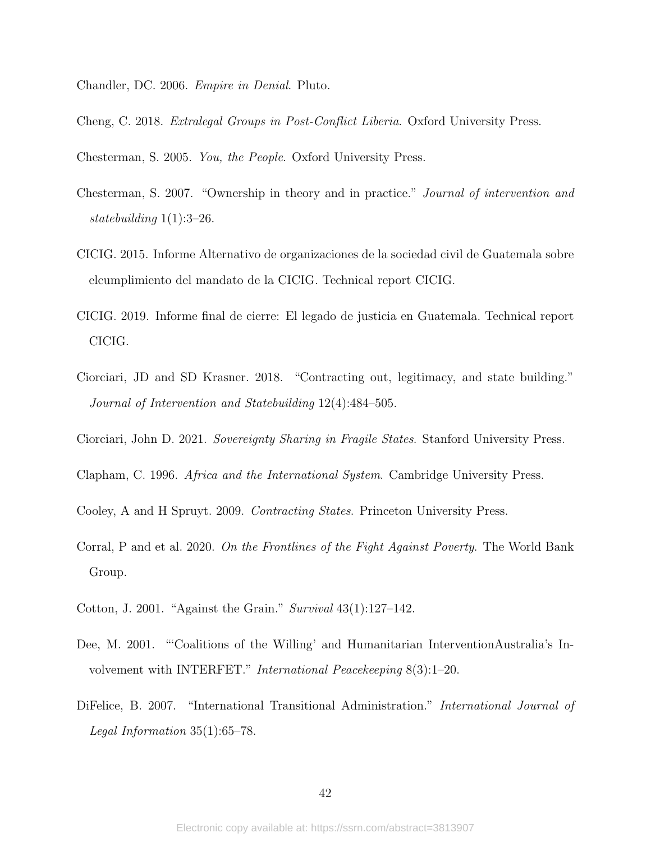<span id="page-41-4"></span>Chandler, DC. 2006. Empire in Denial. Pluto.

<span id="page-41-3"></span>Cheng, C. 2018. Extralegal Groups in Post-Conflict Liberia. Oxford University Press.

<span id="page-41-8"></span>Chesterman, S. 2005. You, the People. Oxford University Press.

- <span id="page-41-9"></span>Chesterman, S. 2007. "Ownership in theory and in practice." Journal of intervention and statebuilding 1(1):3–26.
- <span id="page-41-12"></span>CICIG. 2015. Informe Alternativo de organizaciones de la sociedad civil de Guatemala sobre elcumplimiento del mandato de la CICIG. Technical report CICIG.
- <span id="page-41-13"></span>CICIG. 2019. Informe final de cierre: El legado de justicia en Guatemala. Technical report CICIG.
- <span id="page-41-1"></span>Ciorciari, JD and SD Krasner. 2018. "Contracting out, legitimacy, and state building." Journal of Intervention and Statebuilding 12(4):484–505.
- <span id="page-41-2"></span>Ciorciari, John D. 2021. Sovereignty Sharing in Fragile States. Stanford University Press.
- <span id="page-41-5"></span>Clapham, C. 1996. Africa and the International System. Cambridge University Press.
- <span id="page-41-0"></span>Cooley, A and H Spruyt. 2009. Contracting States. Princeton University Press.
- <span id="page-41-6"></span>Corral, P and et al. 2020. On the Frontlines of the Fight Against Poverty. The World Bank Group.
- <span id="page-41-10"></span>Cotton, J. 2001. "Against the Grain." Survival 43(1):127–142.
- <span id="page-41-11"></span>Dee, M. 2001. "'Coalitions of the Willing' and Humanitarian InterventionAustralia's Involvement with INTERFET." International Peacekeeping 8(3):1–20.
- <span id="page-41-7"></span>DiFelice, B. 2007. "International Transitional Administration." International Journal of Legal Information 35(1):65–78.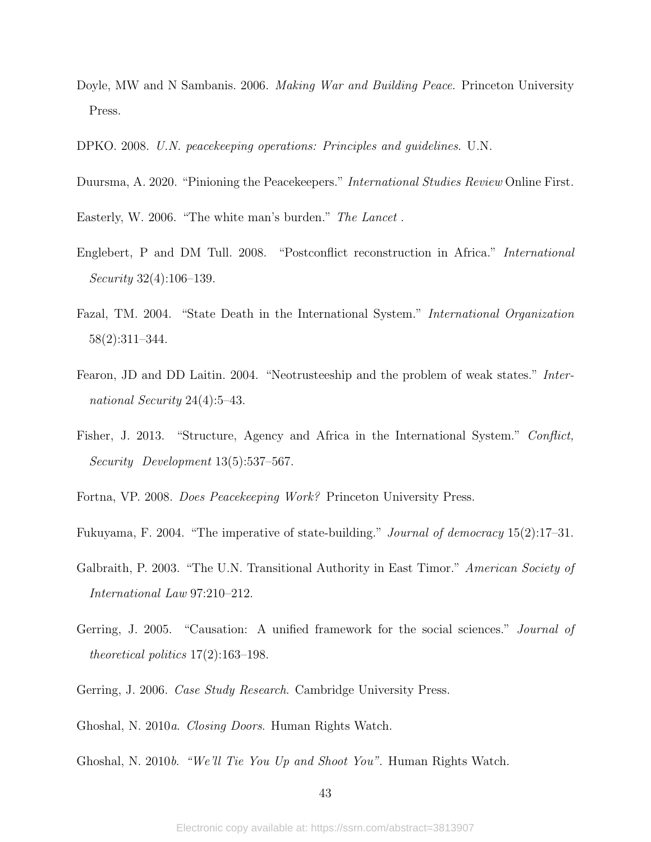- <span id="page-42-2"></span>Doyle, MW and N Sambanis. 2006. Making War and Building Peace. Princeton University Press.
- <span id="page-42-9"></span>DPKO. 2008. U.N. peacekeeping operations: Principles and guidelines. U.N.
- <span id="page-42-4"></span>Duursma, A. 2020. "Pinioning the Peacekeepers." International Studies Review Online First.
- <span id="page-42-14"></span>Easterly, W. 2006. "The white man's burden." The Lancet .
- <span id="page-42-3"></span>Englebert, P and DM Tull. 2008. "Postconflict reconstruction in Africa." International Security 32(4):106–139.
- <span id="page-42-8"></span>Fazal, TM. 2004. "State Death in the International System." International Organization 58(2):311–344.
- <span id="page-42-1"></span>Fearon, JD and DD Laitin. 2004. "Neotrusteeship and the problem of weak states." International Security 24(4):5–43.
- <span id="page-42-7"></span>Fisher, J. 2013. "Structure, Agency and Africa in the International System." Conflict, Security Development 13(5):537–567.
- <span id="page-42-0"></span>Fortna, VP. 2008. Does Peacekeeping Work? Princeton University Press.
- <span id="page-42-6"></span>Fukuyama, F. 2004. "The imperative of state-building." Journal of democracy 15(2):17–31.
- <span id="page-42-11"></span>Galbraith, P. 2003. "The U.N. Transitional Authority in East Timor." American Society of International Law 97:210–212.
- <span id="page-42-10"></span>Gerring, J. 2005. "Causation: A unified framework for the social sciences." Journal of theoretical politics  $17(2)$ :163-198.
- <span id="page-42-5"></span>Gerring, J. 2006. *Case Study Research*. Cambridge University Press.
- <span id="page-42-12"></span>Ghoshal, N. 2010a. Closing Doors. Human Rights Watch.
- <span id="page-42-13"></span>Ghoshal, N. 2010b. "We'll Tie You Up and Shoot You". Human Rights Watch.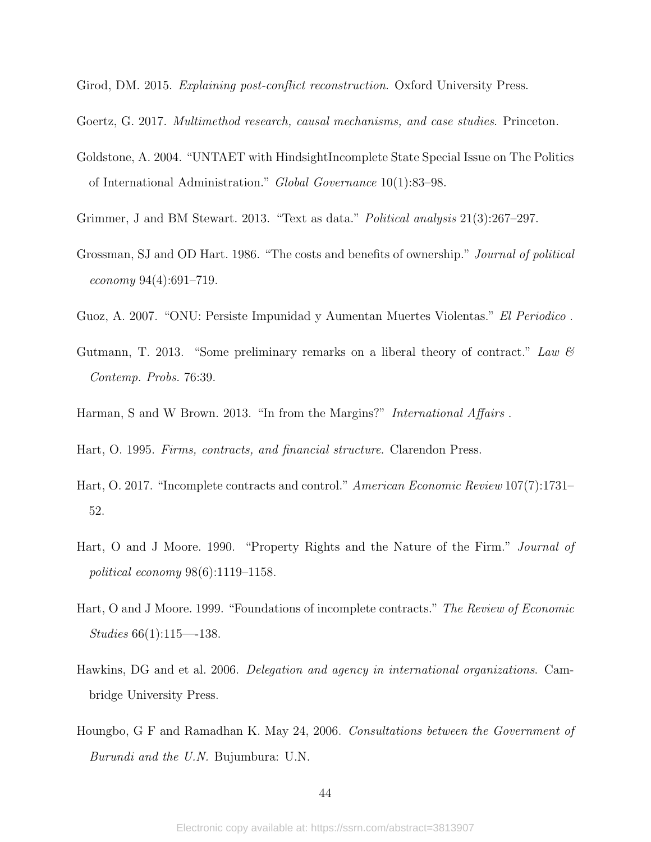<span id="page-43-3"></span>Girod, DM. 2015. Explaining post-conflict reconstruction. Oxford University Press.

- <span id="page-43-1"></span>Goertz, G. 2017. Multimethod research, causal mechanisms, and case studies. Princeton.
- <span id="page-43-10"></span>Goldstone, A. 2004. "UNTAET with HindsightIncomplete State Special Issue on The Politics of International Administration." Global Governance 10(1):83–98.
- <span id="page-43-12"></span>Grimmer, J and BM Stewart. 2013. "Text as data." Political analysis 21(3):267–297.
- <span id="page-43-0"></span>Grossman, SJ and OD Hart. 1986. "The costs and benefits of ownership." Journal of political economy 94(4):691–719.
- <span id="page-43-13"></span>Guoz, A. 2007. "ONU: Persiste Impunidad y Aumentan Muertes Violentas." El Periodico .
- <span id="page-43-2"></span>Gutmann, T. 2013. "Some preliminary remarks on a liberal theory of contract." Law  $\mathcal{C}$ Contemp. Probs. 76:39.
- <span id="page-43-5"></span>Harman, S and W Brown. 2013. "In from the Margins?" *International Affairs*.

<span id="page-43-6"></span>Hart, O. 1995. Firms, contracts, and financial structure. Clarendon Press.

- <span id="page-43-9"></span>Hart, O. 2017. "Incomplete contracts and control." American Economic Review 107(7):1731– 52.
- <span id="page-43-7"></span>Hart, O and J Moore. 1990. "Property Rights and the Nature of the Firm." Journal of political economy 98(6):1119–1158.
- <span id="page-43-8"></span>Hart, O and J Moore. 1999. "Foundations of incomplete contracts." The Review of Economic Studies 66(1):115—-138.
- <span id="page-43-4"></span>Hawkins, DG and et al. 2006. Delegation and agency in international organizations. Cambridge University Press.
- <span id="page-43-11"></span>Houngbo, G F and Ramadhan K. May 24, 2006. Consultations between the Government of Burundi and the U.N. Bujumbura: U.N.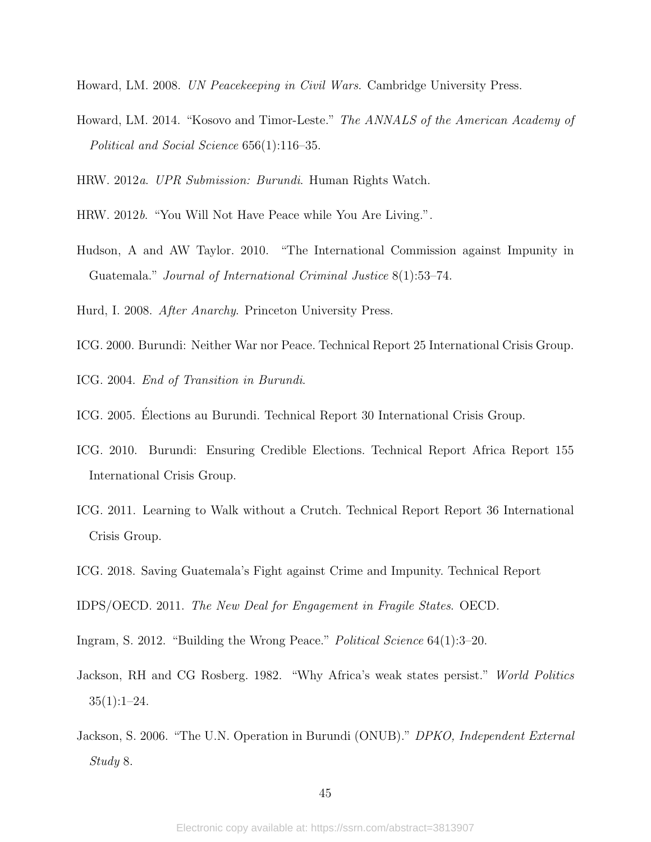- <span id="page-44-2"></span>Howard, LM. 2008. UN Peacekeeping in Civil Wars. Cambridge University Press.
- <span id="page-44-3"></span>Howard, LM. 2014. "Kosovo and Timor-Leste." The ANNALS of the American Academy of Political and Social Science 656(1):116–35.

<span id="page-44-10"></span>HRW. 2012a. UPR Submission: Burundi. Human Rights Watch.

- <span id="page-44-12"></span>HRW. 2012b. "You Will Not Have Peace while You Are Living.".
- <span id="page-44-13"></span>Hudson, A and AW Taylor. 2010. "The International Commission against Impunity in Guatemala." Journal of International Criminal Justice 8(1):53–74.
- <span id="page-44-1"></span>Hurd, I. 2008. After Anarchy. Princeton University Press.
- <span id="page-44-6"></span>ICG. 2000. Burundi: Neither War nor Peace. Technical Report 25 International Crisis Group.
- <span id="page-44-8"></span>ICG. 2004. End of Transition in Burundi.
- <span id="page-44-9"></span>ICG. 2005. Elections au Burundi. Technical Report 30 International Crisis Group. ´
- <span id="page-44-11"></span>ICG. 2010. Burundi: Ensuring Credible Elections. Technical Report Africa Report 155 International Crisis Group.
- <span id="page-44-15"></span>ICG. 2011. Learning to Walk without a Crutch. Technical Report Report 36 International Crisis Group.
- <span id="page-44-14"></span>ICG. 2018. Saving Guatemala's Fight against Crime and Impunity. Technical Report

<span id="page-44-0"></span>IDPS/OECD. 2011. The New Deal for Engagement in Fragile States. OECD.

<span id="page-44-5"></span>Ingram, S. 2012. "Building the Wrong Peace." Political Science 64(1):3–20.

- <span id="page-44-4"></span>Jackson, RH and CG Rosberg. 1982. "Why Africa's weak states persist." World Politics  $35(1):1-24.$
- <span id="page-44-7"></span>Jackson, S. 2006. "The U.N. Operation in Burundi (ONUB)." DPKO, Independent External Study 8.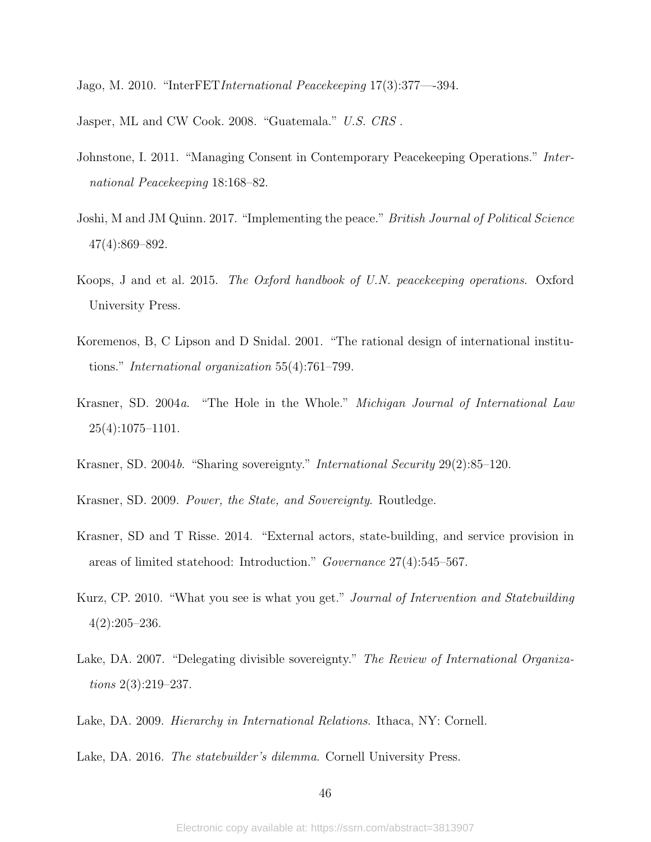<span id="page-45-11"></span>Jago, M. 2010. "InterFETInternational Peacekeeping 17(3):377—-394.

<span id="page-45-13"></span>Jasper, ML and CW Cook. 2008. "Guatemala." U.S. CRS .

- <span id="page-45-4"></span>Johnstone, I. 2011. "Managing Consent in Contemporary Peacekeeping Operations." International Peacekeeping 18:168–82.
- <span id="page-45-5"></span>Joshi, M and JM Quinn. 2017. "Implementing the peace." British Journal of Political Science 47(4):869–892.
- <span id="page-45-10"></span>Koops, J and et al. 2015. The Oxford handbook of U.N. peacekeeping operations. Oxford University Press.
- <span id="page-45-12"></span>Koremenos, B, C Lipson and D Snidal. 2001. "The rational design of international institutions." International organization 55(4):761–799.
- <span id="page-45-7"></span>Krasner, SD. 2004a. "The Hole in the Whole." Michigan Journal of International Law 25(4):1075–1101.
- <span id="page-45-1"></span>Krasner, SD. 2004b. "Sharing sovereignty." International Security 29(2):85–120.
- <span id="page-45-9"></span>Krasner, SD. 2009. Power, the State, and Sovereignty. Routledge.
- <span id="page-45-2"></span>Krasner, SD and T Risse. 2014. "External actors, state-building, and service provision in areas of limited statehood: Introduction." Governance 27(4):545–567.
- <span id="page-45-6"></span>Kurz, CP. 2010. "What you see is what you get." Journal of Intervention and Statebuilding 4(2):205–236.
- <span id="page-45-8"></span>Lake, DA. 2007. "Delegating divisible sovereignty." The Review of International Organizations 2(3):219–237.
- <span id="page-45-3"></span>Lake, DA. 2009. Hierarchy in International Relations. Ithaca, NY: Cornell.
- <span id="page-45-0"></span>Lake, DA. 2016. The statebuilder's dilemma. Cornell University Press.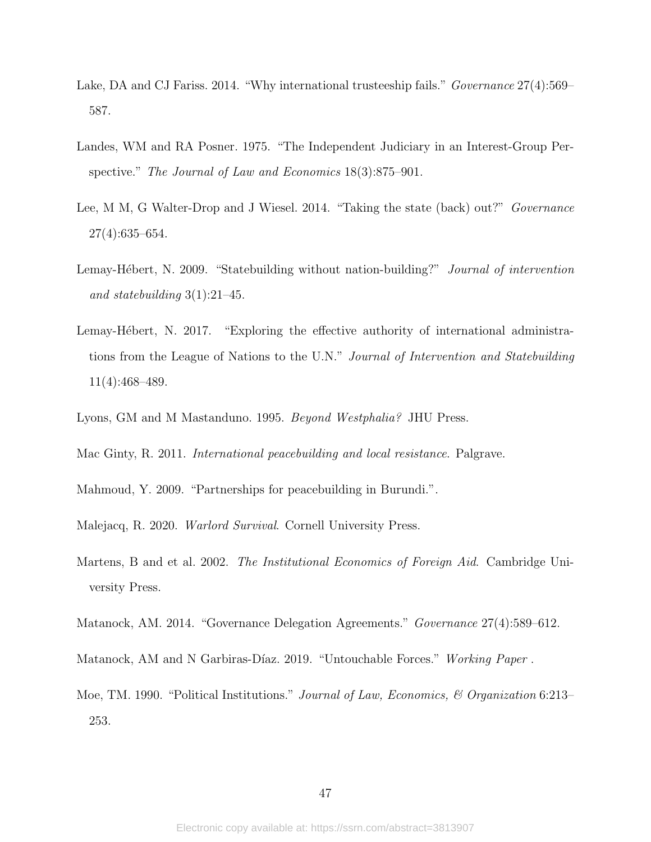- <span id="page-46-1"></span>Lake, DA and CJ Fariss. 2014. "Why international trusteeship fails." *Governance* 27(4):569– 587.
- <span id="page-46-9"></span>Landes, WM and RA Posner. 1975. "The Independent Judiciary in an Interest-Group Perspective." The Journal of Law and Economics 18(3):875–901.
- <span id="page-46-4"></span>Lee, M M, G Walter-Drop and J Wiesel. 2014. "Taking the state (back) out?" *Governance* 27(4):635–654.
- <span id="page-46-2"></span>Lemay-Hébert, N. 2009. "Statebuilding without nation-building?" *Journal of intervention* and statebuilding  $3(1):21-45$ .
- <span id="page-46-5"></span>Lemay-Hébert, N. 2017. "Exploring the effective authority of international administrations from the League of Nations to the U.N." Journal of Intervention and Statebuilding 11(4):468–489.
- <span id="page-46-3"></span>Lyons, GM and M Mastanduno. 1995. Beyond Westphalia? JHU Press.
- <span id="page-46-0"></span>Mac Ginty, R. 2011. International peacebuilding and local resistance. Palgrave.
- <span id="page-46-11"></span>Mahmoud, Y. 2009. "Partnerships for peacebuilding in Burundi.".
- <span id="page-46-7"></span>Malejacq, R. 2020. Warlord Survival. Cornell University Press.
- <span id="page-46-6"></span>Martens, B and et al. 2002. The Institutional Economics of Foreign Aid. Cambridge University Press.
- <span id="page-46-10"></span>Matanock, AM. 2014. "Governance Delegation Agreements." Governance 27(4):589–612.
- <span id="page-46-12"></span>Matanock, AM and N Garbiras-Díaz. 2019. "Untouchable Forces." Working Paper.
- <span id="page-46-8"></span>Moe, TM. 1990. "Political Institutions." Journal of Law, Economics, & Organization 6:213– 253.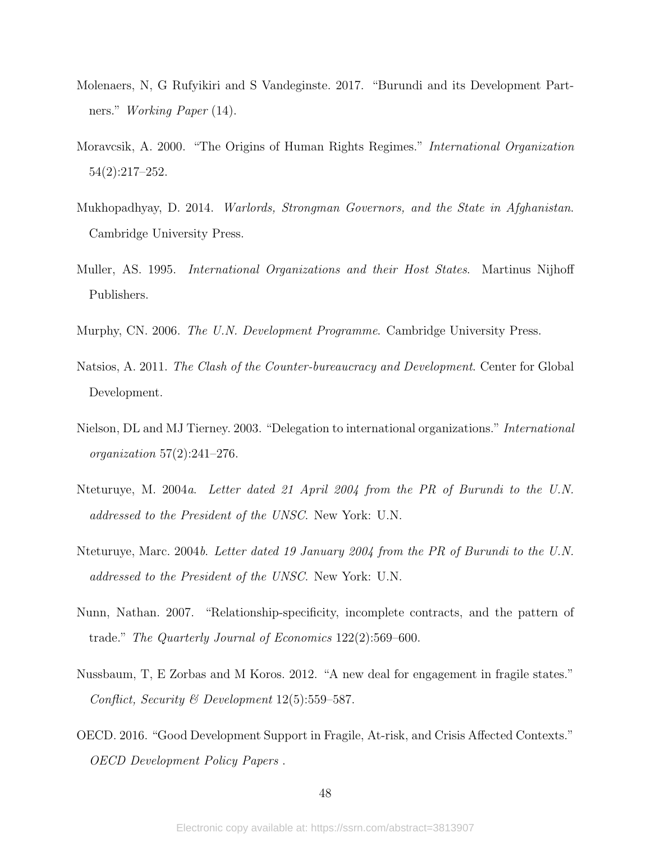- <span id="page-47-11"></span>Molenaers, N, G Rufyikiri and S Vandeginste. 2017. "Burundi and its Development Partners." Working Paper (14).
- <span id="page-47-8"></span>Moravcsik, A. 2000. "The Origins of Human Rights Regimes." International Organization 54(2):217–252.
- <span id="page-47-0"></span>Mukhopadhyay, D. 2014. Warlords, Strongman Governors, and the State in Afghanistan. Cambridge University Press.
- <span id="page-47-1"></span>Muller, AS. 1995. *International Organizations and their Host States*. Martinus Nijhoff Publishers.
- <span id="page-47-4"></span>Murphy, CN. 2006. The U.N. Development Programme. Cambridge University Press.
- <span id="page-47-6"></span>Natsios, A. 2011. The Clash of the Counter-bureaucracy and Development. Center for Global Development.
- <span id="page-47-3"></span>Nielson, DL and MJ Tierney. 2003. "Delegation to international organizations." International  $organization 57(2):241-276.$
- <span id="page-47-10"></span>Nteturuye, M. 2004a. Letter dated 21 April 2004 from the PR of Burundi to the U.N. addressed to the President of the UNSC. New York: U.N.
- <span id="page-47-9"></span>Nteturuye, Marc. 2004b. Letter dated 19 January 2004 from the PR of Burundi to the U.N. addressed to the President of the UNSC. New York: U.N.
- <span id="page-47-7"></span>Nunn, Nathan. 2007. "Relationship-specificity, incomplete contracts, and the pattern of trade." The Quarterly Journal of Economics 122(2):569–600.
- <span id="page-47-2"></span>Nussbaum, T, E Zorbas and M Koros. 2012. "A new deal for engagement in fragile states." Conflict, Security & Development 12(5):559–587.
- <span id="page-47-5"></span>OECD. 2016. "Good Development Support in Fragile, At-risk, and Crisis Affected Contexts." OECD Development Policy Papers .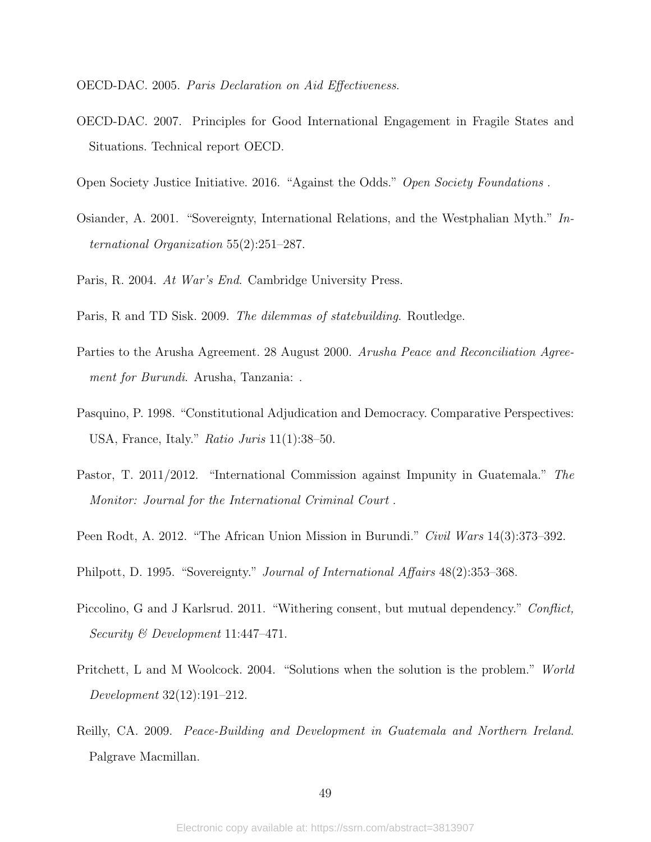<span id="page-48-5"></span>OECD-DAC. 2005. Paris Declaration on Aid Effectiveness.

- <span id="page-48-6"></span>OECD-DAC. 2007. Principles for Good International Engagement in Fragile States and Situations. Technical report OECD.
- <span id="page-48-13"></span>Open Society Justice Initiative. 2016. "Against the Odds." Open Society Foundations .
- <span id="page-48-4"></span>Osiander, A. 2001. "Sovereignty, International Relations, and the Westphalian Myth." International Organization 55(2):251–287.
- <span id="page-48-1"></span>Paris, R. 2004. At War's End. Cambridge University Press.
- <span id="page-48-0"></span>Paris, R and TD Sisk. 2009. The dilemmas of statebuilding. Routledge.
- <span id="page-48-9"></span>Parties to the Arusha Agreement. 28 August 2000. Arusha Peace and Reconciliation Agreement for Burundi. Arusha, Tanzania: .
- <span id="page-48-8"></span>Pasquino, P. 1998. "Constitutional Adjudication and Democracy. Comparative Perspectives: USA, France, Italy." Ratio Juris 11(1):38–50.
- <span id="page-48-12"></span>Pastor, T. 2011/2012. "International Commission against Impunity in Guatemala." The Monitor: Journal for the International Criminal Court .
- <span id="page-48-10"></span>Peen Rodt, A. 2012. "The African Union Mission in Burundi." Civil Wars 14(3):373–392.
- <span id="page-48-3"></span>Philpott, D. 1995. "Sovereignty." Journal of International Affairs 48(2):353–368.
- <span id="page-48-2"></span>Piccolino, G and J Karlsrud. 2011. "Withering consent, but mutual dependency." Conflict, Security & Development 11:447–471.
- <span id="page-48-7"></span>Pritchett, L and M Woolcock. 2004. "Solutions when the solution is the problem." World Development 32(12):191–212.
- <span id="page-48-11"></span>Reilly, CA. 2009. Peace-Building and Development in Guatemala and Northern Ireland. Palgrave Macmillan.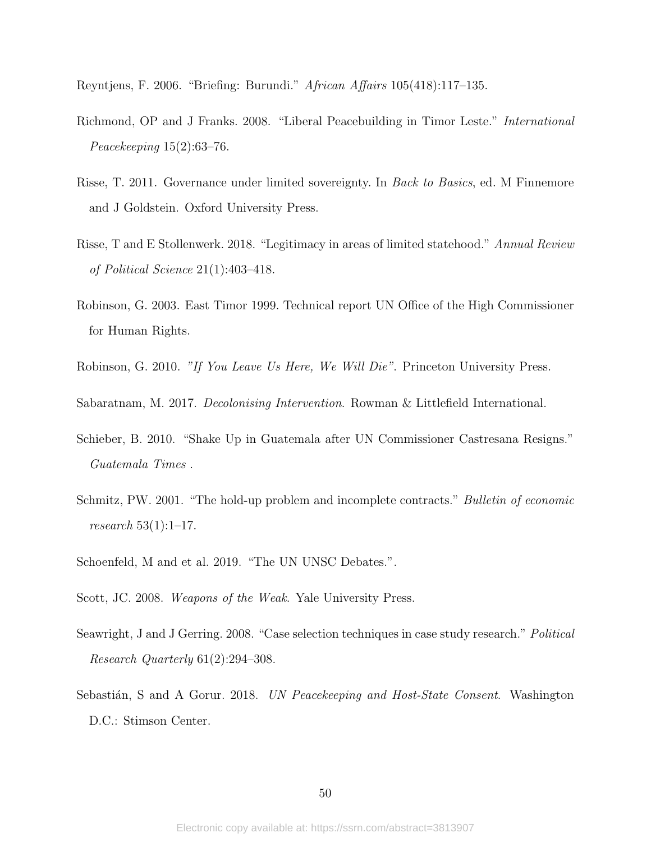<span id="page-49-11"></span>Reyntjens, F. 2006. "Briefing: Burundi." African Affairs 105(418):117–135.

- <span id="page-49-10"></span>Richmond, OP and J Franks. 2008. "Liberal Peacebuilding in Timor Leste." International Peacekeeping 15(2):63–76.
- <span id="page-49-0"></span>Risse, T. 2011. Governance under limited sovereignty. In Back to Basics, ed. M Finnemore and J Goldstein. Oxford University Press.
- <span id="page-49-6"></span>Risse, T and E Stollenwerk. 2018. "Legitimacy in areas of limited statehood." Annual Review of Political Science 21(1):403–418.
- <span id="page-49-8"></span>Robinson, G. 2003. East Timor 1999. Technical report UN Office of the High Commissioner for Human Rights.
- <span id="page-49-9"></span>Robinson, G. 2010. "If You Leave Us Here, We Will Die". Princeton University Press.

<span id="page-49-1"></span>Sabaratnam, M. 2017. Decolonising Intervention. Rowman & Littlefield International.

- <span id="page-49-12"></span>Schieber, B. 2010. "Shake Up in Guatemala after UN Commissioner Castresana Resigns." Guatemala Times .
- <span id="page-49-2"></span>Schmitz, PW. 2001. "The hold-up problem and incomplete contracts." *Bulletin of economic* research 53(1):1–17.
- <span id="page-49-5"></span>Schoenfeld, M and et al. 2019. "The UN UNSC Debates.".
- <span id="page-49-3"></span>Scott, JC. 2008. Weapons of the Weak. Yale University Press.
- <span id="page-49-7"></span>Seawright, J and J Gerring. 2008. "Case selection techniques in case study research." Political Research Quarterly 61(2):294–308.
- <span id="page-49-4"></span>Sebastián, S and A Gorur. 2018. UN Peacekeeping and Host-State Consent. Washington D.C.: Stimson Center.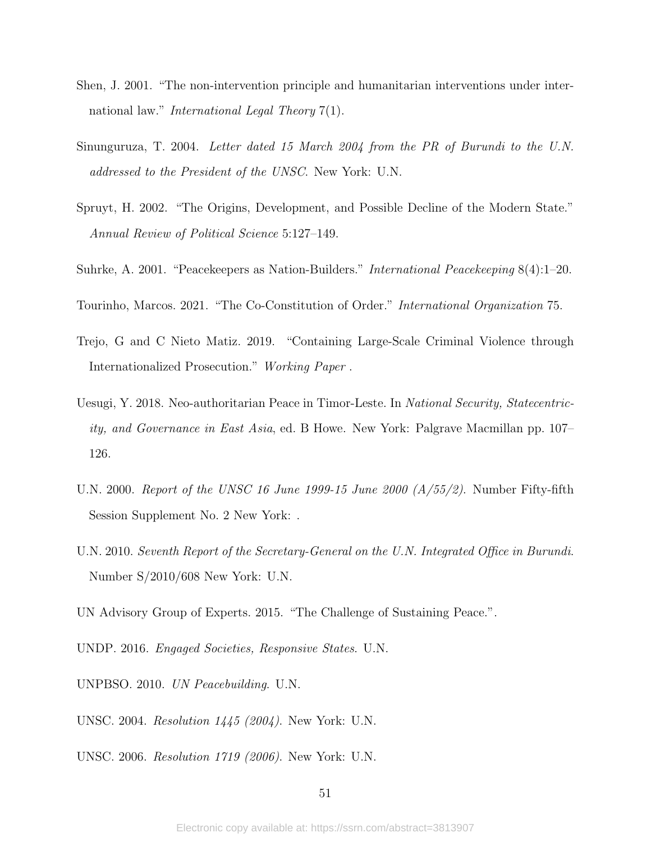- <span id="page-50-1"></span>Shen, J. 2001. "The non-intervention principle and humanitarian interventions under international law." *International Legal Theory* 7(1).
- <span id="page-50-10"></span>Sinunguruza, T. 2004. Letter dated 15 March 2004 from the PR of Burundi to the U.N. addressed to the President of the UNSC. New York: U.N.
- <span id="page-50-5"></span>Spruyt, H. 2002. "The Origins, Development, and Possible Decline of the Modern State." Annual Review of Political Science 5:127–149.
- <span id="page-50-8"></span>Suhrke, A. 2001. "Peacekeepers as Nation-Builders." International Peacekeeping 8(4):1–20.
- <span id="page-50-2"></span>Tourinho, Marcos. 2021. "The Co-Constitution of Order." International Organization 75.
- <span id="page-50-13"></span>Trejo, G and C Nieto Matiz. 2019. "Containing Large-Scale Criminal Violence through Internationalized Prosecution." Working Paper .
- <span id="page-50-7"></span>Uesugi, Y. 2018. Neo-authoritarian Peace in Timor-Leste. In National Security, Statecentricity, and Governance in East Asia, ed. B Howe. New York: Palgrave Macmillan pp. 107– 126.
- <span id="page-50-6"></span>U.N. 2000. Report of the UNSC 16 June 1999-15 June 2000  $(A/55/2)$ . Number Fifty-fifth Session Supplement No. 2 New York: .
- <span id="page-50-12"></span>U.N. 2010. Seventh Report of the Secretary-General on the U.N. Integrated Office in Burundi. Number S/2010/608 New York: U.N.
- <span id="page-50-3"></span>UN Advisory Group of Experts. 2015. "The Challenge of Sustaining Peace.".
- <span id="page-50-4"></span>UNDP. 2016. Engaged Societies, Responsive States. U.N.
- <span id="page-50-0"></span>UNPBSO. 2010. UN Peacebuilding. U.N.
- <span id="page-50-9"></span>UNSC. 2004. Resolution 1445 (2004). New York: U.N.
- <span id="page-50-11"></span>UNSC. 2006. Resolution 1719 (2006). New York: U.N.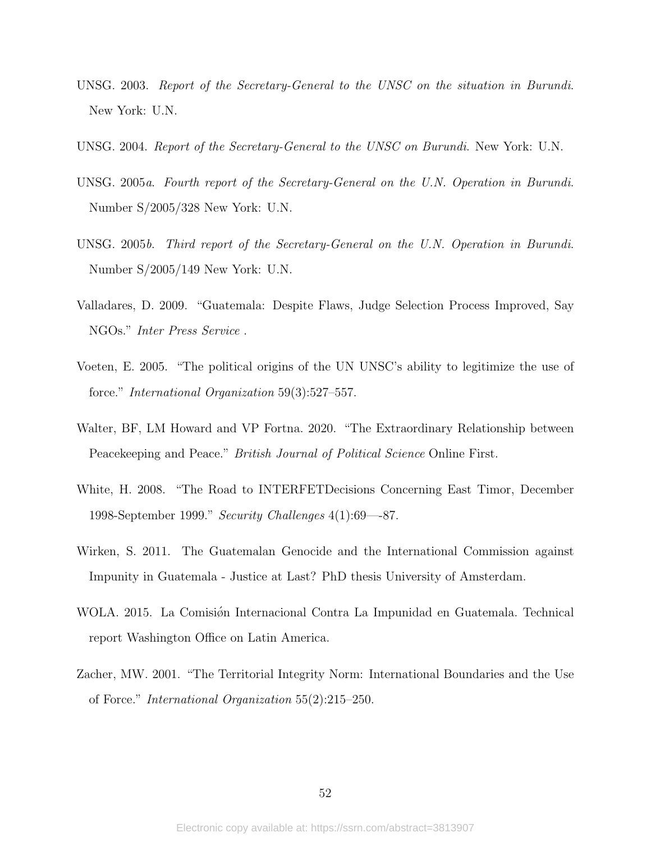- <span id="page-51-4"></span>UNSG. 2003. Report of the Secretary-General to the UNSC on the situation in Burundi. New York: U.N.
- <span id="page-51-5"></span>UNSG. 2004. Report of the Secretary-General to the UNSC on Burundi. New York: U.N.
- <span id="page-51-7"></span>UNSG. 2005a. Fourth report of the Secretary-General on the U.N. Operation in Burundi. Number S/2005/328 New York: U.N.
- <span id="page-51-6"></span>UNSG. 2005b. Third report of the Secretary-General on the U.N. Operation in Burundi. Number S/2005/149 New York: U.N.
- <span id="page-51-9"></span>Valladares, D. 2009. "Guatemala: Despite Flaws, Judge Selection Process Improved, Say NGOs." Inter Press Service .
- <span id="page-51-1"></span>Voeten, E. 2005. "The political origins of the UN UNSC's ability to legitimize the use of force." International Organization 59(3):527–557.
- <span id="page-51-2"></span>Walter, BF, LM Howard and VP Fortna. 2020. "The Extraordinary Relationship between Peacekeeping and Peace." *British Journal of Political Science* Online First.
- <span id="page-51-3"></span>White, H. 2008. "The Road to INTERFETDecisions Concerning East Timor, December 1998-September 1999." Security Challenges 4(1):69—-87.
- <span id="page-51-8"></span>Wirken, S. 2011. The Guatemalan Genocide and the International Commission against Impunity in Guatemala - Justice at Last? PhD thesis University of Amsterdam.
- <span id="page-51-10"></span>WOLA. 2015. La Comisión Internacional Contra La Impunidad en Guatemala. Technical report Washington Office on Latin America.
- <span id="page-51-0"></span>Zacher, MW. 2001. "The Territorial Integrity Norm: International Boundaries and the Use of Force." International Organization 55(2):215–250.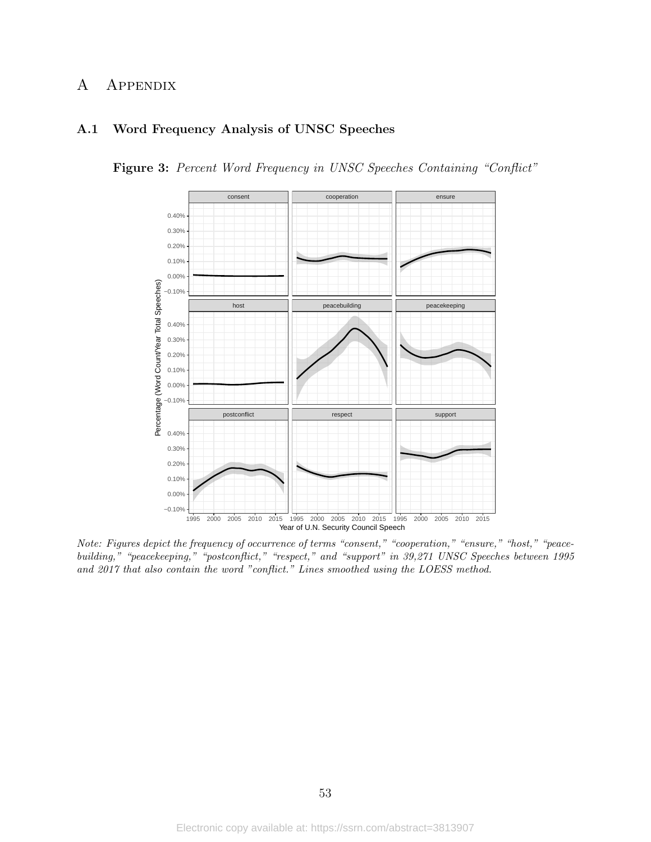# A Appendix

# <span id="page-52-0"></span>A.1 Word Frequency Analysis of UNSC Speeches

Figure 3: Percent Word Frequency in UNSC Speeches Containing "Conflict"



Note: Figures depict the frequency of occurrence of terms "consent," "cooperation," "ensure," "host," "peacebuilding," "peacekeeping," "postconflict," "respect," and "support" in 39,271 UNSC Speeches between 1995 and 2017 that also contain the word "conflict." Lines smoothed using the LOESS method.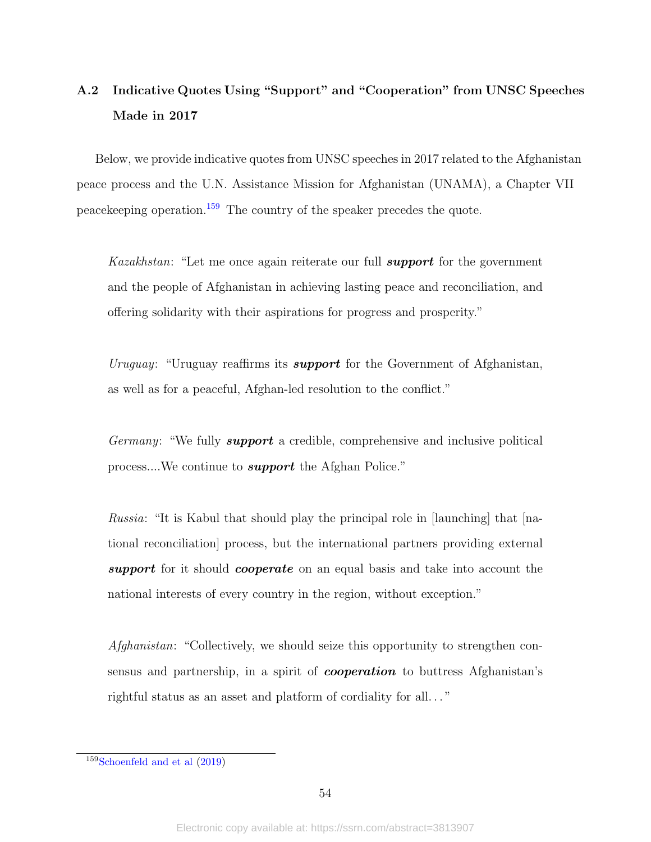# <span id="page-53-0"></span>A.2 Indicative Quotes Using "Support" and "Cooperation" from UNSC Speeches Made in 2017

Below, we provide indicative quotes from UNSC speeches in 2017 related to the Afghanistan peace process and the U.N. Assistance Mission for Afghanistan (UNAMA), a Chapter VII peacekeeping operation.[159](#page-53-1) The country of the speaker precedes the quote.

Kazakhstan: "Let me once again reiterate our full *support* for the government and the people of Afghanistan in achieving lasting peace and reconciliation, and offering solidarity with their aspirations for progress and prosperity."

Uruguay: "Uruguay reaffirms its **support** for the Government of Afghanistan, as well as for a peaceful, Afghan-led resolution to the conflict."

Germany: "We fully **support** a credible, comprehensive and inclusive political process....We continue to *support* the Afghan Police."

*Russia*: "It is Kabul that should play the principal role in  $\vert$  launching that  $\vert$  national reconciliation] process, but the international partners providing external support for it should cooperate on an equal basis and take into account the national interests of every country in the region, without exception."

Afghanistan: "Collectively, we should seize this opportunity to strengthen consensus and partnership, in a spirit of *cooperation* to buttress Afghanistan's rightful status as an asset and platform of cordiality for all..."

<span id="page-53-1"></span> $159Schoenfeld$  and et al  $(2019)$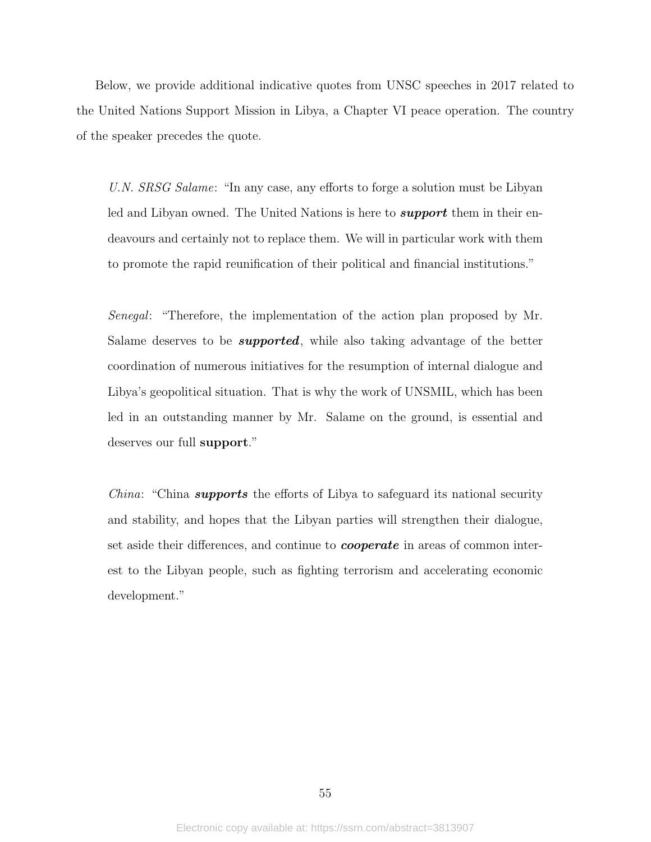Below, we provide additional indicative quotes from UNSC speeches in 2017 related to the United Nations Support Mission in Libya, a Chapter VI peace operation. The country of the speaker precedes the quote.

U.N. SRSG Salame: "In any case, any efforts to forge a solution must be Libyan led and Libyan owned. The United Nations is here to **support** them in their endeavours and certainly not to replace them. We will in particular work with them to promote the rapid reunification of their political and financial institutions."

Senegal: "Therefore, the implementation of the action plan proposed by Mr. Salame deserves to be **supported**, while also taking advantage of the better coordination of numerous initiatives for the resumption of internal dialogue and Libya's geopolitical situation. That is why the work of UNSMIL, which has been led in an outstanding manner by Mr. Salame on the ground, is essential and deserves our full support."

*China*: "China **supports** the efforts of Libya to safeguard its national security and stability, and hopes that the Libyan parties will strengthen their dialogue, set aside their differences, and continue to *cooperate* in areas of common interest to the Libyan people, such as fighting terrorism and accelerating economic development."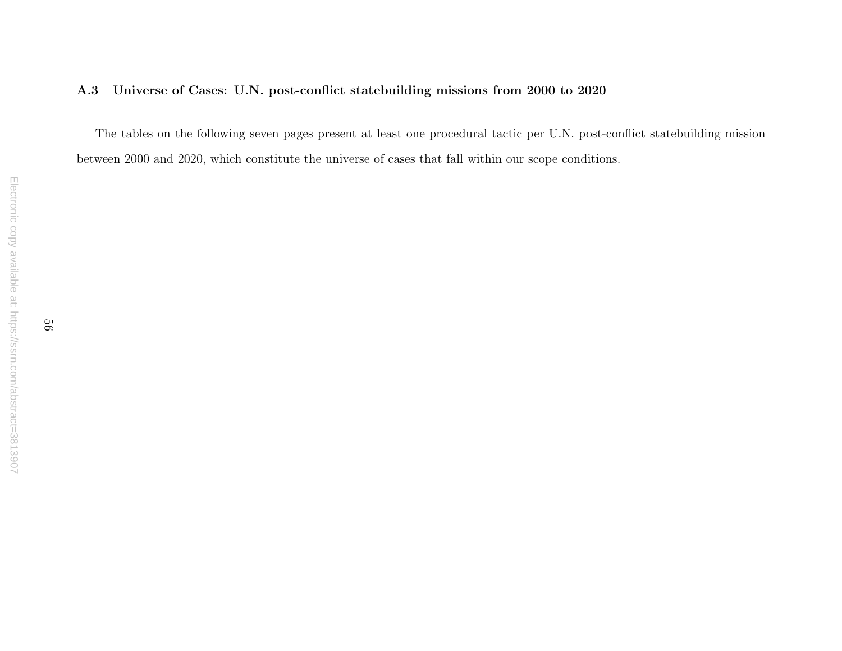#### A.3Universe of Cases: U.N. post-conflict statebuilding missions from <sup>2000</sup> to <sup>2020</sup>

<span id="page-55-0"></span>The tables on the following seven pages present at least one procedural tactic per U.N. post-conflict statebuilding missionbetween 2000 and 2020, which constitute the universe of cases that fall within our scope conditions.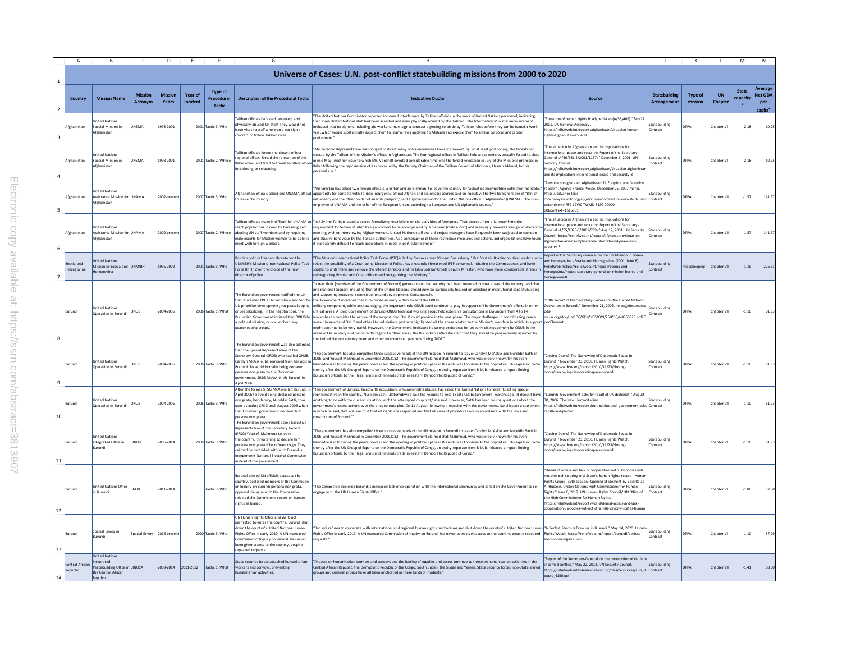|                | A                                |                                                                                                  | C.                        | D.                      | F.                  | F.                                            | G                                                                                                                                                                                                                                                                                                                                   | H                                                                                                                                                                                                                                                                                                                                                                                                                                                                                                                                                                                                                                                                                                                                                                                                                                                                                                                                                                                                                                                                                                                                                                                                                                                                                                                                                                                   |                                                                                                                                                                                                                                                                                                                                                                                                                                                                                                   | $\perp$                           | к                         | л.                   | M                 | N                                                       |
|----------------|----------------------------------|--------------------------------------------------------------------------------------------------|---------------------------|-------------------------|---------------------|-----------------------------------------------|-------------------------------------------------------------------------------------------------------------------------------------------------------------------------------------------------------------------------------------------------------------------------------------------------------------------------------------|-------------------------------------------------------------------------------------------------------------------------------------------------------------------------------------------------------------------------------------------------------------------------------------------------------------------------------------------------------------------------------------------------------------------------------------------------------------------------------------------------------------------------------------------------------------------------------------------------------------------------------------------------------------------------------------------------------------------------------------------------------------------------------------------------------------------------------------------------------------------------------------------------------------------------------------------------------------------------------------------------------------------------------------------------------------------------------------------------------------------------------------------------------------------------------------------------------------------------------------------------------------------------------------------------------------------------------------------------------------------------------------|---------------------------------------------------------------------------------------------------------------------------------------------------------------------------------------------------------------------------------------------------------------------------------------------------------------------------------------------------------------------------------------------------------------------------------------------------------------------------------------------------|-----------------------------------|---------------------------|----------------------|-------------------|---------------------------------------------------------|
| $\mathbf{1}$   |                                  |                                                                                                  |                           |                         |                     |                                               |                                                                                                                                                                                                                                                                                                                                     | Universe of Cases: U.N. post-conflict statebuilding missions from 2000 to 2020                                                                                                                                                                                                                                                                                                                                                                                                                                                                                                                                                                                                                                                                                                                                                                                                                                                                                                                                                                                                                                                                                                                                                                                                                                                                                                      |                                                                                                                                                                                                                                                                                                                                                                                                                                                                                                   |                                   |                           |                      |                   |                                                         |
| $\overline{2}$ | Country                          | <b>Mission Name</b>                                                                              | <b>Mission</b><br>Acronvm | <b>Mission</b><br>Years | Year of<br>Incident | <b>Type of</b><br>Procedural<br><b>Tactic</b> | <b>Description of the Procedural Tactic</b>                                                                                                                                                                                                                                                                                         | <b>Indicative Quote</b>                                                                                                                                                                                                                                                                                                                                                                                                                                                                                                                                                                                                                                                                                                                                                                                                                                                                                                                                                                                                                                                                                                                                                                                                                                                                                                                                                             | Source                                                                                                                                                                                                                                                                                                                                                                                                                                                                                            | <b>Statebuilding</b><br>Arrangeme | <b>Type of</b><br>mission | <b>UN</b><br>Chapter | State<br>capacity | Average<br><b>Net ODA</b><br>per<br>capita <sup>2</sup> |
| 3              | <b>Ifghanistar</b>               | nited Nations<br>ecial Mission in<br><i><b>Information</b></i>                                   | <b>NSMA</b>               | 1993-2001               |                     | 2001 Tactic 3: Who                            | Faliban officials harassed, arrested, and<br>physically abused UN staff. They would not<br>ssue visas to staff who would not sign a<br>contract to follow Taliban rules.                                                                                                                                                            | The United Nations Coordinator reported increased interference by Taliban officials in the work of United Nations personnel, indicating<br>aat some United Nations staff had been arrested and even physically abused by the TalibanThe Information Ministry announcement<br>icated that foreigners, including aid workers, must sign a contract agreeing to abide by Taliban rules before they can be issued a work<br>visa, which would substantially subject them to Islamic laws applying to Afghans and expose them to similar corporal and capital<br>unishment.'                                                                                                                                                                                                                                                                                                                                                                                                                                                                                                                                                                                                                                                                                                                                                                                                             | "Situation of human rights in Afghanistan (A/56/409)." Sep 21<br>2001. UN General Assembly<br>https://reliefweb.int/report/afghanistan/situation-human-<br>rights-afghanistan-a56409                                                                                                                                                                                                                                                                                                              | tatebuilding<br>ontract           | <b>PPA</b>                | Chapter VI           | $-2.13$           | 10.25                                                   |
| 4              | Afghanistan                      | nited Nations<br>pecial Mission in<br>Afghanistan                                                | UNSMA                     | 1993-2001               |                     | 2001 Tactic 2: Where                          | Faliban officials forced the closure of four<br>egional offices, forced the relocation of the<br>Kabul office, and tried to threaten other office<br>nto closing or relocating.                                                                                                                                                     | 'My Personal Representative was obliged to direct many of his endeavours towards preventing, or at least postponing, the threatened<br>isure by the Taliban of the Mission's offices in Afghanistan. The four regional offices in Taliban-held areas were eventually forced to close<br>mid-May. Another issue to which Mr. Vendrell devoted considerable time was the forced relocation in July of the Mission's premises in<br>Kabul following the repossession of its compound by the Deputy Chairman of the Taliban Council of Ministers. Hassan Akhund, for his<br>ersonal use.                                                                                                                                                                                                                                                                                                                                                                                                                                                                                                                                                                                                                                                                                                                                                                                                | The situation in Afghanistan and its implications for<br>international peace and security: Report of the Secretary-<br>ieneral (A/56/681-S/2001/1157)." December 6, 2001. UN<br>Security Council.<br>https://reliefweb.int/report/afghanistan/situation-afghanista<br>and-its-implications-international-peace-and-security-8                                                                                                                                                                     | tatebuilding<br>ontract           | <b>OPPA</b>               | Chapter VI           | $-2.18$           | 10.25                                                   |
| 5              | Afghanistan                      | nited Nations<br>ssistance Mission for<br><i><b>Ifghanistan</b></i>                              | <b>UNAMA</b>              | 2002-presen             |                     | 2007 Tactic 3: Who                            | Afghanistan officials asked one UNAMA official<br>o leave the country                                                                                                                                                                                                                                                               | Afghanistan has asked two foreign officials, a Briton and an Irishman, to leave the country for 'activities incompatible with their mandate,<br>apparently for contacts with Taliban insurgents, official Afghan and diplomatic sources said on Tuesday. The two foreigners are of "British<br>nationality and the other holder of an Irish passport,' said a spokesperson for the United Nations office in Afghanistan (UNAMA). One is an<br>mployee of UNAMA and the other of the European Union, according to European and UN diplomatic sources."                                                                                                                                                                                                                                                                                                                                                                                                                                                                                                                                                                                                                                                                                                                                                                                                                               | Persona non grata en Afghanistan: l'UE espère une "solutio<br>rapide"". Agence France Presse. December 25, 2007 mardi.<br>https://advance-lexis-<br>com.proxyau.wrlc.org/api/document?collection=news&id=urn:c Contract<br>ontentItem:4RF9-12W0-TWMD-5199-00000-<br>008context=1516831                                                                                                                                                                                                            | tatebuilding                      |                           | hapter VII           | $-1.57$           | 141.67                                                  |
| 6              | Afghanistan                      | Inited Nations<br>ssistance Mission for UNAMA<br><b>\fghanistan</b>                              |                           | 2002-presen             |                     | 2007 Tactic 2: Where                          | aliban officials made it difficult for UNAMA t<br>each populations in need by harassing and<br>abusing UN staff members and by requiring<br>nale escorts for Muslim women to be able to<br>eet with foreign workers.                                                                                                                | "In July the Taliban issued a decree formalizing restrictions on the activities of foreigners. That decree, inter alia, reconfirms the<br>requirement for female Muslim foreign workers to be accompanied by a mahram (male escort) and seemingly prevents foreign workers fro<br>neeting with or interviewing Afghan womenUnited Nations staff and aid project managers have frequently been subjected to coercion<br>and abusive behaviour by the Taliban authorities. As a consequence of those restrictive measures and actions, aid organizations have found<br>t increasingly difficult to reach populations in need, in particular women."                                                                                                                                                                                                                                                                                                                                                                                                                                                                                                                                                                                                                                                                                                                                   | The situation in Afghanistan and its implications for<br>international peace and security: Report of the Secretary-<br>General (A/55/1028-S/2001/789)." Aug 17, 2001, UN Security<br>Council. https://reliefweb.int/report/afghanistan/situation-<br>afghanistan-and-its-implications-international-peace-and-<br>security-7                                                                                                                                                                      | tatebuilding<br>Contract          | <b>DPPA</b>               | Chapter VII          | $-1.57$           | 141.6                                                   |
| $\overline{7}$ | Bosnia and<br><b>Herzegovina</b> | nited Nations<br>lission in Bosnia and<br>erzegovina                                             | <b>INMIRH</b>             | 1995-2002               |                     | 2001 Tactic 3: Who                            | Bosnian political leaders threatened the<br><b>JNMIBH's Mission's International Police Task</b><br>orce (IPTF) over the choice of the new<br>director of police.                                                                                                                                                                    | "The Mission's International Police Task Force (IPTF) is led by Commissioner Vincent Coeurderoy." But "certain Bosniac political leaders, who<br>reject the possibility of a Croat being Director of Police, have recently threatened IPTF personnel, including the Commissioner, and have<br>sought to undermine and remove the Interim Director and his (also Bosnian-Croat) Deputy Minister, who have made considerable strides in<br>reintegrating Bosniac and Croat officers and reorganizing the Ministry."                                                                                                                                                                                                                                                                                                                                                                                                                                                                                                                                                                                                                                                                                                                                                                                                                                                                   | Report of the Secretary-General on the UN Mission in Bosnia<br>and Herzegovina - Bosnia and Herzegovina, (2001, June 8).<br>ReliefWeb. https://reliefweb.int/report/bosnia-and-<br>herzegovina/report-secretary-general-un-mission-bosnia-and-<br>erzegovina-0                                                                                                                                                                                                                                    | <b>Statebuilding</b><br>Contract  | acekeeping                | Chapter VII          | $-1.19$           | 226.6                                                   |
| 8              | Burund                           | nited Nations<br>Operation in Burund                                                             | ONUB                      | 2004-2006               |                     | 2006 Tactic 1: What                           | he Burundian government notified the UN<br>hat it wanted ONUB to withdraw and for the<br>JN prioritize development, not peacekeeping<br>or peacebuilding. In the negotiations, the<br>Burundian Government insisted that BINUB be<br>political mission, or one without any<br>beacekeeping troops.                                  | 'It was their [members of the Government of Burundi] general view that security had been restored in most areas of the country, and that<br>ernational support, induding that of the United Nations, should now be particularly focused on assisting in institutional capacitybuilding<br>nd supporting recovery, reconstruction and development. Consequently<br>the Government indicated that it favoured an early withdrawal of the ONUB<br>military component, while acknowledging the important role ONUB could continue to play in support of the Government's efforts in other<br>critical areas. A joint Government of Burundi-ONUB technical working group held extensive consultations in Bujumbura from 4 to 14<br>November to consider the nature of the support that ONUB could provide in the next phase. The major challenges in consolidating peace<br>vere discussed and ONUB and other United Nations partners highlighted all the areas related to the Mission's mandate in which its suppor<br>night continue to be very useful. However, the Government indicated its strong preference for an early disengagement by ONUB in the<br>reas of the military and police. With regard to other areas, the Burundian authorities felt that they should be progressively assumed by<br>he United Nations country team and other international partners during 2006." | Fifth Report of the Secretary-General on the United Nations<br>Operation in Burundi." November 21, 2005, https://document:<br>nv.un.org/doc/UNDOC/GEN/N05/609/25/PDF/N0560925.pdf?O                                                                                                                                                                                                                                                                                                               | tatebuilding<br>Contract          | <b>DPPA</b>               | Chapter VII          | $-1.10$           | 61.93                                                   |
| 9              | Rurund                           | nited Nation<br>peration in Burund                                                               | ONUB                      | 2004-2006               |                     | 2006 Tactic 3: Who                            | The Burundian government was also adaman<br>hat the Special Representative of the<br>ecretary-General (SRSG) who had led ONUB.<br>Carolyn McAskie, be removed from her post<br>Burundi. To avoid formally being declared<br>persona non grata by the Burundian<br>government, SRSG McAskie left Burundi in<br>April 2006.           | The government has also compelled three successive heads of the UN mission in Burundi to leave: Carolyn McAskie and Nureldin Satti in<br>2006, and Youssef Mahmoud in December 2009.[182] The government daimed that Mahmoud, who was widely known for his even-<br>nandedness in fostering the peace process and the opening of political space in Burundi, was too close to the opposition. His expulsion came<br>nortly after the UN Group of Experts on the Democratic Republic of Congo, an entity separate from BINUB, released a report linking<br>urundian officials to the illegal arms and minerals trade in eastern Democratic Republic of Congo.                                                                                                                                                                                                                                                                                                                                                                                                                                                                                                                                                                                                                                                                                                                        | "Closing Doors? The Narrowing of Diplomatic Space in<br>Burundi." November 23, 2010. Human Rights Watch.<br>https://www.hrw.org/report/2010/11/23/closing-<br>doors/narrowing-democratic-space-burundi                                                                                                                                                                                                                                                                                            | tatebuilding<br>Contract          | <b>DPPA</b>               | Chapter VII          | $-1.10$           | 61.93                                                   |
| 10             | Burund                           | nited Nations<br>peration in Burundi                                                             | ONUB                      | 2004-2006               |                     | 2006 Tactic 3: Who                            | After the former SRSG McAskie left Burundi i<br>April 2006 to avoid being declared persona<br>non grata, her deputy, Nureldin Satti, took<br>over as acting SRSG until August 2006 when<br>he Burundian government declared him<br>persona non grata.                                                                               | The government of Burundi, faced with accusations of human-rights abuses, has asked the United Nations to recall its acting special<br>representative in the country, Nureldin SattiBatumubwira said the request to recall Satti had begun several months ago. 'It doesn't have<br>anything to do with the current situation, with the attempted coup plot,' she said. However, Satti has been raising questions about the<br>overnment's recent actions over the alleged coup plot. On 11 August, following a meeting with the government, Satti issued a statement<br>which he said, 'We will see to it that all rights are respected and that all current procedures are in accordance with the laws and<br>institution of Burundi.""                                                                                                                                                                                                                                                                                                                                                                                                                                                                                                                                                                                                                                            | "Burundi: Government asks for recall of UN diplomat." August<br>30, 2006. The New Humanitarian.<br>https://reliefweb.int/report/burundi/burundi-government-asks-Contract<br>recall-un-diplomat                                                                                                                                                                                                                                                                                                    | tatebuilding                      | <b>DPPA</b>               | Chapter VII          | $-1.10$           | 61.93                                                   |
| 11             | Burundi                          | Inited Nation<br>tegrated Office in<br>urundi                                                    | <b>BINUB</b>              | 2006-2014               |                     | 2009 Tactic 3: Who                            | The Burundian government asked Executive<br>Representative of the Secretary General<br>(ERSG) Youssef Mahmoud to leave<br>the country, threatening to declare him<br>persona non grata if he refused to go. They<br>alimed he had sided with with Burundi's<br>dependent National Electoral Commission<br>nstead of the government. | The government has also compelled three successive heads of the UN mission in Burundi to leave: Carolyn McAskie and Nureldin Satti in<br>2006, and Youssef Mahmoud in December 2009.[182] The government claimed that Mahmoud, who was widely known for his even-<br>ndedness in fostering the peace process and the opening of political space in Burundi, was too close to the opposition. His expulsion came<br>hortly after the UN Group of Experts on the Democratic Republic of Congo, an entity separate from BINUB, released a report linking<br>".<br>Burundian officials to the illegal arms and minerals trade in eastern Democratic Republic of Congo                                                                                                                                                                                                                                                                                                                                                                                                                                                                                                                                                                                                                                                                                                                   | 'Closing Doors? The Narrowing of Diplomatic Space in<br>Burundi." November 23, 2010. Human Rights Watch.<br>https://www.hrw.org/report/2010/11/23/closing-<br>doors/narrowing-democratic-space-burundi                                                                                                                                                                                                                                                                                            | tatebuilding<br>"ontract          | <b>PPA</b>                | Chapter VI           | $-1.10$           | 61.93                                                   |
| 12             | Burund                           | <b>Jnited Nations Office</b><br>Burundi                                                          | <b>BNUB</b>               | 2011-2014               |                     | Tactic 3: Who                                 | Burundi denied UN officials access to the<br>country, declared members of the Commision<br>on Inquiry on Burundi persona non grata,<br>pposed dialogue with the Commission,<br>ejected the Commision's report on human<br>ights as biased.                                                                                          | "The Committee deplored Burundi's increased lack of co-operation with the international community and called on the Government to re-<br>ngage with the UN Human Rights Office."                                                                                                                                                                                                                                                                                                                                                                                                                                                                                                                                                                                                                                                                                                                                                                                                                                                                                                                                                                                                                                                                                                                                                                                                    | "Denial of access and lack of cooperation with UN bodies will<br>not diminish scrutiny of a State's human rights record - Humar<br>Rights Council 35th session: Opening Statement by Zeid Ra'ad<br>Al Hussein, United Nations High Commissioner for Human<br>Rights." June 6, 2017. UN Human Rights Council/ UN Office of<br>the High Commissioner for Human Rights<br>https://reliefweb.int/report/world/denial-access-and-lack-<br>cooperation-un-bodies-will-not-diminish-scrutiny-states-huma | tatebuilding<br>ontract           |                           | Chapter VI           | $-1.06$           | 57.88                                                   |
| 13             | Burundi                          | Special Envoy in<br>Burundi                                                                      | pecial Envoy              | 2016-presen             |                     | 2020 Tactic 3: Who                            | JN Human Rights Office and WHO not<br>bermitted to enter the country. Burundi shut<br>down the country's United Nations Human<br>Rights Office in early 2019. A UN-mandated<br>Commission of Inquiry on Burundi has never<br>been given access to the country, despite<br>epeated requests                                          | "Burundi refuses to cooperate with international and regional human rights mechanisms and shut down the country's United Nations Human TA Perfect Storm Is Brewing in Burundi." May 14, 2020. Huma<br>Rights Office in early 2019. A UN-mandated Commission of Inquiry on Burundi has never been given access to the country, despite repeated Rights Watch. https://reliefweb.int/report/burundi/perfect-<br>nuests "                                                                                                                                                                                                                                                                                                                                                                                                                                                                                                                                                                                                                                                                                                                                                                                                                                                                                                                                                              | rm-brewing-burundi                                                                                                                                                                                                                                                                                                                                                                                                                                                                                | tatebuilding<br>ontract           | DPPA                      | Chapter VI           | $-1.10$           | 57.29                                                   |
| 14             | Central African<br>Republic      | <b>Inited Nations</b><br>tegrated<br>eacebuilding Office i<br>he Central African<br><b>ublic</b> | <b>BINUCA</b>             | 2009-2014               | 2011-2012           | Tactic 1: What                                | state security forces attacked bumanitarian<br>workers and convoys, preventing<br>manitarian activities                                                                                                                                                                                                                             | "Attacks on humanitarian workers and convoys and the looting of supplies and assets continue to threaten humanitarian activities in the<br>Central African Republic, the Democratic Republic of the Congo, South Sudan, the Sudan and Yemen. State security forces, non-State armed<br>groups and criminal groups have all been implicated in these kinds of incidents."                                                                                                                                                                                                                                                                                                                                                                                                                                                                                                                                                                                                                                                                                                                                                                                                                                                                                                                                                                                                            | Report of the Secretary-General on the protecction of civilia<br>in armed conflict." May 22, 2012. UN Security Council.<br>https://reliefweb.int/sites/reliefweb.int/files/resources/Full_R_Contract<br>eport 4150.pdf                                                                                                                                                                                                                                                                            | <b>Statebuilding</b>              | <b>DPPA</b>               | Chapter VII          | $-1.41$           | 68.30                                                   |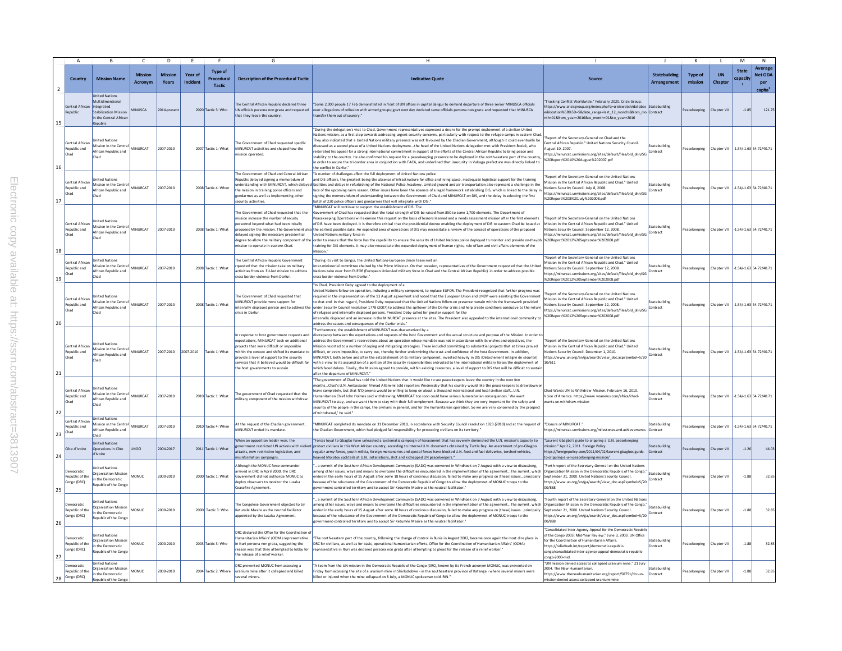|                |                                              |                                                                                                         |                                  | D                       |                     |                                        |                                                                                                                                                                                                                                                                                                                            | H                                                                                                                                                                                                                                                                                                                                                                                                                                                                                                                                                                                                                                                                                                                                                                                                                                                                                                                                                                                                                                                                                                                         |                                                                                                                                                                                                                                                                                                                 |                                            | К                  |                                     | M                                        | $\mathsf{N}$                                     |
|----------------|----------------------------------------------|---------------------------------------------------------------------------------------------------------|----------------------------------|-------------------------|---------------------|----------------------------------------|----------------------------------------------------------------------------------------------------------------------------------------------------------------------------------------------------------------------------------------------------------------------------------------------------------------------------|---------------------------------------------------------------------------------------------------------------------------------------------------------------------------------------------------------------------------------------------------------------------------------------------------------------------------------------------------------------------------------------------------------------------------------------------------------------------------------------------------------------------------------------------------------------------------------------------------------------------------------------------------------------------------------------------------------------------------------------------------------------------------------------------------------------------------------------------------------------------------------------------------------------------------------------------------------------------------------------------------------------------------------------------------------------------------------------------------------------------------|-----------------------------------------------------------------------------------------------------------------------------------------------------------------------------------------------------------------------------------------------------------------------------------------------------------------|--------------------------------------------|--------------------|-------------------------------------|------------------------------------------|--------------------------------------------------|
| $\overline{2}$ | Country                                      | <b>Mission Name</b>                                                                                     | <b>Mission</b><br><b>Acronvm</b> | <b>Mission</b><br>Years | Year of<br>Incident | <b>Type of</b><br>Procedural<br>Tactic | <b>Description of the Procedural Tactic</b>                                                                                                                                                                                                                                                                                | <b>Indicative Quote</b>                                                                                                                                                                                                                                                                                                                                                                                                                                                                                                                                                                                                                                                                                                                                                                                                                                                                                                                                                                                                                                                                                                   | <b>Source</b>                                                                                                                                                                                                                                                                                                   | <b>Statebuilding</b><br><b>Arrangement</b> | Type of<br>mission | <b>UN</b><br>Chapter                | <b>State</b><br>capacity<br>$\mathbf{1}$ | Average<br>Net ODA<br>per<br>capita <sup>2</sup> |
| 15             | Central African Integrated<br>Republic       | <b>Jnited Nations</b><br>Multidimensiona<br>Stabilization Mission<br>in the Central Africar<br>Republic | <b>IINUSCA</b>                   | 2014-presen             |                     | 2020 Tactic 3: Who                     | he Central African Republic declared three<br>UN officials persona non grata and requested<br>that they leave the country.                                                                                                                                                                                                 | iome 2,000 people 17 Feb demonstrated in front of UN offices in capital Bangui to demand departure of three senior MINUSCA officials<br>over allegations of collusion with armed groups; govt next day declared same officials persona non grata and requested that MINUSCA<br>transfer them out of country."                                                                                                                                                                                                                                                                                                                                                                                                                                                                                                                                                                                                                                                                                                                                                                                                             | Tracking Conflict Worldwide," February 2020, Crisis Group,<br>https://www.crisisgroup.org/index.php?q=crisiswatch/databas Statebuilding<br>e&location%5B%5D=5&date_range=last_12_months&from_mo Contract<br>nth=01&from_year=2016&to_month=01&to_year=2016                                                      |                                            | eacekeeping        | hapter VII                          | $-1.85$                                  | 121.75                                           |
| 16             | Central African<br>Republic and<br>Chad      | <b>Inited Nations</b><br>Mission in the Centra<br>African Republic and<br>Chad                          | <b>MINURCAT</b>                  | 2007-2010               |                     | 2007 Tactic 1: What                    | he Government of Chad requested specific<br>MINURCAT activities and shaped how the<br>mission operated.                                                                                                                                                                                                                    | 'During the delegation's visit to Chad, Government representatives expressed a desire for the prompt deployment of a civilian United<br>Vations mission, as a first step towards addressing urgent security concerns, particularly with respect to the refugee camps in eastern Char<br>They also indicated that a United Nations military presence was not favoured by the Chadian Government, although it could eventually be<br>scussed as a second phase of a United Nations deploymentthe head of the United Nations delegation met with President Bozizé, who<br>eiterated his appeal for a strong international commitment in support of the efforts of the Central African Republic to bring peace and<br>stability to the country. He also confirmed his request for a peacekeeping presence to be deployed in the north-eastern part of the country<br>in order to secure the tri-border area in conjunction with FACA, and underlined that insecurity in Vakaga prefecture was directly linked to<br>he conflict in Darfur."                                                                                   | Report of the Secretary-General on Chad and the<br>Central African Republic." United Nations Security Council.<br>lugust 10, 2007.<br>https://minurcat.unmissions.org/sites/default/files/old dnn/SG<br>%20Report%2010%20August%202007.pdf                                                                      | tatebuilding<br>Contract                   | Peacekeeping       | Chapter VII -1.54/-1.63 54.72/40.71 |                                          |                                                  |
| 17             | Central African<br>Republic and<br>Chad      | nited Nation<br>Mission in the Centr<br>African Republic and<br>Chad                                    | <b>MINURCAT</b>                  | 2007-2010               |                     | 2008 Tactic 4: When                    | The Government of Chad and Central African<br>Republic delayed signing a memoradum of<br>nderstanding with MINURCAT, which delay<br>the mission in training police officers and<br>gendarmes as well as implementing other<br>security activities.                                                                         | "A number of challenges affect the full deployment of United Nations police<br>and DIS officers, the greatest being the absence of infrastructure for office and living space, inadequate logistical support for the training<br>ilities and delays in refurbishing of the National Police Academy. Limited ground and air transportation also represent a challenge in the<br>face of the upcoming rainy season. Other issues have been the absence of a legal framework establishing DIS, which is linked to the delay in<br>signing the memorandum of understanding between the Government of Chad and MINURCAT on DIS, and the delay in selecting the first<br>atch of 220 police officers and gendarmes that will integrate with DIS."                                                                                                                                                                                                                                                                                                                                                                               | Report of the Secretary-General on the United Nations<br>Mission in the Central African Republic and Chad." United<br>Nations Security Council. July 8, 2008.<br>https://minurcat.unmissions.org/sites/default/files/old_dnn/SG<br>%20Report%208%20July%202008.pdf                                              | tatebuilding<br>Contract                   | eacekeeping        | Chapter VII                         |                                          | -1.54/-1.63 54.72/40.71                          |
| 18             | entral African<br>Republic and<br>Chad       | nited Nations<br>Mission in the Centra<br>African Republic and<br>Chad                                  | MINURCAT                         | 2007-2010               |                     | 2008 Tactic 1: What                    | The Government of Chad requested that the<br>mission increase the number of secuity<br>ersonnel beyond what had been initally<br>proposed by the mission. The Government als<br>delaved signing the necessary presidential<br>mission to operate in eastern Chad.                                                          | MINURCAT will continue to support the establishment of DIS. The<br>vernment of Chad has requested that the total strength of DIS be raised from 850 to some 1,700 elements. The Department of<br>eacekeeping Operations will examine this request on the basis of lessons learned and a needs assessment mission after the first elements<br>of DIS have been deployed. It is therefore critical that the presidential decree enabling the deployment of DIS to eastern Chad be issued at<br>the earliest possible date. An expanded area of operations of DIS may necessitate a review of the concept of operations of the proposed<br>United Nations military force in<br>degree to allow the military component of the order to ensure that the force has the capability to ensure the security of United Nations police deployed to monitor and provide on-the-job  %20Report%2012%20September%202008.<br>training for DIS elements. It may also necessitate the expanded deployment of human rights, rule of law and civil affairs elements of the<br>Aission."                                                      | 'Report of the Secretary-General on the United Nations<br>Mission in the Central African Republic and Chad." United<br>Nations Security Council. September 12, 2008.<br>https://minurcat.unmissions.org/sites/default/files/old_dnn/SG                                                                          | tatebuilding<br>ontract                    | Peacekeeping       | Chapter VII                         |                                          | $-1.54/-1.63$ 54.72/40.71                        |
| 19             | Central African<br>Republic and<br>Chad      | nited Nation<br>Aission in the Centra<br>African Republic and<br>Chad                                   | MINURCAT                         | 2007-2010               |                     | 2008 Tactic 1: What                    | The Central African Republic Government<br>quested that the mission take on military<br>activities from an EU-led mission to address<br>cross-border violence from Darfur.                                                                                                                                                 | During its visit to Bangui, the United Nations-European Union team met an<br>er-ministerial committee chaired by the Prime Minister. On that occasion, representatives of the Government requested that the United<br>Nations take over from EUFOR (European Union-led military force in Chad and the Central African Republic) in order to address possible<br>ross-border violence from Darfur."                                                                                                                                                                                                                                                                                                                                                                                                                                                                                                                                                                                                                                                                                                                        | Report of the Secretary-General on the United Nations<br>Mission in the Central African Republic and Chad." United<br>Nations Security Council, September 12, 2008.<br>https://minurcat.unmissions.org/sites/default/files/old dnn/SG<br>%20Report%2012%20September%202008.pdf                                  | tatebuilding<br>Contract                   | Peacekeeping       | Chapter VII -1.54/-1.63 54.72/40.71 |                                          |                                                  |
| 20             | Central Africar<br>Republic and<br>Chad      | nited Nations<br>Mission in the Central<br>African Republic and<br>Chad                                 | MINURCAT                         | 2007-2010               |                     | 2008 Tactic 1: What                    | The Government of Chad requested that<br>MINURCAT provide more support for<br>internally displaced person and to address the<br>crisis in Darfur.                                                                                                                                                                          | In Chad, President Deby agreed to the deployment of a<br>nited Nations follow-on operation, including a military component, to replace EUFOR. The President recognized that further progress was<br>equired in the implementation of the 13 August agreement and noted that the European Union and UNDP were assisting the Government<br>to that end. In that regard, President Deby requested that the United Nations follow-on presence remain within the framework provided<br>under Security Council resolution 1778 (2007) to address the spillover of the Darfur crisis and help create conditions conducive to the return<br>of refugees and internally displaced persons. President Deby called for greater support for the<br>ternally displaced and an increase in the MINURCAT presence at the sites. The President also appealed to the international community to<br>address the causes and consequences of the Darfur crisis."                                                                                                                                                                              | Report of the Secretary-General on the United Nations<br>Aission in the Central African Republic and Chad." United<br>Nations Security Council. September 12, 2008<br>https://minurcat.unmissions.org/sites/default/files/old_dnn/SG<br>%20Report%2012%20September%202008.pdf                                   | statebuilding<br>Contract                  | Peacekeeping       | Chapter VII                         |                                          | -1.54/-1.63 54.72/40.71                          |
| 21             | entral African<br>Republic and<br>Chad       | <b>Jnited Nations</b><br>Mission in the Central<br>African Republic and<br>Chad                         | MINURCAT                         | 2007-2010               | 2007-2010           | actic 1: What                          | n response to host government requests and<br>expectations, MINURCAT took on additional<br>ojects that were difficult or impossible<br>within the context and shifted its mandate to<br>provide a level of support to the security<br>services that it believed would be difficult for<br>the host governments to sustain. | Furthermore, the establishment of MINURCAT was characterized by a<br>discrepancy between the expectations and requests of the host Government and the actual structure and purpose of the Mission. In order t<br>address the Government's reservations about an operation whose mandate was not in accordance with its wishes and objectives, the<br>ission resorted to a number of coping and mitigating strategies. These included committing to substantial projects that at times proved<br>difficult, or even impossible, to carry out, thereby further undermining the trust and confidence of the host Government. In addition,<br>INURCAT, both before and after the establishment of its military component, invested heavily in DIS (Détachement intégré de sécurité)<br>with a view to its assumption of a portion of the security responsibilities entrusted to the international military forces the deployment of<br>which faced delays. Finally, the Mission agreed to provide, within existing resources, a level of support to DIS that will be difficult to sustai<br>after the departure of MINURCAT." | Report of the Secretary-General on the United Nations<br>Mission in the Central African Republic and Chad." United<br>Nations Security Council. December 1, 2010.<br>https://www.un.org/en/ga/search/view doc.asp?symbol=S/20<br>10/611                                                                         | statebuilding<br>Contract                  | Peacekeeping       | Chapter VII -1.54/-1.63 54.72/40.71 |                                          |                                                  |
| 22             | Central African<br>Republic and<br>Chad      | nited Nations<br>Mission in the Centra<br>African Republic and<br>Chad                                  | MINURCAT                         | 2007-2010               |                     | 2010 Tactic 1: What                    | The government of Chad requested that the<br>ilitary component of the mission withdraw.                                                                                                                                                                                                                                    | "The government of Chad has told the United Nations that it would like to see peacekeepers leave the country in the next few<br>onthsChad's U.N. Ambassador Ahmad Allam-mi told reporters Wednesday that his country would like the peacekeepers to drawdown<br>eave completely, but that N'Djamena would be willing to keep on about a thousand international and local civilian staffU.N.<br>imanitarian Chief John Holmes said withdrawing MINURCAT too soon could have serious humanitarian consequences. 'We want<br>MINURCAT to stay, and we want them to stay with their full complement. Because we think they are very important for the safety and<br>security of the people in the camps, the civilians in general, and for the humanitarian operation. So we are very concerned by the prospect<br>of withdrawal.' he said."                                                                                                                                                                                                                                                                                  | Chad Wants UN to Withdraw Mission, February 16, 2010.<br>oice of America, https://www.voanews.com/africa/chad-<br>vants-un-withdraw-mission                                                                                                                                                                     | tatebuilding<br>ontract                    | Peacekeeping       | Chapter VII                         |                                          | -1.54/-1.63 54.72/40.71                          |
| 23             | Central African<br>tepublic and<br>Chad      | <b>United Nations</b><br>Mission in the Central<br>African Republic and<br>had                          | <b>MINURCAT</b>                  | 2007-2010               |                     | 2010 Tactic 4: When                    | At the request of the Chadian government,<br>MINURCAT ended its mandate.                                                                                                                                                                                                                                                   | MINURCAT completed its mandate on 31 December 2010, in accordance with Security Council resolution 1923 (2010) and at the request of<br>he Chadian Government, which had pledged full responsibility for protecting dvilians on its territory."                                                                                                                                                                                                                                                                                                                                                                                                                                                                                                                                                                                                                                                                                                                                                                                                                                                                           | "Closure of MINURCAT."<br>https://minurcat.unmissions.org/milestones-and-achievements                                                                                                                                                                                                                           | tatebuilding<br>Contract                   | eacekeeping        | hapter VII                          |                                          | -1.54/-1.63 54.72/40.71                          |
| 24             | Côte d'Ivoire                                | <b>Inited Nations</b><br>Doerations in Côte<br>'Ivoire                                                  | <b>INOCI</b>                     | 2004-2017               |                     | 2011 Tactic 1: What                    | When an opposition leader won, the<br>overnment restricted UN actions with viole<br>attacks, new restrictive legislation, and<br>misinformation campaigns.                                                                                                                                                                 | "Forces loyal to Gbagbo have unleashed a systematic campaign of harassment that has severely diminished the U.N. mission's capacity to<br>irotect civilians in this West African country, according to internal U.N. documents obtained by Turtle Bay. An assortment of pro-Gbagbo<br>regular army forces, youth militia, foreign mercenaries and special forces have blocked U.N. food and fuel deliveries, torched vehicles,<br>leaved Molotov cocktails at U.N. installations, shot and kidnapped UN peacekeepers."                                                                                                                                                                                                                                                                                                                                                                                                                                                                                                                                                                                                    | "Laurent Gbagbo's guide to crippling a U.N. peacekeeping<br>mission." April 2, 2011. Foreign Policy<br>https://foreignpolicy.com/2011/04/02/laurent-gbagbos-guide<br>>crippling-a-u-n-peacekeeping-mission/                                                                                                     | tatebuilding<br>contract                   | eacekeeping        | <b>Chapter VI</b>                   | $-1.26$                                  | 44.03                                            |
| 25             | Democratic<br>Republic of the<br>Congo (DRC) | <b>Jnited Nations</b><br><b>Organization Mission</b><br>in the Democratic<br>tepublic of the Congo      | <b>AONUC</b>                     | 2000-2010               |                     | 2000 Tactic 1: What                    | Although the MONUC force commander<br>arrived in DRC in April 2000, the DRC<br>Government did not authorize MONUC to<br>deploy observers to monitor the Lusaka<br>Ceasefire Agreement.                                                                                                                                     | a summit of the Southern African Development Community (SADC) was convened in Windhoek on 7 August with a view to discussiong,<br>mong other issues, ways and means to overcome the difficulties encountered in the implementation of the agreementThe summit, which<br>ended in the early hours of 15 August after some 18 hours of continous discussion, failed to make any progress on [these] issuesprincipally<br>because of the reluctance of the Government of the Democratic Republic of Congo to allow the deploymnet of MONUC troops to the<br>"overnment-controlled territory and to accept Sir Ketumile Masire as the neutral facilitator.                                                                                                                                                                                                                                                                                                                                                                                                                                                                    | orth report of the Secretary-General on the United Nation<br>Organization Mission in the Democratic Republic of the Congo.'<br>September 21, 2000. United Nations Security Council.<br>https://www.un.org/en/ga/search/view_doc.asp?symbol=S/20<br>288\00                                                       | statebuilding<br>Contract                  | eacekeeping        | Chapter VII                         | $-1.88$                                  | 32.85                                            |
| 26             | emocratic<br>Republic of the<br>Congo (DRC)  | nited Nations<br><b>Organization Missio</b><br>in the Democratic<br>lepublic of the Congo               | <b>MONUC</b>                     | 2000-2010               |                     | 2000 Tactic 3: Who                     | The Congolese Government objected to Sir<br>Ketumile Masire as the neutral faciliator<br>appointed by the Lusaka Agreement.                                                                                                                                                                                                | a summit of the Southern African Development Community (SADC) was convened in Windhoek on 7 August with a view to discussiong,<br>mong other issues, ways and means to overcome the difficulties encountered in the implementation of the agreementThe summit, which<br>ended in the early hours of 15 August after some 18 hours of continous discussion, failed to make any progress on Ithesel issuesprincipally<br>because of the reluctance of the Government of the Democratic Republic of Congo to allow the deploymnet of MONUC troops to the<br>overnment-controlled territory and to accept Sir Ketumile Masire as the neutral facilitator."                                                                                                                                                                                                                                                                                                                                                                                                                                                                    | Fourth report of the Secretary-General on the United Nation<br>Organization Mission in the Democratic Republic of the Congo.<br>September 21, 2000, United Nations Security Council,<br>https://www.un.org/en/ga/search/view_doc.asp?symbol=S/20<br>288\00                                                      | Statebuilding<br>Contract                  | eacekeeping        | Chapter VII                         | $-1.88$                                  | 32.85                                            |
| 27             | Democratic<br>Republic of the<br>Congo (DRC) | <b>Jnited Nations</b><br><b>Ireanization Mission</b><br>n the Democratic<br>epublic of the Congo        | MONUC                            | 2000-2010               |                     | 2003 Tactic 3: Who                     | DRC declared the Office for the Coordination o<br>lumanitarian Affairs' (OCHA) representative<br>in Ituri persona non grata, suggesting the<br>reason was that they attempted to lobby fo<br>the release of a relief worker.                                                                                               | "The north-eastern part of the country, following the change of control in Bunia in August 2002, became once again the most dire place in<br>DRC for civilians, as well as for basic, operational humanitarian efforts. Office for the Coordination of Humanitarian Affairs' (OCHA)<br>representative in Ituri was declared persona non grata after attempting to plead for the release of a relief worker.'                                                                                                                                                                                                                                                                                                                                                                                                                                                                                                                                                                                                                                                                                                              | Consolidated Inter-Agency Appeal for the Democratic Republ<br>of the Congo 2003: Mid-Year Review." June 3, 2003, UN Office<br>for the Coordination of Humanitarian Affairs<br>https://reliefweb.int/report/democratic-republic-<br>congo/consolidated-inter-agency-appeal-democratic-republic-<br>ongo-2003-mid | statebuilding<br>ontract                   | Peacekeeping       | Chapter VII                         | $-1.88$                                  | 32.85                                            |
| 28             | Jemocratic<br>Republic of the<br>Congo (DRC) | <b>United Nations</b><br>Organization Mission<br>in the Democratic<br>tepublic of the Congr             | MONUC                            | 2000-2010               |                     | 2004 Tactic 2: Where                   | DRC prevented MONUC from accessing a<br>uranium mine after it collapsed and killed<br>several miners.                                                                                                                                                                                                                      | A team from the UN mission in the Democratic Republic of the Congo (DRC), known by its French acronym MONUC, was prevented on<br>Friday from accessing the site of a uranium mine in Shinkolobwe - in the southeastern province of Katanga - where several miners were<br>killed or injured when the mine collapsed on 8 July, a MONUC spokesman told IRIN."                                                                                                                                                                                                                                                                                                                                                                                                                                                                                                                                                                                                                                                                                                                                                              | "UN mission denied access to collapsed uranium mine." 21 July<br>2004. The New Humanitarian.<br>https://www.thenewhumanitarian.org/report/50751/drc-un-<br>ission-denied-access-collapsed-uraniur                                                                                                               | tatebuilding<br>Contract                   | eacekeeping        | Chapter VII                         | $-1.88$                                  | 32.85                                            |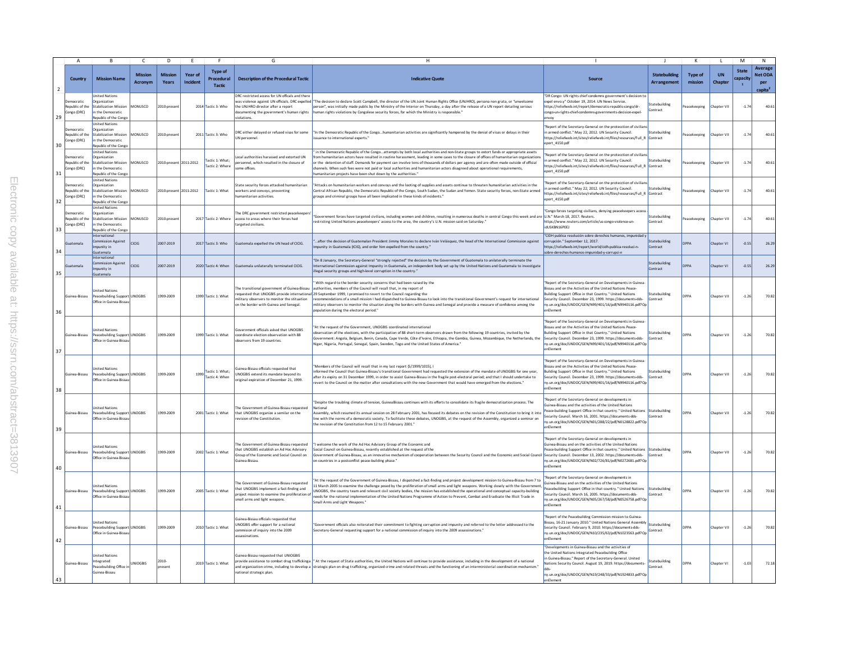|                |                                             |                                                                                                                                            | $\mathsf{C}$              | D                       |                     |                                        |                                                                                                                                                                        |                                                                                                                                                                                                                                                                                                                                                                                                                                                                                                                                                                                                                                   |                                                                                                                                                                                                                                                                                                                          |                                     |                           |                      | M                        | N                                                       |
|----------------|---------------------------------------------|--------------------------------------------------------------------------------------------------------------------------------------------|---------------------------|-------------------------|---------------------|----------------------------------------|------------------------------------------------------------------------------------------------------------------------------------------------------------------------|-----------------------------------------------------------------------------------------------------------------------------------------------------------------------------------------------------------------------------------------------------------------------------------------------------------------------------------------------------------------------------------------------------------------------------------------------------------------------------------------------------------------------------------------------------------------------------------------------------------------------------------|--------------------------------------------------------------------------------------------------------------------------------------------------------------------------------------------------------------------------------------------------------------------------------------------------------------------------|-------------------------------------|---------------------------|----------------------|--------------------------|---------------------------------------------------------|
| $\overline{2}$ | Country                                     | <b>Mission Name</b>                                                                                                                        | <b>Mission</b><br>Acronym | <b>Mission</b><br>Years | Year of<br>Incident | <b>Type of</b><br>Procedural<br>Tactic | <b>Description of the Procedural Tactic</b>                                                                                                                            | <b>Indicative Quote</b>                                                                                                                                                                                                                                                                                                                                                                                                                                                                                                                                                                                                           |                                                                                                                                                                                                                                                                                                                          | <b>Statebuilding</b><br>Arrangement | <b>Type of</b><br>mission | <b>UN</b><br>Chapter | <b>State</b><br>capacity | Average<br><b>Net ODA</b><br>per<br>capita <sup>2</sup> |
| 29             | ocratic<br>ongo (DRC)                       | nited Nations<br><b>Inganization</b><br>tepublic of the Stabilization Mission<br>in the Democratic<br>Republic of the Congo                | MONUSCO                   | 2010-presen             |                     | 2014 Tactic 3: Who                     | DRC restricted access for UN officals and there<br>the UNJHRO director after a report<br>violations.                                                                   | as violence against UN officials. DRC expelled "The decision to declare Scott Campbell, the director of the UN Joint Human Rights Office (UNJHRO), persona non grata, or "unwelcom<br>person", was initially made public by the Ministry of the Interior on Thursday, a day after the release of a UN report detailing serious<br>locumenting the government's human rights human rights violations by Congolese security forces, for which the Ministry is responsible.                                                                                                                                                          | 'DR Congo: UN rights chief condemns government's decision to<br>pel envo.y" October 19, 2014. UN News Service<br>https://reliefweb.int/report/democratic-republic-congo/dr-<br>congo-un-rights-chief-condemns-governments-decision-expel-<br>nvoy                                                                        | Statebuilding<br>Contract           | eacekeeping               | Chapter VII          | $-1.7$                   | 40.6                                                    |
| 30             | emocratic<br>ongo (DRC)                     | <b>Jnited Nations</b><br>Organization<br><b>Republic of the Stabilization Mission</b><br>in the Democratic<br><b>Republic of the Congo</b> | MONUSCO                   | 2010-presen             |                     | 2011 Tactic 3: Who                     | DRC either delayed or refused visas for some<br>JN personnel.                                                                                                          | "In the Democratic Republic of the Congohumanitarian activities are significantly hampered by the denial of visas or delays in their<br>ssuance to international experts."                                                                                                                                                                                                                                                                                                                                                                                                                                                        | Report of the Secretary-General on the protecction of civiliar<br>n armed conflict." May 22, 2012. UN Security Council.<br>https://reliefweb.int/sites/reliefweb.int/files/resources/Full_R Contract<br>port 4150.pdf                                                                                                    | Statebuilding                       | Peacekeeping              | Chapter VII          | $-1.7$                   | 40.6                                                    |
| 31             | emocratic<br>Congo (DRC)                    | <b>Jnited Nations</b><br>Organization<br>Republic of the Stabilization Mission<br>in the Democratic<br>Republic of the Congo               | MONUSCO                   | 2010-present 2011-2012  |                     | actic 1: What;<br>actic 2: Where       | cal authorities harassed and extorted UN<br>ersonnel, which resulted in the closure of<br>ome offices.                                                                 | in the Democratic Republic of the Congoattempts by both local authorities and non-State groups to extort funds or appropriate assets<br>irom humanitarian actors have resulted in routine harassment, leading in some cases to the closure of offices of humanitarian organization<br>or the detention of staff. Demands for payment can involve tens of thousands of dollars per agency and are often made outside of official<br>channels. When such fees were not paid or local authorities and humanitarian actors disagreed about operational requirements,<br>umanitarian projects have been shut down by the authorities." | eport of the Secretary-General on the protecction of civiliar<br>armed conflict." May 22, 2012. UN Security Council<br>https://reliefweb.int/sites/reliefweb.int/files/resources/Full_R Contract<br>port 4150.pdf                                                                                                        | <b>itatebuilding</b>                | eacekeeping               | Chapter VII          | $-1.7$                   | 40.6                                                    |
| 32             | Jemocratic<br>epublic of the<br>Congo (DRC) | <b>Jnited Nations</b><br>Organization<br><b>Stabilization Mission</b><br>in the Democratic<br>Republic of the Congo                        | MONUSCO                   | 2010-present 2011-2012  |                     | Tactic 1: What                         | itate security forces attacked humanitarian<br>orkers and convoys, preventing<br>manitarian activities.                                                                | "Attacks on humanitarian workers and convoys and the looting of supplies and assets continue to threaten humanitarian activities in the<br>Central African Republic, the Democratic Republic of the Congo, South Sudan, the Sudan and Yemen. State security forces, non-State armed<br>groups and criminal groups have all been implicated in these kinds of incidents."                                                                                                                                                                                                                                                          | Report of the Secretary-General on the protecction of civiliar<br>armed conflict." May 22, 2012, UN Security Council.<br>https://reliefweb.int/sites/reliefweb.int/files/resources/Full_R<br>port 4150.pdf                                                                                                               | Statebuilding<br>Contract           | eacekeeping               | hapter VII           | $-1.7$                   | 40.6                                                    |
| 33             | emocratic<br>epublic of the<br>Congo (DRC)  | <b>Inited Nations</b><br>Organization<br>tabilization Mission<br>in the Democratic<br>Republic of the Congo                                | MONUSCO                   | 010-prese               |                     | 2017 Tactic 2: Where                   | The DRC government restricted peacekeeper<br>ccess to areas where their forces had<br>argeted civilians                                                                | "Government forces have targeted dyillans, including women and children, resulting in numerous deaths in central Congo this week and are IU.N." March 18, 2017, Reuters,<br>restricting United Nations peacekeepers' access to the area, the country's U.N. mission said on Saturday.'                                                                                                                                                                                                                                                                                                                                            | 'Congo forces targeting civilians, denying peacekeepers acces<br>https://www.reuters.com/article/us-congo-violence-un-<br>idLISKRN16POFI                                                                                                                                                                                 | Statebuilding<br>Contract           | eacekeeping               | hapter VII           | $-1.7$                   | 40.6                                                    |
| 34             | <b>iatemala</b>                             | International<br><b>Commission Against</b><br>nounity in<br>iuatemala                                                                      | <b>CICIG</b>              | 2007-2019               |                     | 2017 Tactic 3: Who                     | uatemala expelled the UN head of CICIG.                                                                                                                                | after the decision of Guatemalan President Jimmy Morales to declare Iván Velásquez, the head of the International Commission against<br>".punity in Guatemala (ICIG), and order him expelled from the country.                                                                                                                                                                                                                                                                                                                                                                                                                    | "CIDH publica resolución sobre derechos humanos, impunidad y<br>corrupción." September 12, 2017.<br>https://reliefweb.int/report/world/cidh-publica-resoluci-n-<br>obre-derechos-humanos-impunidad-y-corrupci-n                                                                                                          | Statebuilding<br>Contract           | <b>DDDA</b>               | hapter VI            | $-0.55$                  | 26.2                                                    |
| 35             | uatemala                                    | nternational<br>nmission Against<br>npunity in<br>uatemala                                                                                 | <b>CICIG</b>              | 2007-2019               |                     | 2020 Tactic 4: When                    | suatemala unilaterally terminated CICIG.                                                                                                                               | "On 8 January, the Secretary-General "strongly rejected" the decision by the Government of Guatemala to unilaterally terminate the<br>nternational Commission against Impunity in Guatemala, an independent body set up by the United Nations and Guatemala to investigate<br>illegal security groups and high-level corruption in the country."                                                                                                                                                                                                                                                                                  |                                                                                                                                                                                                                                                                                                                          | Statebuilding<br>ontract            | <b>OPPA</b>               | Chapter VI           | $-0.55$                  | 26.2                                                    |
| 36             | Guinea-Bissau                               | nited Nations<br>Peacebuilding Support UNOGBIS<br>Office in Guinea-Bissau                                                                  |                           | 1999-2009               |                     | 1999 Tactic 1: What                    | he transitional government of Guinea-Bissau<br>nilitary observers to monitor the stituation<br>on the border with Guinea and Senegal.                                  | With regard to the border security concerns that had been raised by the<br>authorities, members of the Council will recall that, in my report of<br>requested that UNOGBIS provide international 29 September 1999, I promised to revert to the Council regarding the<br>ecommendations of a small mission I had dispatched to Guinea-Bissau to look into the transitional Government's request for international<br>nilitary observers to monitor the situation along the borders with Guinea and Senegal and provide a measure of confidence among the<br>opulation during the electoral period."                               | eport of the Secretary-General on Developments in Guine<br>Sissau and on the Activities of the United Nations Peace-<br>uilding Support Office in that Country." United Nations<br>ecurity Council. December 23, 1999. https://documents-dds-<br>ny.un.org/doc/UNDOC/GEN/N99/401/16/pdf/N9940116.pdf?Op<br>nElement      | itatebuilding<br>Contract           | <b>DPPA</b>               | Chapter VII          | $-1.26$                  | 70.8                                                    |
| 37             | Guinea-Bissau                               | nited Nations<br>Peacebuilding Support UNOGBIS<br>Office in Guinea-Bissau                                                                  |                           | 1999-2009               |                     | 1999 Tactic 1: What                    | overnment officials asked that UNOGBIS<br>coordinate election observation with 88<br>bservers from 19 countries.                                                       | "At the request of the Government, UNOGBIS coordinated international<br>iservation of the elections, with the participation of 88 short-term observers drawn from the following 19 countries, invited by the<br>.<br>Government: Angola, Belgium, Benin, Canada, Cape Verde, Côte d'Ivoire, Ethiopia, the Gambia, Guinea, Mozambique, the Netherlands, the<br>Niger, Nigeria, Portugal, Senegal, Spain, Sweden, Togo and the United States of America."                                                                                                                                                                           | Report of the Secretary-General on Developments in Guinea<br>Bissau and on the Activities of the United Nations Peace-<br>Building Support Office in that Country." United Nations<br>Security Council. December 23, 1999. https://documents-dds-<br>ny.un.org/doc/UNDOC/GEN/N99/401/16/pdf/N9940116.pdf?Op<br>enElement | Statebuilding<br>Contract           | <b>DPPA</b>               | Chapter VII          | $-1.26$                  | 70.8                                                    |
| 38             | Guinea-Bissau                               | nited Nations<br>Peacebuilding Support UNOGBIS<br>Office in Guinea-Bissa                                                                   |                           | 1999-2009               | 1999                | Tactic 1: What;<br>Tactic 4: When      | uinea-Bissau officials requested that<br>JNOGBIS extend its mandate bevond its<br>riginal expiration of December 21, 1999.                                             | Members of the Council will recall that in my last report (\$/1999/1015), I<br>formed the Council that Guinea-Bissau's transitional Government had requested the extension of the mandate of UNOGBIS for one year<br>after its expiry on 31 December 1999, in order to assist Guinea-Bissau in the fragile post-electoral period; and that I should undertake to<br>evert to the Council on the matter after consultations with the new Government that would have emerged from the elections."                                                                                                                                   | Report of the Secretary-General on Developments in Guinea<br>Sissau and on the Activities of the United Nations Peace-<br>uilding Support Office in that Country." United Nations<br>ecurity Council. December 23, 1999. https://documents-dds-<br>ny.un.org/doc/UNDOC/GEN/N99/401/16/pdf/N9940116.pdf?Op<br>enElement   | Statebuilding<br>Contract           | <b>PPA</b>                | Chapter VII          | $-1.26$                  | 70.8                                                    |
| 39             | Suinea-Bissau                               | nited Nations<br>Peacebuilding Support UNOGBIS<br>Office in Guinea-Bissa                                                                   |                           | 1999-2009               |                     | 2001 Tactic 1: What                    | he Government of Guinea-Bissau requested<br>that UNOGBIS organize a semilar on the<br>wision of the Constitution.                                                      | Despite the troubling climate of tension, GuineaBissau continues with its efforts to consolidate its fragile democratization process. The<br>National<br>Assembly, which resumed its annual session on 28 February 2001, has focused its debates on the revision of the Constitution to bring it into<br>line with the norms of a democratic society. To facilitate these debates, UNOGBIS, at the request of the Assembly, organized a seminar on<br>the revision of the Constitution from 12 to 15 February 2001."                                                                                                              | Report of the Secretary-General on developments in<br>uinea-Bissau and the activities of the United Nations<br>eace-building Support Office in that country." United Nations<br>Security Council. March 16, 2001. https://documents-dds-<br>ny.un.org/doc/UNDOC/GEN/N01/288/22/pdf/N0128822.pdf?Oj<br>enElement          | Statebuilding<br>Contract           | DPPA                      | Chapter VII          | $-1.2$                   | 70.8                                                    |
| 40             | Guinea-Bissau                               | nited Nations<br>Peacebuilding Support UNOGBIS<br>Office in Guinea-Bissa                                                                   |                           | 1999-2009               |                     | 2002 Tactic 1: What                    | he Government of Guinea-Bissau requested<br>hat UNOGBIS establish an Ad Hoc Advisory<br>Group of the Economic and Social Council on<br>uinea-Bissau.                   | I welcome the work of the Ad Hoc Advisory Group of the Economic and<br>Social Council on Guinea-Bissau, recently established at the request of the<br>Government of Guinea-Bissau, as an innovative mechanism of cooperation between the Security Council and the Economic and Social Counci<br>n countries in a postconflict peace-building phase."                                                                                                                                                                                                                                                                              | Report of the Secretary-General on developments in<br>Suinea-Bissau and on the activities of the United Nations<br>eace-building Support Office in that country." United Nations<br>Security Council. December 13, 2002. https://documents-dds-<br>ny.un.org/doc/UNDOC/GEN/N02/726/81/pdf/N0272681.pdf?Oj<br>enElement   | Statebuilding<br>Contract           | DPPA                      | hapter VII           | $-1.2$                   | 70.8                                                    |
| 41             | Guinea-Bissau                               | <b>hited Nations</b><br>Peacebuilding Support UNOGBIS<br>Office in Guinea-Bissa                                                            |                           | 1999-2009               |                     | 2005 Tactic 1: What                    | he Government of Guinea-Bissau requested<br>hat UNOGBIS implement a fact-finding and<br>roject mission to examine the proliferation of<br>mall arms and light weapons. | At the request of the Government of Guinea-Bissau, I dispatched a fact-finding and project development mission to Guinea-Bissau from 7 to<br>11 March 2005 to examine the challenge posed by the proliferation of small arms and light weapons. Working closely with the Governmen<br>JNOGBIS, the country team and relevant civil society bodies, the mission has established the operational and conceptual capacity-building<br>needs for the national implementation of the United Nations Programme of Action to Prevent, Combat and Eradicate the Illicit Trade in<br>Small Arms and Light Weapons.'                        | Report of the Secretary-General on developments in<br>Suinea-Bissau and on the activities of the United Nations<br>eacebuilding Support Office in that country." United Nations<br>Security Council. March 16, 2005. https://documents-dds-<br>ny.un.org/doc/UNDOC/GEN/N05/267/58/pdf/N0526758.pdf?O<br>enElement        | Statebuilding<br>Contract           | DPPA                      | hapter VII           | $-1.2$                   | 70.8                                                    |
| 42             | Guinea-Bissau                               | Inited Nations<br>Peacebuilding Support UNOGBIS<br>Office in Guinea-Bissau                                                                 |                           | 1999-2009               |                     | 2010 Tactic 1: What                    | uinea-Bissau officials requested that<br>JNOGBIS offer support for a national<br>mmision of inquiry into the 2009<br>ssassinations                                     | Government officials also reiterated their commitment to fighting corruption and impunity and referred to the letter addressed to the<br>".Secretary-General requesting support for a national commission of inquiry into the 2009 assassinations.                                                                                                                                                                                                                                                                                                                                                                                | Report of the Peacebuilding Commission mission to Guinea-<br>3issau, 16-21 January 2010." United Nations General Assembly<br>Security Council. February 9, 2010. https://documents-dds-<br>ny.un.org/doc/UNDOC/GEN/N10/235/63/pdf/N1023563.pdf?Op<br>nElement                                                            | Statebuilding<br>Contract           | <b>DPPA</b>               | Chapter VII          | $-1.26$                  | 70.8                                                    |
| 43             | Suinea-Bissau                               | United Nations<br>Integrated<br>Peacebuilding Office in<br>Guinea-Rissau                                                                   | <b>UNIOGBIS</b>           | 2010-<br>resent         |                     | 2019 Tactic 1: What                    | Suinea-Bissau requested that UNIOGBIS<br>national strategic plan.                                                                                                      | provide assistance to combat drug traffickinga  "At the request of State authorities, the United Nations will continue to provide assistance, including in the development of a national<br>and organization crime, including to develop a strategic plan on drug trafficking, organized crime and related threats and the functioning of an interministerial coordination mechanism.                                                                                                                                                                                                                                             | Developments in Guinea-Bissau and the activities of<br>he United Nations Integrated Peacebuilding Office<br>Guinea-Bissau." Report of the Secretary-General. United<br>lations Security Council. August 19, 2019. https://documents-<br>ny.un.org/doc/UNDOC/GEN/N19/248/33/pdf/N1924833.pdf?Op<br>enElement              | Statebuilding<br>Contract           | DPPA                      | hapter VI            | $-1.03$                  | 72.1                                                    |
|                |                                             |                                                                                                                                            |                           |                         |                     |                                        |                                                                                                                                                                        |                                                                                                                                                                                                                                                                                                                                                                                                                                                                                                                                                                                                                                   |                                                                                                                                                                                                                                                                                                                          |                                     |                           |                      |                          |                                                         |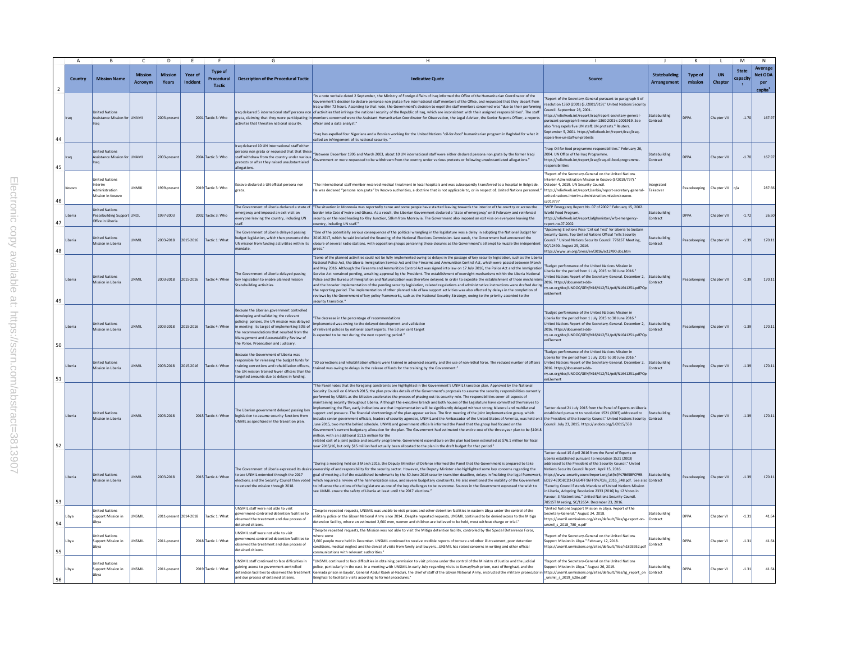|                |         |                                                                                | $\mathcal{C}$                    | $\sqrt{2}$              |                     |                                        | G                                                                                                                                                                                                                                                                                                                        | H.                                                                                                                                                                                                                                                                                                                                                                                                                                                                                                                                                                                                                                                                                                                                                                                                                                                                                                                                                                                                                                                                                                                                                                                                                                                                                                                                                                                                                                                                                                                                                                                                                                                                                     |                                                                                                                                                                                                                                                                                                                                                                                                                                                                                                                                                                                                              |                                     |                           |                      | M                                               | $\mathsf{N}$                                     |
|----------------|---------|--------------------------------------------------------------------------------|----------------------------------|-------------------------|---------------------|----------------------------------------|--------------------------------------------------------------------------------------------------------------------------------------------------------------------------------------------------------------------------------------------------------------------------------------------------------------------------|----------------------------------------------------------------------------------------------------------------------------------------------------------------------------------------------------------------------------------------------------------------------------------------------------------------------------------------------------------------------------------------------------------------------------------------------------------------------------------------------------------------------------------------------------------------------------------------------------------------------------------------------------------------------------------------------------------------------------------------------------------------------------------------------------------------------------------------------------------------------------------------------------------------------------------------------------------------------------------------------------------------------------------------------------------------------------------------------------------------------------------------------------------------------------------------------------------------------------------------------------------------------------------------------------------------------------------------------------------------------------------------------------------------------------------------------------------------------------------------------------------------------------------------------------------------------------------------------------------------------------------------------------------------------------------------|--------------------------------------------------------------------------------------------------------------------------------------------------------------------------------------------------------------------------------------------------------------------------------------------------------------------------------------------------------------------------------------------------------------------------------------------------------------------------------------------------------------------------------------------------------------------------------------------------------------|-------------------------------------|---------------------------|----------------------|-------------------------------------------------|--------------------------------------------------|
| $\overline{2}$ | Country | <b>Mission Name</b>                                                            | <b>Mission</b><br><b>Acronym</b> | <b>Mission</b><br>Years | Year of<br>Incident | <b>Type of</b><br>Procedural<br>Tactic | <b>Description of the Procedural Tactic</b>                                                                                                                                                                                                                                                                              | <b>Indicative Quot</b>                                                                                                                                                                                                                                                                                                                                                                                                                                                                                                                                                                                                                                                                                                                                                                                                                                                                                                                                                                                                                                                                                                                                                                                                                                                                                                                                                                                                                                                                                                                                                                                                                                                                 | <b>Source</b>                                                                                                                                                                                                                                                                                                                                                                                                                                                                                                                                                                                                | <b>Statebuilding</b><br>Arrangement | <b>Type of</b><br>mission | <b>UN</b><br>Chapter | <b>State</b><br><b>capacity</b><br>$\mathbf{1}$ | Average<br>Net ODA<br>per<br>capita <sup>2</sup> |
| 44             |         | <b>Jnited Nations</b><br>Assistance Mission for UNAMI<br>raq                   |                                  | 2003-present            |                     | 2001 Tactic 3: Who                     | activites that threaten national security.                                                                                                                                                                                                                                                                               | "In a note verbale dated 2 September, the Ministry of Foreign Affairs of Iraq informed the Office of the Humanitarian Coordinator of the<br>Government's decision to declare personae non gratae five international staff members of the Office, and requested that they depart from<br>Iraq within 72 hours. According to that note, the Government's decision to expel the staff members concerned was "due to their performing<br>raq delcared 5 international staff persona non of activities that infringe the national security of the Republic of Iraq, which are inconsistent with their assigned responsibilities". The staff<br>grata, daiming that they were participating in members concerned were the Assistant Humanitarian Coordinator for Observation, the Legal Adviser, the Senior Reports Officer, a reports<br>officer and a data analyst.'<br>"Iraq has expelled four Nigerians and a Bosnian working for the United Nations "oil-for-food" humanitarian program in Baghdad for what it<br>called an infringement of its national security."                                                                                                                                                                                                                                                                                                                                                                                                                                                                                                                                                                                                                     | "Report of the Secretary-General pursuant to paragraph 5 of<br>resolution 1360 (2001) (S /2001/919)." United Nations Security<br>Council, September 28, 2001.<br>https://reliefweb.int/report/iraq/report-secretary-general-<br>ursuant-paragraph-5-resolution-1360-2001-s-2001919. See<br>also "Irag expels five UN staff: UN protests." Reuters.<br>September 5, 2001. https://reliefweb.int/report/iraq/iraq-<br>opels-five-un-staff-un-protests                                                                                                                                                          | Statebuilding<br>Contract           | <b>DPPA</b>               | Chapter VII          | $-1.70$                                         | 167.9                                            |
| 45             |         | nited Nations<br>Assistance Mission for UNAMI<br>Iraq                          |                                  | 2003-present            |                     | 2004 Tactic 3: Who                     | Iraq delcared 10 UN international staff eithe<br>ersona non grata or requesed that that thes<br>staff withdraw from the country under various<br>pretexts or after they raised unsubstantialed<br>allegations.                                                                                                           | Between December 1996 and March 2003, about 10 UN international staff were either dedared persona non grata by the former Iraqi<br>Government or were requested to be withdrawn from the country under various pretexts or following unsubstantiated allegations."                                                                                                                                                                                                                                                                                                                                                                                                                                                                                                                                                                                                                                                                                                                                                                                                                                                                                                                                                                                                                                                                                                                                                                                                                                                                                                                                                                                                                     | "Irag: Oil-for-food programme responsibilities." February 26.<br>2004. UN Office of the Iraq Programme.<br>https://reliefweb.int/report/iraq/iraq-oil-food-programme-<br>sponsibilities                                                                                                                                                                                                                                                                                                                                                                                                                      | Statebuilding<br>Contract           | <b>DPPA</b>               | Chapter VII          | $-1.70$                                         | 167.9                                            |
| 46             |         | <b>Inited Nations</b><br>Interim<br><b>Idministration</b><br>Aission in Kosovo | <b>IINMIK</b>                    | 1999-present            |                     | 2019 Tactic 3: Who                     | osovo declared a UN official persona non<br>rata.                                                                                                                                                                                                                                                                        | "The international staff member received medical treatment in local hospitals and was subsequently transferred to a hospital in Belgrade<br>e was declared "persona non grata" by Kosovo authorities, a doctrine that is not applicable to, or in respect of, United Nations personnel.                                                                                                                                                                                                                                                                                                                                                                                                                                                                                                                                                                                                                                                                                                                                                                                                                                                                                                                                                                                                                                                                                                                                                                                                                                                                                                                                                                                                | 'Report of the Secretary-General on the United Nations<br>terim Administration Mission in Kosovo (S/2019/797)."<br>October 4, 2019, UN Security Council.<br>https://reliefweb.int/report/serbia/report-secretary-general-<br>united-nations-interim-administration-mission-kosovo-<br>s2019797                                                                                                                                                                                                                                                                                                               | Integrated<br>Takeove               | Peacekeeping              | Chapter VII n/a      |                                                 | 287.6                                            |
| 47             |         | <b>Inited Nations</b><br>eacebuilding Support UNOL<br>Office in Liberia        |                                  | 1997-2003               |                     | 2002 Tactic 3: Who                     | mergency and imposed an exit visit on<br>vervone leaving the country, including UN                                                                                                                                                                                                                                       | The Government of Liberia declared a state of The situation in Monrovia was reportedly tense and some people have started leaving towards the interior of the country or across the<br>border into Cote d'Ivoire and Ghana. As a result, the Liberian Government declared a 'state of emergency' on 8 February and reinforced<br>security on the road leading to Klay Junction, 58km from Monrovia. The Government also imposed an exit visa on everyone leaving the<br>ountry, including UN staff."                                                                                                                                                                                                                                                                                                                                                                                                                                                                                                                                                                                                                                                                                                                                                                                                                                                                                                                                                                                                                                                                                                                                                                                   | "WFP Emergency Report No. 07 of 2002." February 15, 2002.<br>World Food Program.<br>https://reliefweb.int/report/afghanistan/wfp-emergency<br>eport-no-07-2002                                                                                                                                                                                                                                                                                                                                                                                                                                               | Statebuilding<br>Contract           |                           | hapter VII           | $-1.72$                                         | 26.5                                             |
| 48             | beria   | <b>Inited Nations</b><br>Mission in Liberia                                    | UNMIL                            | 2003-2018               | 2015-2016           | Tactic 1: What                         | The Government of Liberia delaved passing<br>budget legislation, which then prevented the<br>UN mission from funding activitites within its<br>andate                                                                                                                                                                    | "One of the potentially serious consequences of the political wrangling in the legislature was a delay in adopting the National Budget for<br>2016-2017, which he said included the financing of the National Elections Commission, Last week, the Government had announced the<br>closure of several radio stations, with opposition groups perceiving those closures as the Government's attempt to muzzle the independent<br>press."                                                                                                                                                                                                                                                                                                                                                                                                                                                                                                                                                                                                                                                                                                                                                                                                                                                                                                                                                                                                                                                                                                                                                                                                                                                | "Upcoming Elections Pose 'Critical Test' for Liberia to Sustain<br>Security Gains, Top United Nations Official Tells Security<br>Council." United Nations Security Council. 7761ST Meeting,<br>SC/12490. August 25, 2016.<br>https://www.un.org/press/en/2016/sc12490.doc.htm                                                                                                                                                                                                                                                                                                                                | Statebuilding<br>Contract           | eacekeeping               | Chapter VII          | $-1.39$                                         | 170.1                                            |
| 49             |         | United Nations<br>Mission in Liberia                                           | <b>UNMIL</b>                     | 2003-2018               | 2015-2016           | Tactic 4: When                         | The Government of Liberia delayed passing<br>key legislation to enable planned mission<br><b>Statebuilding activities</b>                                                                                                                                                                                                | "Some of the planned activities could not be fully implemented owing to delays in the passage of key security legislation, such as the Liberi<br>National Police Act, the Liberia Immigration Service Act and the Firearms and Ammunition Control Act, which were passed between March<br>and May 2016. Although the Firearms and Ammunition Control Act was signed into law on 17 July 2016, the Police Act and the Immigration<br>Service Act remained pending, awaiting approval by the President. The establishment of oversight mechanisms within the Liberia National<br>Police and the Bureau of Immigration and Naturalization was therefore delayed. In order to expedite the establishment of those mechanism<br>and the broader implementation of the pending security legislation, related regulations and administrative instructions were drafted during<br>the reporting period. The implementation of other planned rule of law support activities was also affected by delays in the completion of<br>reviews by the Government of key policy frameworks, such as the National Security Strategy, owing to the priority accorded to the<br>ecurity transition."                                                                                                                                                                                                                                                                                                                                                                                                                                                                                                       | "Budget performance of the United Nations Mission in<br>Liberia for the period from 1 July 2015 to 30 June 2016."<br>United Nations Report of the Secretary-General. December 2, Statebuilding<br>2016. https://documents-dds-<br>ny.un.org/doc/UNDOC/GEN/N16/412/51/pdf/N1641251.pdf?Op<br>enElement                                                                                                                                                                                                                                                                                                        | Contract                            | Peacekeeping              | Chapter VII          | $-1.39$                                         | 170.1                                            |
| 50             |         | <b>Jnited Nations</b><br>Aission in Liberia                                    | <b>UNMIL</b>                     | 2003-2018               | 2015-2016           | Tactic 4: When                         | Because the Liberian government controlled<br>developing and validating the relevant<br>policing policies, the UN mission was delayed<br>in meeting its target of implementing 50% of<br>the recommendations that resulted from the<br>Management and Accountability Review of<br>the Police, Prosecution and Judiciary. | "The decrease in the percentage of recommendations<br>mplemented was owing to the delayed development and validation<br>of relevant policies by national counterparts. The 50 per cent target<br>is expected to be met during the next reporting period."                                                                                                                                                                                                                                                                                                                                                                                                                                                                                                                                                                                                                                                                                                                                                                                                                                                                                                                                                                                                                                                                                                                                                                                                                                                                                                                                                                                                                              | "Budget performance of the United Nations Mission in<br>Liberia for the period from 1 July 2015 to 30 June 2016."<br>United Nations Report of the Secretary-General. December 2, Statebuilding<br>2016. https://documents-dds<br>ny.un.org/doc/UNDOC/GEN/N16/412/51/pdf/N1641251.pdf?Op<br>enElement                                                                                                                                                                                                                                                                                                         | Contract                            | Peacekeeping              | Chapter VII          | $-1.39$                                         | 170.1                                            |
| 51             | Jberia  | <b>Jnited Nations</b><br>Mission in Liberia                                    | <b>UNMIL</b>                     | 2003-2018               | 2015-2016           | Tactic 4: When                         | Because the Government of Liberia was<br>esponsible for releasing the budget funds for<br>training corrections and rehabiliation officers.<br>the UN mission trained fewer officers than the<br>targeted amounts due to delays in funding.                                                                               | "30 corrections and rehabilitation officers were trained in advanced security and the use of non-lethal force. The reduced number of officers<br>trained was owing to delays in the release of funds for the training by the Government."                                                                                                                                                                                                                                                                                                                                                                                                                                                                                                                                                                                                                                                                                                                                                                                                                                                                                                                                                                                                                                                                                                                                                                                                                                                                                                                                                                                                                                              | "Budget performance of the United Nations Mission in<br>heria for the period from 1 July 2015 to 30 June 2016."<br>United Nations Report of the Secretary-General. December 2, Statebuilding<br>2016. https://documents-dds<br>ny.un.org/doc/UNDOC/GEN/N16/412/51/pdf/N1641251.pdf?Op<br>enElement                                                                                                                                                                                                                                                                                                           | Contract                            | Peacekeeping              | Chapter VII          | $-1.39$                                         | 170.1                                            |
| 52             |         | <b>United Nations</b><br>Mission in Liberia                                    | <b>IINMIL</b>                    | 2003-2018               |                     | 2015 Tactic 4: When                    | The Liberian government delaved passing key<br>legislation to assume security functions from<br>UNMIL as specificied in the transition plan.                                                                                                                                                                             | "The Panel notes that the foregoing constraints are highlighted in the Government's UNMIL transition plan. Approved by the National<br>Security Council on 6 March 2015, the plan provides details of the Government's proposals to assume the security responsibilities currently<br>erformed by UNMIL as the Mission accelerates the process of phasing out its security role. The responsibilities cover all aspects of<br>naintaining security throughout Liberia. Although the executive branch and both houses of the Legislature have committed themselves to<br>nplementing the Plan, early indications are that implementation will be significantly delayed without strong bilateral and multilateral<br>support and pressure. The financial shortcomings of the plan appear serious. The first meeting of the joint implementation group, which<br>indudes senior government officials, leaders of security agencies, UNMIL and the Ambassador of the United States of America, was held on 3 the President of the Security Council." United Nations Security Contract<br>June 2015, two months behind schedule. UNMIL and government officia Is informed the Panel that the group had focused on the<br>Government's current budgetary allocation for the plan. The Government had estimated the entire cost of the three-year plan to be \$104.8<br>million, with an additional \$11.5 million for the<br>related cost of a joint justice and security programme. Government expenditure on the plan had been estimated at \$76.1 million for fiscal<br>year 2015/16, but only \$15 million had actually been allocated to the plan in the draft budget for that period." | "Letter dated 21 July 2015 from the Panel of Experts on Liberia<br>established pursuant to resolution 1521 (2003) addressed to Statebuilding<br>Council, July 23, 2015, https://undocs.org/S/2015/558                                                                                                                                                                                                                                                                                                                                                                                                        |                                     | Peacekeeping              | Chapter VII          | $-1.39$                                         | 170.1                                            |
| 53             |         | <b>Inited Nations</b><br>Mission in Liberia                                    | <b>UNMIL</b>                     | 2003-2018               |                     | 2015 Tactic 4: When                    | to see UNMIL extended through the 2017<br>lections, and the Security Council then voted<br>to extend the mission through 2018.                                                                                                                                                                                           | "During a meeting held on 3 March 2016, the Deputy Minister of Defence informed the Panel that the Government is prepared to take<br>The Government of Liberia expressed its desire ownership of and responsibility for the security sector. However, the Deputy Minister also highlighted some key concerns regarding the<br>goal of meeting all of the established benchmarks by the 30 June 2016 security transition deadline, delays in finalizing the legal framework<br>which required a review of the harmonization issue, and severe budgetary constraints. He also mentioned the inability of the Government<br>to influence the actions of the legislature as one of the key challenges to be overcome. Sources in the Government expressed the wish to<br>see UNMIL ensure the safety of Liberia at least until the 2017 elections."                                                                                                                                                                                                                                                                                                                                                                                                                                                                                                                                                                                                                                                                                                                                                                                                                                        | "Letter dated 15 April 2016 from the Panel of Experts on<br>iberia established pursuant to resolution 1521 (2003)<br>addressed to the President of the Security Council." United<br>Nations Security Council Report. April 15, 2016.<br>https://www.securitycouncilreport.org/atf/cf/%7B65BFCF9B-<br>6D27-4E9C-8CD3-CF6E4FF96FF9%7D/s_2016_348.pdf. See also Contract<br>"Security Council Extends Mandate of United Nations Mission<br>n Liberia. Adopting Resolution 2333 (2016) by 12 Votes in<br>avour, 3 Abstentions," United Nations Security Council,<br>7851ST Meeting, SC/12654. December 23, 2016. | Statebuilding                       | Peacekeeping              | Chapter VII          | $-1.39$                                         | 170.1                                            |
| 54             | Libva   | <b>Inited Nations</b><br>upport Mission in<br>Libya                            | UNSMIL                           | 2011-present 2014-2018  |                     | Tactic 1: What                         | JNSMIL staff were not able to visit<br>wernment-controlled detention facilities to<br>observed the treatment and due process of<br>etained citizens                                                                                                                                                                      | Despite repeated requests, UNSMIL was unable to visit prisons and other detention facilities in eastern Libya under the control of the<br>military police or the Libyan National Army since 2014Despite repeated requests, UNSMIL continued to be denied access to the Mitiga<br>etention facility, where an estimated 2.600 men, women and children are believed to be held, most without charge or trial,"                                                                                                                                                                                                                                                                                                                                                                                                                                                                                                                                                                                                                                                                                                                                                                                                                                                                                                                                                                                                                                                                                                                                                                                                                                                                           | "United Nations Support Mission in Libya. Report of the<br>ecretary-General." August 24, 2018.<br>https://unsmil.unmissions.org/sites/default/files/sg-report-on-<br>smil s 2018 780 e.pdf                                                                                                                                                                                                                                                                                                                                                                                                                   | Statebuilding<br>Contract           | DPPA                      | hapter VI            | $-1.3$                                          | 41.6                                             |
| 55             | Libva   | Inited Nations<br>upport Mission in<br>Libya                                   | UNSMIL                           | 2011-present            |                     | 2018 Tactic 1: What                    | UNSMIL staff were not able to visit<br>wernment-controlled detention facilities to<br>observed the treatment and due process of<br>letained citizens.                                                                                                                                                                    | Despite repeated requests, the Mission was not able to visit the Mitiga detention facility, controlled by the Special Deterrence Force,<br>where some<br>2,600 people were held in December. UNSMIL continued to receive credible reports of torture and other ill-treatment, poor detention<br>onditions, medical neglect and the denial of visits from family and lawyersUNSMIL has raised concerns in writing and other official<br>mmunications with relevant authorities."                                                                                                                                                                                                                                                                                                                                                                                                                                                                                                                                                                                                                                                                                                                                                                                                                                                                                                                                                                                                                                                                                                                                                                                                        | Report of the Secretary-General on the United Nations<br>Support Mission in Libya." February 12, 2018.<br>https://unsmil.unmissions.org/sites/default/files/n1803952.pdf                                                                                                                                                                                                                                                                                                                                                                                                                                     | Statebuilding<br>Contract           | DPPA                      | hapter V             | $-1.3$                                          | 41.6                                             |
| 56             | Libya   | Inited Nations<br>upport Mission in<br>ibya                                    | <b>UNSMIL</b>                    | 2011-present            |                     | 2019 Tactic 1: What                    | UNSMIL staff continued to face difficulties in<br>caining access to government-controlled<br>detention facilities to observed the treatment<br>and due process of detained citizens.                                                                                                                                     | "UNSMIL continued to face difficulties in obtaining permission to visit prisons under the control of the Ministry of Justice and the judicial<br>police, particularly in the east. In a meeting with UNSMIL in early July regarding visits to Kuwayfiyah prison, east of Benghazi, and the<br>Gernada prison in Bayda', General Abdul Razek al-Naduri, the chief of staff of the Libyan National Army, instructed the military prosecutor in https://unsmil.unmissions.org/sites/default/files/sg_report_on Contract<br>Benghazi to facilitate visits according to formal procedures.                                                                                                                                                                                                                                                                                                                                                                                                                                                                                                                                                                                                                                                                                                                                                                                                                                                                                                                                                                                                                                                                                                  | "Report of the Secretary-General on the United Nations<br>Support Mission in Libya." August 26, 2019.<br>unsmil s 2019 628e.pdf                                                                                                                                                                                                                                                                                                                                                                                                                                                                              | Statebuilding                       | DPPA                      | hapter VI            | $-1.31$                                         | 41.6                                             |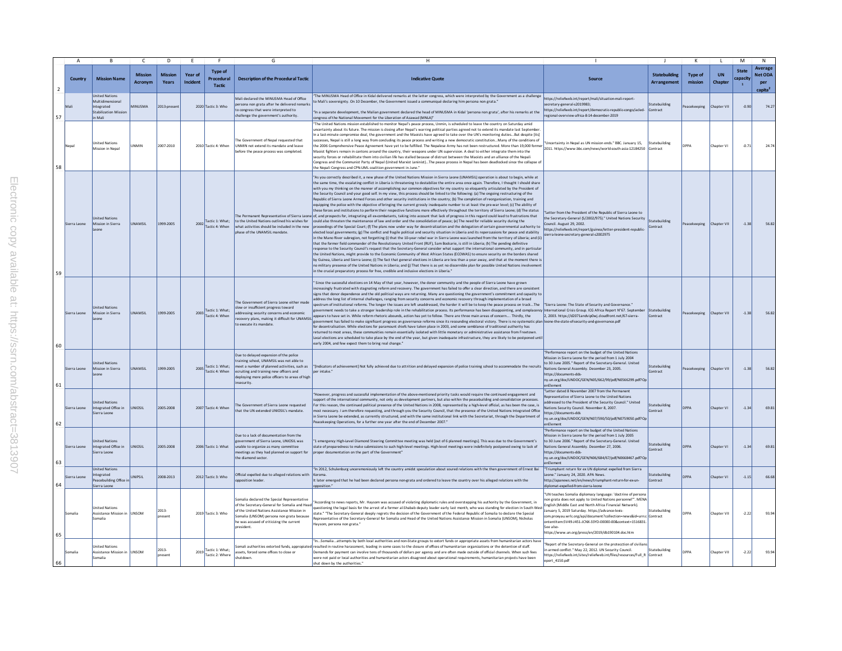|                | $\overline{A}$ | $\overline{B}$                                                                                    | $\mathsf{C}$              | D                       | E                   |                                               | G                                                                                                                                                                                                                                                   | H                                                                                                                                                                                                                                                                                                                                                                                                                                                                                                                                                                                                                                                                                                                                                                                                                                                                                                                                                                                                                                                                                                                                                                                                                                                                                                                                                                                                                                                                                                                                                                                                                                                                                                                                                                                                                                                                                                                                                                                                                                                                                                                                                                                                                                                                                                                                                                                                                                                                                                                                                                                                                                                  |                                                                                                                                                                                                                                                                                                                                                                                                                                                 |                                     | $\mathsf{K}$              |                      | M                        | $\mathsf{N}$                                            |
|----------------|----------------|---------------------------------------------------------------------------------------------------|---------------------------|-------------------------|---------------------|-----------------------------------------------|-----------------------------------------------------------------------------------------------------------------------------------------------------------------------------------------------------------------------------------------------------|----------------------------------------------------------------------------------------------------------------------------------------------------------------------------------------------------------------------------------------------------------------------------------------------------------------------------------------------------------------------------------------------------------------------------------------------------------------------------------------------------------------------------------------------------------------------------------------------------------------------------------------------------------------------------------------------------------------------------------------------------------------------------------------------------------------------------------------------------------------------------------------------------------------------------------------------------------------------------------------------------------------------------------------------------------------------------------------------------------------------------------------------------------------------------------------------------------------------------------------------------------------------------------------------------------------------------------------------------------------------------------------------------------------------------------------------------------------------------------------------------------------------------------------------------------------------------------------------------------------------------------------------------------------------------------------------------------------------------------------------------------------------------------------------------------------------------------------------------------------------------------------------------------------------------------------------------------------------------------------------------------------------------------------------------------------------------------------------------------------------------------------------------------------------------------------------------------------------------------------------------------------------------------------------------------------------------------------------------------------------------------------------------------------------------------------------------------------------------------------------------------------------------------------------------------------------------------------------------------------------------------------------------|-------------------------------------------------------------------------------------------------------------------------------------------------------------------------------------------------------------------------------------------------------------------------------------------------------------------------------------------------------------------------------------------------------------------------------------------------|-------------------------------------|---------------------------|----------------------|--------------------------|---------------------------------------------------------|
| $\overline{2}$ | Country        | <b>Mission Name</b>                                                                               | <b>Mission</b><br>Acronvm | <b>Mission</b><br>Years | Year of<br>Incident | <b>Type of</b><br>Procedural<br><b>Tactic</b> | <b>Description of the Procedural Tactic</b>                                                                                                                                                                                                         | <b>Indicative Quote</b>                                                                                                                                                                                                                                                                                                                                                                                                                                                                                                                                                                                                                                                                                                                                                                                                                                                                                                                                                                                                                                                                                                                                                                                                                                                                                                                                                                                                                                                                                                                                                                                                                                                                                                                                                                                                                                                                                                                                                                                                                                                                                                                                                                                                                                                                                                                                                                                                                                                                                                                                                                                                                            | Source                                                                                                                                                                                                                                                                                                                                                                                                                                          | <b>Statebuilding</b><br>Arrangement | <b>Type of</b><br>mission | <b>UN</b><br>Chapter | <b>State</b><br>capacity | Average<br><b>Net ODA</b><br>per<br>capita <sup>2</sup> |
| 57             |                | <b>Inited Nations</b><br>Multidimensional<br>Integrated<br><b>Stabilization Mission</b><br>ilcM o | <b>MINUSMA</b>            | 2013-present            |                     | 2020 Tactic 3: Who                            | Mali declared the MINUSMA Head of Office<br>persona non grata after he delivered remarks<br>to congress that were interpreted to<br>hallenge the government's authority.                                                                            | he MINUSMA Head of Office in Kidal delivered remarks at the latter congress, which were interpreted by the Government as a challenge<br>Mall's sovereignty. On 10 December, the Government issued a communiqué declaring him persona non grata."<br>"In a separate development, the Malian government dedared the head of MINUSMA in Kidal 'persona non grata', after his remarks at the<br>congress of the National Movement for the Liberation of Azawad (MNLA)"                                                                                                                                                                                                                                                                                                                                                                                                                                                                                                                                                                                                                                                                                                                                                                                                                                                                                                                                                                                                                                                                                                                                                                                                                                                                                                                                                                                                                                                                                                                                                                                                                                                                                                                                                                                                                                                                                                                                                                                                                                                                                                                                                                                 | https://reliefweb.int/report/mali/situation-mali-report-<br>secretary-general-s2019983;<br>https://reliefweb.int/report/democratic-republic-congo/acled-<br>regional-overview-africa-8-14-december-2019                                                                                                                                                                                                                                         | statebuilding<br>Contract           | Peacekeeping              | Chapter VII          | $-0.90$                  | 74.2                                                    |
| 58             | Nepal          | Inited Nations<br>dission in Nepa                                                                 | <b>JNMIN</b>              | 2007-2010               |                     | 2010 Tactic 4: When                           | e Government of Nepal requested that<br>UNMIN not extend its mandate and leave<br>before the peace process was completed.                                                                                                                           | The United Nations mission established to monitor Nepal's peace process, Unmin, is scheduled to leave the country on Saturday amid<br>ncertainty about its future. The mission is closing after Nepal's warring political parties agreed not to extend its mandate last September<br>n a last-minute compromise deal, the government and the Maoists have agreed to take over the UN's monitoring dutiesBut despite [its]<br>ccesses, Nepal is still a long way from concluding its peace process and writing a new democratic constitutionMany of the conditions of<br>ut the state is and a top with www.two-state of the Milled. The Nepalese Army has not been restructured. More than 19,000 former   what cannot without without without the 2006 Comprehensive Pack Army Armor 21284250   Contr<br>Maoist fighters remain in cantons around the country, their weapons under UN supervision. A deal to either integrate them into the<br>ecurity forces or rehabilitate them into civilian life has stalled because of distrust between the Maoists and an alliance of the Nepali<br>Congress and the Communist Party of Nepal (United Marxist Leninist)The peace process in Nepal has been deadlocked since the collapse of<br>he Nepali Congress and CPN-UML coalition government in June."                                                                                                                                                                                                                                                                                                                                                                                                                                                                                                                                                                                                                                                                                                                                                                                                                                                                                                                                                                                                                                                                                                                                                                                                                                                                                                                                               |                                                                                                                                                                                                                                                                                                                                                                                                                                                 | Statebuilding                       | <b>DPPA</b>               | Chapter VI           | $-0.71$                  | 24.7                                                    |
| 59             | Sierra Leone   | <b>Inited Nations</b><br>Mission in Sierra<br>Leone                                               | UNAMSIL                   | 1999-2005               |                     | 2002 Tactic 1: What;<br>Tactic 4: When        | to the United Nations outlined his wishes for<br>what activities should be included in the new<br>phase of the UNAMSIL mandate                                                                                                                      | As you correctly described it, a new phase of the United Nations Mission in Sierra Leone (UNAMSIL) operation is about to begin, while at<br>the same time, the escalating conflict in Liberia is threatening to destabilize the entire area once again. Therefore, I thought I should share<br>with you my thinking on the manner of accomplishing our common objectives for my country so eloquently articulated by the President of<br>the Security Council and your good self. In my view, this process should be linked to the following: (a) The ongoing restructuring of the<br>Republic of Sierra Leone Armed Forces and other security institutions in the country; (b) The completion of reorganization, training and<br>quipping the police with the objective of bringing the current grossly inadequate number to at least the pre-war level; (c) The ability of<br>hese forces and institutions to perform their respective functions more effectively throughout the territory of Sierra Leone; (d) The status<br>The Permanent Representative of Sierra Leone of, and prospects for, integrating all ex-combatants, taking into account that lack of progress in this regard could lead to frustrations that<br>could also threaten the maintenance of law and order and the consolidation of peace: (e) The need for reliable security during the<br>oceedings of the Special Court; (f) The plans now under way for decentralization and the delegation of certain governmental authority to<br>ected local governments; (g) The conflict and fragile political and security situation in Liberia and its repercussions for peace and stability<br>in the Mano River subregion, not forgetting (i) that the 10-year rebel war in Sierra Leone was launched from the territory of Liberia; and (ii)<br>that the former field commander of the Revolutionary United Front (RUF). Sam Bockarie, is still in Liberia: (h) The pending definitive<br>sponse to the Security Council's request that the Secretary-General consider what support the international community, and in particula<br>the United Nations, might provide to the Economic Community of West African States (ECOWAS) to ensure security on the borders shared<br>by Guinea, Liberia and Sierra Leone; (i) The fact that general elections in Liberia are less than a year away, and that at the moment there is<br>no military presence of the United Nations in Liberia: and (i) That there is as yet no discernible plan for possible United Nations involvemen<br>in the crucial preparatory process for free, credible and inclusive elections in Liberia." | "Letter from the President of the Republic of Sierra Leone to<br>the Secretary-General (S/2002/975)." United Nations Security<br>Council, August 29, 2002.<br>https://reliefweb.int/report/guinea/letter-president-republic-<br>sierra-leone-secretary-general-s2002975                                                                                                                                                                         | Statebuilding<br>Contract           | Peacekeeping              | Chapter VII          | $-1.38$                  | 56.82                                                   |
| 60             | ierra Leone    | <b>Inited Nations</b><br>Mission in Sierra                                                        | <b>JNAMSIL</b>            | 1999-2005               |                     | Tactic 1: What;<br>2003 Tactic 4: When        | The Government of Sierra Leone either made<br>slow or insufficient progress toward<br>addressing security concerns and economic<br>covery plans, making it difficult for UNAMSIL<br>to execute its mandate.                                         | Since the successful elections on 14 May of that year, however, the donor community and the people of Sierra Leone have grown<br>increasingly frustrated with stagnating reform and recovery. The government has failed to offer a clear direction, and there are consistent<br>signs that donor dependence and the old political ways are returning. Many are questioning the government's commitment and capacity to<br>ddress the long list of internal challenges, ranging from security concerns and economic recovery through implementation of a broad<br>ectrum of institutional reforms. The longer the issues are left unaddressed, the harder it will be to keep the peace process on trackThe<br>wernment needs to take a stronger leadership role in the rehabilitation process. Its performance has been disappointing, and complacency International Crisis Group. ICG Africa Report N°67. September<br>appears to have set in. While reform rhetoric abounds, action has yet to follow. There are three main areas of concern Thirdly, the<br>overnment has failed to make significant progress on governance reforms since its resounding electoral victory. There is no systematic plan leone-the-state-of-security-and-governance.pdf<br>for deceptralisation. While elections for paramount chiefs have taken place in 2003, and some semblance of traditional authority has<br>sturned to most areas, these communities remain essentially isolated with little monetary or administrative assistance from Freetown<br>Local elections are scheduled to take place by the end of the year, but given inadequate infrastructure, they are likely to be postponed unti<br>early 2004, and few expect them to bring real change."                                                                                                                                                                                                                                                                                                                                                                                                                                                                                                                                                                                                                                                                                                                                                                                                                                                                                                | "Sierra Leone: The State of Security and Governance."<br>2, 2003. https://d2071andvip0wj.cloudfront.net/67-sierra-                                                                                                                                                                                                                                                                                                                              | Statebuilding<br>Contract           | eacekeeping               | Chapter VI           | $-1.38$                  | 56.8                                                    |
| 61             | Sierra Leone   | United Nations<br>Mission in Sierra                                                               | <b>INAMSIL</b>            | 1999-2005               | 2005                | Tactic 1: What:<br>Tactic 4: When             | Due to delayed expansion of the police<br>raining school. UNAMSIL was not able to<br>neet a number of planned activities, such as<br>ecruiting and training new officers and<br>deploying more police officers to areas of high<br>inserurity       | [Indicators of achievement] Not fully achieved due to attrition and delayed expansion of police training school to accommodate the recruits<br>lper intake."                                                                                                                                                                                                                                                                                                                                                                                                                                                                                                                                                                                                                                                                                                                                                                                                                                                                                                                                                                                                                                                                                                                                                                                                                                                                                                                                                                                                                                                                                                                                                                                                                                                                                                                                                                                                                                                                                                                                                                                                                                                                                                                                                                                                                                                                                                                                                                                                                                                                                       | "Performance report on the budget of the United Nations<br>Mission in Sierra Leone for the period from 1 July 2004<br>to 30 June 2005." Report of the Secretary-General. United<br>Nations General Assembly, December 23, 2005.<br>https://documents-dds-<br>ny.un.org/doc/UNDOC/GEN/N05/662/99/pdf/N0566299.pdf?Oj<br>nElement                                                                                                                 | <b>Statebuilding</b><br>contract    | Peacekeeping              | Chapter VI           | $-1.38$                  | 56.8                                                    |
| 62             | Sierra Leone   | nited Nations<br>Integrated Office in<br>Sierra Leone                                             | <b>UNIOSIL</b>            | 2005-2008               |                     | 2007 Tactic 4: When                           | The Government of Sierra Leone requested<br>hat the UN extended UNIOSIL's mandate.                                                                                                                                                                  | However, progress and successful implementation of the above-mentioned priority tasks would require the continued engagement and<br>pport of the international community, not only as development partners, but also within the peacebuilding and consolidation processes.<br>For this reason, the continued political presence of the United Nations in 2008, represented by a high-level official, as has been the case, is<br>ost necessary. I am therefore requesting, and through you the Security Council, that the presence of the United Nations Integrated Office<br>n Sierra Leone be extended, as currently structured, and with the same institutional link with the Secretariat, through the Department of<br>Peacekeeping Operations, for a further one year after the end of December 2007."                                                                                                                                                                                                                                                                                                                                                                                                                                                                                                                                                                                                                                                                                                                                                                                                                                                                                                                                                                                                                                                                                                                                                                                                                                                                                                                                                                                                                                                                                                                                                                                                                                                                                                                                                                                                                                        | "Letter dated 8 November 2007 from the Permanent<br>presentative of Sierra Leone to the United Nations<br>addressed to the President of the Security Council." United<br>Nations Security Council, November 8, 2007.<br>https://documents-dds<br>ny.un.org/doc/UNDOC/GEN/N07/590/50/pdf/N0759050.pdf?Oj<br>enElement                                                                                                                            | Statebuilding<br>Contract           | <b>DPPA</b>               | Chapter VI           | $-1.34$                  | 69.81                                                   |
| 63             | Sierra Leone   | <b>Inited Nations</b><br>Integrated Office in<br>Sierra Leone                                     | <b>JNIOSIL</b>            | 2005-2008               |                     | 2006 Tactic 1: What                           | Due to a lack of documentation from the<br>overnment of Sierra Leone, UNIOSIL was<br>nable to organize as many committee<br>meetings as they had planned on support for<br>the diamond sector.                                                      | '1 emergency High-Level Diamond Steering Committee meeting was held [out of 6 planned meetings]. This was due to the Government's<br>state of preparedness to make submissions to such high-level meetings. High-level meetings were indefinitely postponed owing to lack of<br>oroper documentation on the part of the Government"                                                                                                                                                                                                                                                                                                                                                                                                                                                                                                                                                                                                                                                                                                                                                                                                                                                                                                                                                                                                                                                                                                                                                                                                                                                                                                                                                                                                                                                                                                                                                                                                                                                                                                                                                                                                                                                                                                                                                                                                                                                                                                                                                                                                                                                                                                                | "Performance report on the budget of the United Nations<br>lission in Sierra Leone for the period from 1 July 2005<br>to 30 June 2006." Report of the Secretary-General, United<br>Nations General Assembly. December 27, 2006.<br>https://documents-dds-<br>nv.un.org/doc/UNDOC/GEN/N06/684/67/pdf/N0668467.pdf?Op<br>enElement                                                                                                                | Statebuilding<br>contract           | DPPA                      | Chapter VI           | $-1.34$                  | 69.8                                                    |
| 64             | sierra Leone   | United Nations<br>ntegrated<br>eacebuilding Office in<br>ierra Leone                              | UNIPSIL                   | 2008-2013               |                     | 2012 Tactic 3: Who                            | Official expelled due to alleged relations with<br>oposition leader                                                                                                                                                                                 | "In 2012, Schulenburg unceremoniously left the country amidst speculation about soured relations with the then government of Ernest Bai<br>Coroma<br>it later emerged that he had been declared persona non-grata and ordered to leave the country over his alleged relations with the<br>oposition."                                                                                                                                                                                                                                                                                                                                                                                                                                                                                                                                                                                                                                                                                                                                                                                                                                                                                                                                                                                                                                                                                                                                                                                                                                                                                                                                                                                                                                                                                                                                                                                                                                                                                                                                                                                                                                                                                                                                                                                                                                                                                                                                                                                                                                                                                                                                              | "Triumphant return for ex UN diplomat expelled from Sierra<br>Leone." January 24, 2020. APA News.<br>http://apanews.net/en/news/triumphant-return-for-ex-un-<br>liplomat-expelled-from-sierra-leone                                                                                                                                                                                                                                             | <b>itatebuilding</b><br>Contract    |                           | Chapter VI           | $-1.15$                  | 66.68                                                   |
| 65             | Somalia        | lited Nation<br>Assistance Mission in UNSOM<br>Somalia                                            |                           | 2013-<br>present        |                     | 2019 Tactic 3: Who                            | Somalia declared the Special Representative<br>of the Secretary-General for Somalia and Head<br>of the United Nations Assistance Mission in<br>iomalia (UNSOM) persona non grata because<br>he was accused of criticizing the current<br>president. | According to news reports, Mr. Haysom was accused of violating diplomatic rules and overstepping his authority by the Government, in<br>questioning the legal basis for the arrest of a former al-Shabab deputy leader early last month, who was standing for election in South Wes<br>tate." "The Secretary-General deeply regrets the decision of the Government of the Federal Republic of Somalia to declare the Special<br>lepresentative of the Secretary-General for Somalia and Head of the United Nations Assistance Mission in Somalia (UNSOM). Nicholas<br>aysom, persona non grata."                                                                                                                                                                                                                                                                                                                                                                                                                                                                                                                                                                                                                                                                                                                                                                                                                                                                                                                                                                                                                                                                                                                                                                                                                                                                                                                                                                                                                                                                                                                                                                                                                                                                                                                                                                                                                                                                                                                                                                                                                                                   | 'UN teaches Somalia diplomacy language: 'doctrine of persona<br>non grata does not apply to United Nations personnel"". MENA<br>English (Middle East and North Africa Financial Network)<br>anuary 5, 2019 Saturday. https://advance-lexis<br>com.proxvau.wrlc.org/api/document?collection=news&id=urn:clContract<br>ontentItem:5V49-J451-JCNX-33YD-00000-00&context=1516831.<br>See also-<br>https://www.un.org/press/en/2019/db190104.doc.htm | statebuilding                       | DPPA                      | Chapter VII          | $-2.22$                  | 93.94                                                   |
| 66             | Somalia        | nited Nations<br>Assistance Mission in<br>Somalia                                                 | UNSOM                     | 2013-<br>present        |                     | 2019 Tactic 1: What;<br>Tactic 2: Where       | assets, forced some offices to close or<br>shutdown.                                                                                                                                                                                                | InSomaliaattempts by both local authorities and non-State groups to extort funds or appropriate assets from humanitarian actors hav-<br>mall authorities extorted funds, appropiated resulted in routine harassment, leading in some cases to the closure of offices of humanitarian organizations or the detention of staff.<br>lemands for payment can involve tens of thousands of dollars per agency and are often made outside of official channels. When such fees<br>vere not paid or local authorities and humanitarian actors disagreed about operational requirements, humanitarian projects have been<br>shut down by the authorities."                                                                                                                                                                                                                                                                                                                                                                                                                                                                                                                                                                                                                                                                                                                                                                                                                                                                                                                                                                                                                                                                                                                                                                                                                                                                                                                                                                                                                                                                                                                                                                                                                                                                                                                                                                                                                                                                                                                                                                                                 | Renort of the Secretary-General on the protection of civilian<br>armed conflict." May 22, 2012, UN Security Council.<br>https://reliefweb.int/sites/reliefweb.int/files/resources/Full_R Contract<br>eport 4150.pdf                                                                                                                                                                                                                             | Statebuilding                       | DPPA                      | hapter VII           | $-2.22$                  | 93.9                                                    |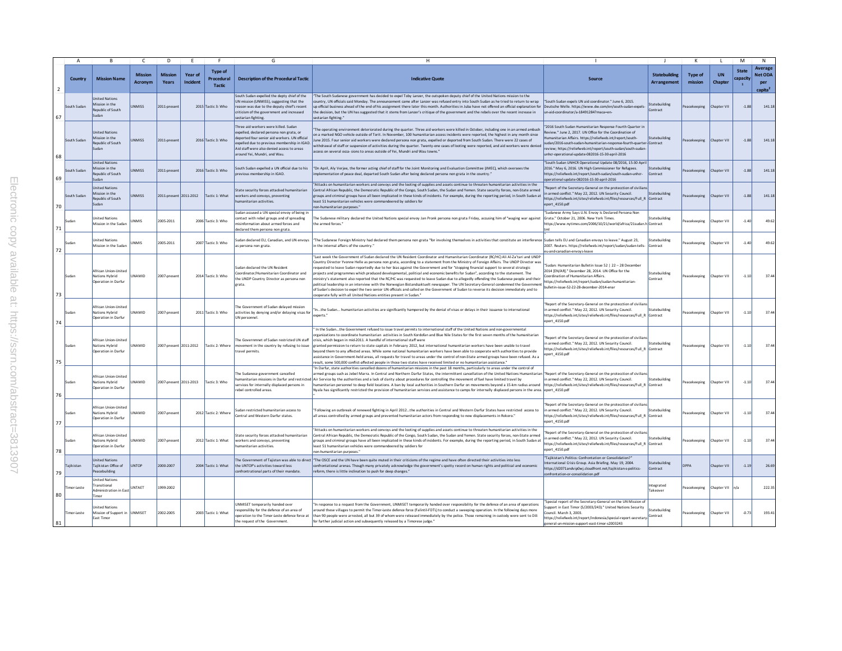|                | $\overline{A}$ | R                                                                            | $\mathsf{C}$              | D.                             |                     |                                               | G                                                                                                                                                                                                                                                            | H                                                                                                                                                                                                                                                                                                                                                                                                                                                                                                                                                                                                                                                                                                                                                                                                                                                                                                                                                                                                                                                                  |                                                                                                                                                                                                                                                                                                                                                                               |                                     | к                         |                      | M                                        | N                                                       |
|----------------|----------------|------------------------------------------------------------------------------|---------------------------|--------------------------------|---------------------|-----------------------------------------------|--------------------------------------------------------------------------------------------------------------------------------------------------------------------------------------------------------------------------------------------------------------|--------------------------------------------------------------------------------------------------------------------------------------------------------------------------------------------------------------------------------------------------------------------------------------------------------------------------------------------------------------------------------------------------------------------------------------------------------------------------------------------------------------------------------------------------------------------------------------------------------------------------------------------------------------------------------------------------------------------------------------------------------------------------------------------------------------------------------------------------------------------------------------------------------------------------------------------------------------------------------------------------------------------------------------------------------------------|-------------------------------------------------------------------------------------------------------------------------------------------------------------------------------------------------------------------------------------------------------------------------------------------------------------------------------------------------------------------------------|-------------------------------------|---------------------------|----------------------|------------------------------------------|---------------------------------------------------------|
| $\overline{2}$ | Country        | <b>Mission Name</b>                                                          | <b>Mission</b><br>Acronym | <b>Mission</b><br><b>Years</b> | Year of<br>Incident | <b>Type of</b><br>Procedural<br><b>Tactic</b> | <b>Description of the Procedural Tactic</b>                                                                                                                                                                                                                  | <b>Indicative Quote</b>                                                                                                                                                                                                                                                                                                                                                                                                                                                                                                                                                                                                                                                                                                                                                                                                                                                                                                                                                                                                                                            | <b>Source</b>                                                                                                                                                                                                                                                                                                                                                                 | <b>Statebuilding</b><br>Arrangement | <b>Type of</b><br>mission | <b>UN</b><br>Chapter | <b>State</b><br>capacity<br>$\mathbf{1}$ | Average<br><b>Net ODA</b><br>per<br>capita <sup>2</sup> |
| 67             | South Sudan    | <b>Inited Nations</b><br>dission in the<br><b>Republic of South</b><br>Sudan | <b>PPIMMI</b>             | 2011-oresen                    |                     | 2015 Tactic 3: Who                            | South Sudan expelled the depty chief of the<br>UN mission (UNMISS), suggesting that the<br>reason was due to the deputy chief's recent<br>criticism of the government and increased<br>sectarian fighting.                                                   | "The South Sudanese government has decided to expel Toby Lanzer, the outspoken deputy chief of the United Nations mission to the<br>untry, UN officials said Monday. The announcement came after Lanzer was refused entry into South Sudan as he tried to return to wrap<br>up official business ahead of the end of his assignment there later this month. Authorities in Juba have not offered an official explanation for Deutsche Welle, https://www.dw.com/en/south-sudan-expels-<br>the decision, but the UN has suggested that it stems from Lanzer's critique of the government and the rebels over the recent increase in<br>sectarian fighting."                                                                                                                                                                                                                                                                                                                                                                                                         | "South Sudan expels UN aid coordinator." June 6, 2015.<br>un-aid-coordinator/a-18491284?maca=en-                                                                                                                                                                                                                                                                              | Statebuilding<br>Contract           | Peacekeeping              | Chanter VII          | $-1.88$                                  | 141.1                                                   |
| 68             | South Sudan    | <b>Inited Nations</b><br>Aission in the<br><b>Jenublic of South</b><br>Sudan | <b>INMISS</b>             | 2011-present                   |                     | 2016 Tactic 3: Who                            | Three aid workers were killed. Sudan<br>woelled, declared persona non grata, or<br>deported four senior aid workers. UN official<br>coelled due to previous membership in IGAD.<br>Aid staff were also denied access to areas<br>round Yei, Mundri, and Wau. | The operating environment deteriorated during the quarter. Three aid workers were killed in October, including one in an armed ambush<br>on a marked NGO vehicle outside of Torit. In November, 100 humanitarian access incidents were reported, the highest in any month since<br>June 2015. Four senior aid workers were declared persona non grata, expelled or deported from South Sudan. There were 22 cases of<br>withdrawal of staff or suspension of activities during the quarter. Twenty-one cases of looting were reported, and aid workers were denied<br>access on several occa- sions to areas outside of Yei, Mundri and Wau towns."                                                                                                                                                                                                                                                                                                                                                                                                                | "2016 South Sudan Humanitarian Response Fourth Quarter in<br>Review " June 2, 2017, UN Office for the Coordination of<br>Jumanitarian Affairs, https://reliefweb.int/report/south-<br>sudan/2016-south-sudan-humanitarian-response-fourth-quarter-Contract<br>review: https://reliefweb.int/report/south-sudan/south-sudan<br>nhcr-operational-update-082016-15-30-april-2016 | Statebuilding                       | Peacekeeping              | Chapter VII          | $-1.88$                                  | 141.1                                                   |
| 69             | outh Sudan     | <b>Inited Nations</b><br>lission in the<br>tepublic of South<br>judan        | <b>NMISS</b>              | 2011-presen                    |                     | 2016 Tactic 3: Who                            | South Sudan expelled a UN official due to his<br>revious membership in IGAD                                                                                                                                                                                  | "On April, Aly Veriee, the former acting chief of staff for the Joint Monitoring and Evaluation Committee (JMEC), which oversees the<br>".mplementation of peace deal, departed South Sudan after being declared persona non grata in the country.                                                                                                                                                                                                                                                                                                                                                                                                                                                                                                                                                                                                                                                                                                                                                                                                                 | "South Sudan UNHCR Operational Update 08/2016, 15-30 Apr<br>2016." May 6, 2016. UN High Commissioner for Refugees.<br>https://reliefweb.int/report/south-sudan/south-sudan-unhg-<br>perational-update-082016-15-30-april-2016                                                                                                                                                 | Statebuilding<br>Contract           | eacekeeping               | hapter VI            | $-1.88$                                  | 141.1                                                   |
| 70             | South Sudan    | nited Nations<br>Mission in the<br>epublic of South<br>sudan                 | <b>INMISS</b>             | 2011-present                   | 2011-2012           | Factic 1: What                                | State security forces attacked humanitarian<br>workers and convoys, preventing<br>umanitarian activities.                                                                                                                                                    | "Attacks on humanitarian workers and convoys and the looting of supplies and assets continue to threaten humanitarian activities in the<br>Central African Republic, the Democratic Republic of the Congo, South Sudan, the Sudan and Yemen, State security forces, non-State armed<br>groups and criminal groups have all been implicated in these kinds of incidents. For example, during the reporting period, in South Sudan at<br>least 51 humanitarian vehicles were commandeered by soldiers for<br>non-humanitarian purposes."                                                                                                                                                                                                                                                                                                                                                                                                                                                                                                                             | Report of the Secretary-General on the protecction of civilia<br>in armed conflict " May 22, 2012, UN Security Council.<br>https://reliefweb.int/sites/reliefweb.int/files/resources/Full_R Contract<br>eport 4150.pdf                                                                                                                                                        | Statebuilding                       | eacekeeping               | Chapter VI           | $-1.88$                                  | 141.1                                                   |
| 71             | Sudan          | Inited Nations<br>Aission in the Sudar                                       | <b>NMIS</b>               | 2005-2011                      |                     | 2006 Tactic 3: Who                            | udan accused a UN special envoy of being in<br>ontact with rebel groups and of spreading<br>sinformation about armed forces and<br>leclared them persona non grata.                                                                                          | The Sudanese military declared the United Nations special envoy Jan Pronk persona non grata Friday, accusing him of "waging war against<br>the armed forces.                                                                                                                                                                                                                                                                                                                                                                                                                                                                                                                                                                                                                                                                                                                                                                                                                                                                                                       | Sudanese Army Says U.N. Envoy Is Declared Persona Non<br>Grata." October 21, 2006. New York Times.<br>ttps://www.nytimes.com/2006/10/21/world/africa/21sudan.h Contract                                                                                                                                                                                                       | <b>itatebuilding</b>                | eacekeeping               | hapter VII           | $-1.4$                                   | 49.62                                                   |
| 72             | Sudan          | Inited Nations<br>Mission in the Sudar                                       | <b>JNMIS</b>              | 2005-2011                      |                     | 2007 Tactic 3: Who                            | udan declared EU. Canadian, and UN envoys<br>persona non grata                                                                                                                                                                                               | "The Sudanese Foreign Ministry had declared them persona non grata "for involving themselves in activities that constitute an interference<br>in the internal affairs of the country.                                                                                                                                                                                                                                                                                                                                                                                                                                                                                                                                                                                                                                                                                                                                                                                                                                                                              | Sudan tells EU and Canadian envoys to leave " August 23<br>2007. Reuters. https://reliefweb.int/report/sudan/sudan-tells-<br>u-and-canadian-envoys-leave                                                                                                                                                                                                                      | Statebuilding<br>Contract           | eacekeeping               | Chapter VI           | $-1.4$                                   | 49.6                                                    |
| 73             | Sudan          | African Union-United<br>Nations Hybrid<br>Operation in Darfur                | <b>UNAMID</b>             | 2007-oresent                   |                     | 2014 Tactic 3: Who                            | udan declared the UN Resident<br>Coordinator/Humanitarian Coordinator and<br>the UNDP Country Director as persona non<br>grata.                                                                                                                              | "Last week the Government of Sudan declared the UN Resident Coordinator and Humanitarian Coordinator (RC/HC) Ali Al-Za'tari and UNDP<br>Country Director Yyonne Helle as persona non grata, according to a statement from the Ministry of Foreign Affairs. The UNDP Director was<br>equested to leave Sudan reportedly due to her bias against the Government and for "stopping financial support to several strategic<br>orolects and programmes which produced developmental, political and economic benefits for Sudan", according to the statement. The<br>ministry's statement also reported that the RC/HC was requested to leave Sudan due to allegedly offending the Sudanese people and their<br>political leadership in an interview with the Norwegian Bistandsaktuelt newspaper. The UN Secretary-General condemned the Governmen'<br>of Sudan's decision to expel the two senior UN officials and called on the Government of Sudan to reverse its decision immediately and to<br>cooperate fully with all United Nations entities present in Sudan.' | "Sudan: Humanitarian Bulletin Issue 52   22 - 28 December<br>2014 [EN/ARL" December 28, 2014, UN Office for the<br>Coordination of Humanitarian Affairs.<br>https://reliefweb.int/report/sudan/sudan-humanitarian-<br>bulletin-issue-52-22-28-december-2014-enar                                                                                                              | Statebuilding<br>Contract           | Peacekeeping              | Chapter VII          | $-1.10$                                  | 37.44                                                   |
| 74             | Sudan          | African Union-United<br>Vations Hybrid<br>Operation in Darfur                | <b>JNAMID</b>             | 2007-present                   |                     | 2011 Tactic 3: Who                            | he Government of Sudan delaved mission<br>activities by denying and/or delaying visas for<br>UN personnel.                                                                                                                                                   | "Inthe Sudan humanitarian activities are significantly hampered by the denial of visas or delays in their issuance to international<br>experts <sup>*</sup>                                                                                                                                                                                                                                                                                                                                                                                                                                                                                                                                                                                                                                                                                                                                                                                                                                                                                                        | Report of the Secretary-General on the protecction of civilian<br>n armed conflict." May 22, 2012. UN Security Council.<br>https://reliefweb.int/sites/reliefweb.int/files/resources/Full R Contract<br>eport 4150.pdf                                                                                                                                                        | Statebuilding                       | eacekeeping               | Chapter VII          | $-1.10$                                  | 37.44                                                   |
| 75             | Sudan          | African Union-United<br>Nations Hybrid<br>Operation in Darfur                | <b>UNAMID</b>             | 2007-present 2011-2012         |                     | Tactic 2: Where                               | he Governmnet of Sudan restricted UN staf<br>movement in the country by refusing to issue<br>travel permits.                                                                                                                                                 | In the Sudanthe Government refused to issue travel permits to international staff of the United Nations and non-governmental<br>organizations to coordinate humanitarian activities in South Kordofan and Blue Nile States for the first seven months of the humanitarian<br>crisis, which began in mid-2011. A handful of international staff were<br>eranted permission to return to state capitals in February 2012, but international humanitarian workers have been unable to travel<br>beyond them to any affected areas. While some national humanitarian workers have been able to cooperate with authorities to provide<br>assistance in Government-held areas, all requests for travel to areas under the control of non-State armed groups have been refused. As a<br>esult, some 500,000 conflict-affected people in those two states have received limited or no humanitarian assistance.                                                                                                                                                             | Report of the Secretary-General on the protecction of civilian<br>armed conflict." May 22, 2012, UN Security Council.<br>nttps://reliefweb.int/sites/reliefweb.int/files/resources/Full_R_Contract<br>port 4150.pdf                                                                                                                                                           | <b>itatebuilding</b>                | Peacekeeping              | Chapter VI           | $-1.10$                                  | 37.44                                                   |
| 76             | Sudan          | African Union-United<br>Nations Hybrid<br>Operation in Darfur                | <b>JNAMID</b>             | 2007-present 2011-2013         |                     | Tactic 3: Who                                 | The Sudanese government cancelled<br>ervices for internally displaced persons in<br>ebel controlled areas                                                                                                                                                    | In Darfur, state authorities cancelled dozens of humanitarian missions in the past 18 months, particularly to areas under the control of<br>armed groups such as Jebel Marra, In Central and Northern Darfur States, the Intermittent cancellation of the United Nations Humanitarian<br>umanitarian missions in Darfur and restricted Air Service by the authorities and a lack of darity about procedures for controlling the movement of fuel have limited travel by<br>umanitarian personnel to deep field locations. A ban by local authorities in Southern Darfur on movements beyond a 15-km radius around<br>Nyala has significantly restricted the provision of humanitarian services and assistance to camps for internally displaced persons in the area.                                                                                                                                                                                                                                                                                               | "Report of the Secretary-General on the protecction of civilian<br>n armed conflict." May 22, 2012. UN Security Council.<br>https://reliefweb.int/sites/reliefweb.int/files/resources/Full_R_Contract<br>eport 4150.pdf                                                                                                                                                       | Statebuilding                       | eacekeeping               | Chapter VI           | $-1.10$                                  | 37.4                                                    |
| 77             | Sudan          | African Union-United<br>Vations Hybrid<br>Operation in Darfur                | UNAMID                    | 2007-present                   |                     | 2012 Tactic 2: Where                          | udan restricted humanitarian access to<br>Central and Western Darfur states.                                                                                                                                                                                 | "Following an outbreak of renewed fighting in April 2012the authorities in Central and Western Darfur States have restricted access to<br>all areas controlled by armed groups and prevented humanitarian actors from responding to new displacements in Rokoro.'                                                                                                                                                                                                                                                                                                                                                                                                                                                                                                                                                                                                                                                                                                                                                                                                  | Report of the Secretary-General on the protecction of civiliar<br>n armed conflict." May 22, 2012. UN Security Council.<br>https://reliefweb.int/sites/reliefweb.int/files/resources/Full_R Contract<br>eport 4150.pdf                                                                                                                                                        | <b>Statebuilding</b>                | eacekeeping               | Chapter VI           | $-1.10$                                  | 37.4                                                    |
| 78             | Sudan          | African Union-United<br>Vations Hybrid<br>Operation in Darfur                | UNAMID                    | 2007-presen                    |                     | 2012 Tactic 1: What                           | itate security forces attacked humanitarian<br>workers and convoys, preventing<br>umanitarian artivities.                                                                                                                                                    | 'Attacks on humanitarian workers and convoys and the looting of supplies and assets continue to threaten humanitarian activities in the<br>Central African Republic, the Democratic Republic of the Congo, South Sudan, the Sudan and Yemen, State security forces, non-State armed<br>groups and criminal groups have all been implicated in these kinds of incidents. For example, during the reporting period, in South Sudan at<br>least 51 humanitarian vehides were commandeered by soldiers for<br>non-humanitarian purposes."                                                                                                                                                                                                                                                                                                                                                                                                                                                                                                                              | leport of the Secretary-General on the protecction of civiliar<br>in armed conflict." May 22, 2012, UN Security Council,<br>https://reliefweb.int/sites/reliefweb.int/files/resources/Full R Contract<br>nort 4150 ndf                                                                                                                                                        | statebuilding                       | eacekeeping               | Chapter VI           | $-1.10$                                  | 37.44                                                   |
| 79             | Tajikistan     | <b>Inited Nations</b><br>ajikistan Office of<br>eacebuilding                 | <b>JNTOP</b>              | 2000-2007                      |                     | 2004 Tactic 1: What                           | the UNTOP's activities toward less<br>confrontrational parts of their mandate.                                                                                                                                                                               | he Government of Tailstan was able to direct <sup>le</sup> The OSCE and the UN have been quite muted in their criticisms of the regime and have often directed their activities into less<br>confrontational arenas. Though many privately acknowledge the government's spotty record on human rights and political and economic<br>reform, there is little inclination to push for deep changes."                                                                                                                                                                                                                                                                                                                                                                                                                                                                                                                                                                                                                                                                 | "Tajikistan's Politics: Confrontation or Consolidation?"<br>nternational Crisis Group, Asia Briefing, May 19, 2004.<br>https://d2071andvip0wj.cloudfront.net/tajikistan-s-politics-<br>onfrontation-or-consolidation.pdf                                                                                                                                                      | Statebuilding<br>Contract           | <b>DPPA</b>               | Chapter VI           | $-1.19$                                  | 26.69                                                   |
| 80             | imor-Leste     | <b>Inited Nations</b><br>ransitional<br>dministration in East<br>'imor       | UNTAET                    | 1999-2002                      |                     |                                               |                                                                                                                                                                                                                                                              |                                                                                                                                                                                                                                                                                                                                                                                                                                                                                                                                                                                                                                                                                                                                                                                                                                                                                                                                                                                                                                                                    |                                                                                                                                                                                                                                                                                                                                                                               | ntegrated<br>'akeover               | eacekeeping               | Chapter VII          | n/a                                      | 222.35                                                  |
| 81             | Timor-Leste    | <b>Inited Nations</b><br>Mission of Support in UNMISET<br>East Timor         |                           | 2002-2005                      |                     | 2003 Tactic 1: What                           | <b>INMISET temporarily handed over</b><br>responsiliby for the defence of an area of<br>operation to the Timor-Leste defence force at<br>the request of the Government.                                                                                      | In response to a request from the Government, UNMISET temporarily handed over responsibility for the defence of an area of operations<br>around these villages to permit the Timor-Leste defence force (Falintil-FDTL) to conduct a sweeping operation. In the following days more<br>than 90 people were arrested, all but 39 of whom were released immediately by the police. Those remaining in custody were sent to Dili<br>for further judicial action and subsequently released by a Timorese judge."                                                                                                                                                                                                                                                                                                                                                                                                                                                                                                                                                        | Special report of the Secretary-General on the UN Mission of<br>upport in East Timor (S/2003/243)." United Nations Security<br>oundl. March 3, 2003.<br>https://reliefweb.int/report/indonesia/special-report-secretary<br>general-un-mission-support-east-timor-s2003243                                                                                                     | Statebuilding<br>Contract           | Peacekeeping              | Chapter VII          | $-0.73$                                  | 193.41                                                  |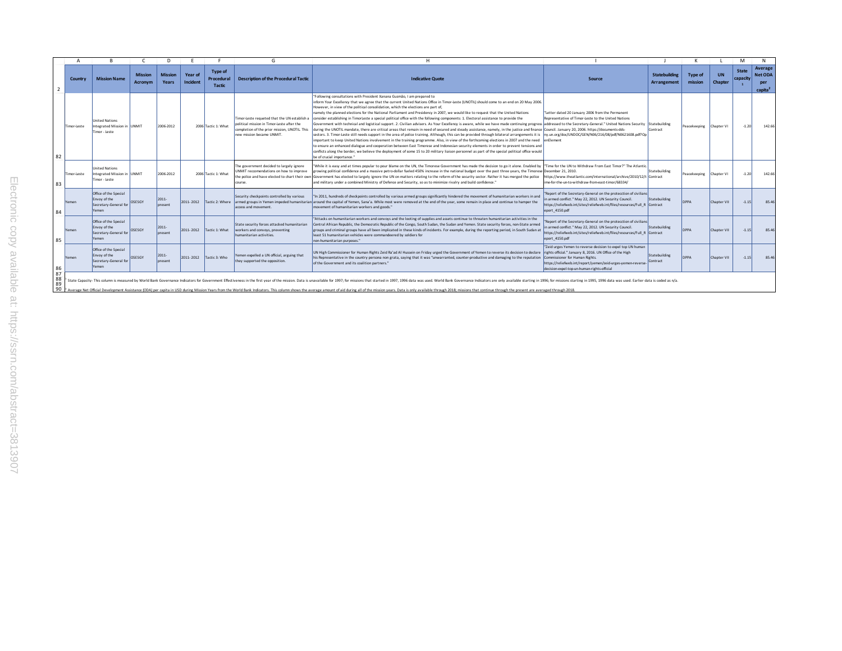|                      |                                                                                                                                                                                                                                                                                                                                                                                                                                                                  |                                                                         |                           |                         |                     |                                        | G                                                                                                                                                                       |                                                                                                                                                                                                                                                                                                                                                                                                                                                                                                                                                                                                                                                                                                                                                                                                                                                                                                                                                                                                                                                                                                                                                                                                                                                                                                                                                                                                                                                                                                                                                                           |                                                                                                                                                                                                                                                                         |                                            |                           |                      | M                        |                                                         |
|----------------------|------------------------------------------------------------------------------------------------------------------------------------------------------------------------------------------------------------------------------------------------------------------------------------------------------------------------------------------------------------------------------------------------------------------------------------------------------------------|-------------------------------------------------------------------------|---------------------------|-------------------------|---------------------|----------------------------------------|-------------------------------------------------------------------------------------------------------------------------------------------------------------------------|---------------------------------------------------------------------------------------------------------------------------------------------------------------------------------------------------------------------------------------------------------------------------------------------------------------------------------------------------------------------------------------------------------------------------------------------------------------------------------------------------------------------------------------------------------------------------------------------------------------------------------------------------------------------------------------------------------------------------------------------------------------------------------------------------------------------------------------------------------------------------------------------------------------------------------------------------------------------------------------------------------------------------------------------------------------------------------------------------------------------------------------------------------------------------------------------------------------------------------------------------------------------------------------------------------------------------------------------------------------------------------------------------------------------------------------------------------------------------------------------------------------------------------------------------------------------------|-------------------------------------------------------------------------------------------------------------------------------------------------------------------------------------------------------------------------------------------------------------------------|--------------------------------------------|---------------------------|----------------------|--------------------------|---------------------------------------------------------|
| $\overline{2}$       | Country                                                                                                                                                                                                                                                                                                                                                                                                                                                          | <b>Mission Name</b>                                                     | <b>Mission</b><br>Acronym | <b>Mission</b><br>Years | Year of<br>Incident | Type of<br>Procedural<br><b>Tactic</b> | <b>Description of the Procedural Tactic</b>                                                                                                                             | <b>Indicative Quote</b>                                                                                                                                                                                                                                                                                                                                                                                                                                                                                                                                                                                                                                                                                                                                                                                                                                                                                                                                                                                                                                                                                                                                                                                                                                                                                                                                                                                                                                                                                                                                                   | Source                                                                                                                                                                                                                                                                  | <b>Statebuilding</b><br><b>Arrangement</b> | <b>Type of</b><br>mission | <b>UN</b><br>Chapter | <b>State</b><br>capacity | Average<br><b>Net ODA</b><br>per<br>capita <sup>2</sup> |
| 82                   | Timor-Leste                                                                                                                                                                                                                                                                                                                                                                                                                                                      | <b>United Nations</b><br>Integrated Mission in JUNMIT<br>Timor - Leste  |                           | 2006-2012               |                     | 2006 Tactic 1: What                    | 'imor-Leste requeted that the UN establish a<br>political mission in Timor-Leste after the<br>completion of the prior mission. UNOTIL This<br>new mission became UNMIT. | Following consultations with President Xanana Gusmão, I am prepared to<br>inform Your Excellency that we agree that the current United Nations Office in Timor-Leste (UNOTIL) should come to an end on 20 May 2006.<br>However, in view of the political consolidation, which the elections are part of,<br>namely the planned elections for the National Parliament and Presidency in 2007, we would like to request that the United Nations<br>consider establishing in TimorLeste a special political office with the following components: 1. Electoral assistance to provide the<br>Government with technical and logistical support. 2. Civilian advisers. As Your Excellency is aware, while we have made continuing progres<br>during the UNOTIL mandate, there are critical areas that remain in need of secured and steady assistance, namely, in the justice and finance Council. January 20, 2006. https://documents-dds-<br>sectors. 3. Timor-Leste still needs support in the area of police training. Although, this can be provided through bilateral arrangements it is<br>important to keep United Nations involvement in the training programme. Also, in view of the forthcoming elections in 2007 and the need lenElement<br>to ensure an enhanced dialogue and cooperation between East Timorese and Indonesian security elements in order to prevent tensions and<br>conflicts along the border, we believe the deployment of some 15 to 20 military liaison personnel as part of the special political office would<br>be of crucial importance." | "Letter dated 20 January 2006 from the Permanent<br>Representative of Timor-Leste to the United Nations<br>addressed to the Secretary-General." United Nations Security<br>Inv.un.org/doc/UNDOC/GEN/N06/216/08/pdf/N0621608.pdf?Op                                      | Statebuilding<br>Contract                  | Peacekeeping              | Chapter VI           | $-1.20$                  | 142.66                                                  |
| 83                   | Timor-Leste                                                                                                                                                                                                                                                                                                                                                                                                                                                      | <b>United Nations</b><br>Integrated Mission in UNMIT<br>Timor - Leste   |                           | 2006-2012               |                     | 2006 Tactic 1: What                    | he government decided to largely ignore<br>JNMIT reccomendations on how to improve<br>the police and have elected to chart their owr<br>course.                         | "While it is easy and at times popular to pour blame on the UN, the Timorese Government has made the decision to go it alone. Enabled by "Time for the UN to Withdraw From East Timor?" The Atlantic<br>growing political confidence and a massive petro-dollar fueled 450% increase in the national budget over the past three years, the Timorese December 21, 2010.<br>Government has elected to largely ignore the UN on matters relating to the reform of the security sector. Rather it has merged the police<br>and military under a combined Ministry of Defence and Security, so as to minimize rivalry and build confidence."                                                                                                                                                                                                                                                                                                                                                                                                                                                                                                                                                                                                                                                                                                                                                                                                                                                                                                                                   | https://www.theatlantic.com/international/archive/2010/12/t Contract<br>ime-for-the-un-to-withdraw-from-east-timor/68334/                                                                                                                                               | Statebuilding                              | Peacekeeping              | Chapter VI           | $-1.20$                  | 142.66                                                  |
| 84                   | Yemen                                                                                                                                                                                                                                                                                                                                                                                                                                                            | Office of the Special<br>Envoy of the<br>Secretary-General for<br>Yemen | <b>OSESGY</b>             | 2011-<br>present        | 2011-2012           | Tactic 2: Where                        | Security checkpoints controlled by various<br>access and movement.                                                                                                      | "In 2011, hundreds of checkpoints controlled by various armed groups significantly hindered the movement of humanitarian workers in and<br>armed groups in Yemen impeded humanitarian around the capital of Yemen, Sana'a. While most were removed at the end of the year, some remain in place and continue to hamper the<br>movement of humanitarian workers and goods."                                                                                                                                                                                                                                                                                                                                                                                                                                                                                                                                                                                                                                                                                                                                                                                                                                                                                                                                                                                                                                                                                                                                                                                                | "Report of the Secretary-General on the protecction of civilians<br>in armed conflict." May 22, 2012. UN Security Council.<br>https://reliefweb.int/sites/reliefweb.int/files/resources/Full R Contract<br>eport 4150.pdf                                               | Statebuilding                              | DPPA                      | Chapter VII          | $-1.15$                  | 85.46                                                   |
| 85                   | Yemen                                                                                                                                                                                                                                                                                                                                                                                                                                                            | Office of the Special<br>Envoy of the<br>Secretary-General for<br>Yemen | OSESGY                    | 2011-<br>present        | 2011-2012           | Tactic 1: What                         | State security forces attacked humanitarian<br>workers and convoys, preventing<br>humanitarian activities.                                                              | "Attacks on humanitarian workers and convoys and the looting of supplies and assets continue to threaten humanitarian activities in the<br>Central African Republic, the Democratic Republic of the Congo, South Sudan, the Sudan and Yemen. State security forces, non-State armed<br>groups and criminal groups have all been implicated in these kinds of incidents. For example, during the reporting period, in South Sudan a<br>least 51 humanitarian vehicles were commandeered by soldiers for<br>non-humanitarian purposes."                                                                                                                                                                                                                                                                                                                                                                                                                                                                                                                                                                                                                                                                                                                                                                                                                                                                                                                                                                                                                                     | "Report of the Secretary-General on the protecction of civilians<br>in armed conflict." May 22, 2012. UN Security Council.<br>https://reliefweb.int/sites/reliefweb.int/files/resources/Full R Contract<br>eport 4150.pdf                                               | Statebuilding                              | DPPA                      | Chapter VII          | $-1.15$                  | 85.46                                                   |
| 86                   | Yemen                                                                                                                                                                                                                                                                                                                                                                                                                                                            | Office of the Special<br>Envoy of the<br>Secretary-General for<br>Yemen | OSESGY                    | 2011-<br>present        | 2011-2012           | Tactic 3: Who                          | Yemen expelled a UN official, arguing that<br>they supported the opposition.                                                                                            | UN High Commissioner for Human Rights Zeid Ra'ad Al Hussein on Friday urged the Government of Yemen to reverse its decision to declare<br>his Representative in the country persona non grata, saying that it was "unwarranted, counter-productive and damaging to the reputation<br>of the Government and its coalition partners."                                                                                                                                                                                                                                                                                                                                                                                                                                                                                                                                                                                                                                                                                                                                                                                                                                                                                                                                                                                                                                                                                                                                                                                                                                       | "Zeid urges Yemen to reverse decision to expel top UN human<br>rights official." January 8, 2016, UN Office of the High<br>Commissioner for Human Rights.<br>https://reliefweb.int/report/yemen/zeid-urges-yemen-reverse<br>decision-expel-top-un-human-rights-official | Statebuilding<br>Contract                  | <b>DPPA</b>               | Chapter VII          | $-1.15$                  | 85.46                                                   |
| 87<br>88<br>89<br>90 | State Capacity-This column is measured by World Bank Governance Indicators for Government Effectiveness in the first year of the mission. Data is unavailable for 1997: for missions that started in 1997. 1996 data was used.<br>Average Net Official Development Assistance (ODA) per capita in USD during Mission Years from the World Bank Indicators. This column shows the average amount of aid during all of the mission years. Data is only available t |                                                                         |                           |                         |                     |                                        |                                                                                                                                                                         |                                                                                                                                                                                                                                                                                                                                                                                                                                                                                                                                                                                                                                                                                                                                                                                                                                                                                                                                                                                                                                                                                                                                                                                                                                                                                                                                                                                                                                                                                                                                                                           |                                                                                                                                                                                                                                                                         |                                            |                           |                      |                          |                                                         |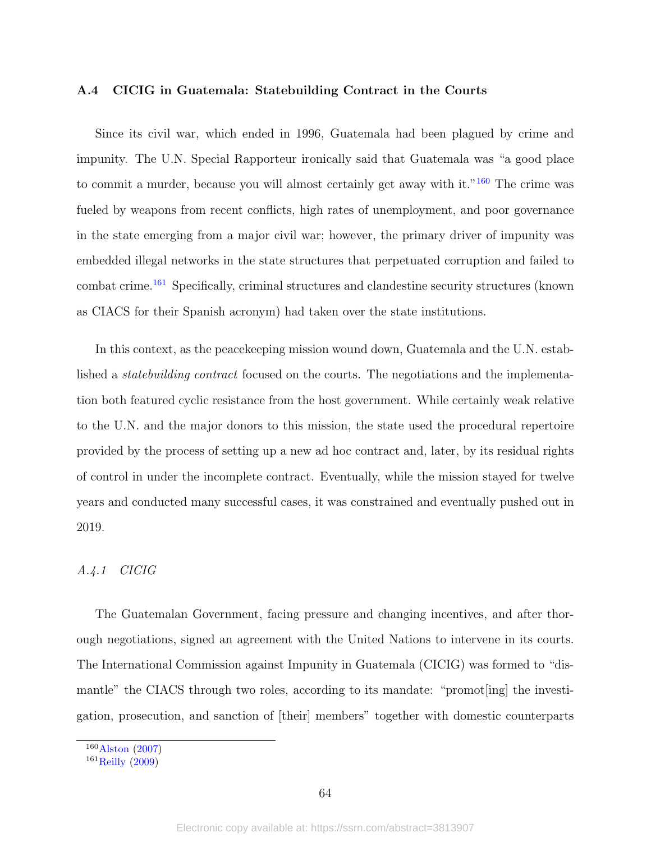#### A.4 CICIG in Guatemala: Statebuilding Contract in the Courts

Since its civil war, which ended in 1996, Guatemala had been plagued by crime and impunity. The U.N. Special Rapporteur ironically said that Guatemala was "a good place to commit a murder, because you will almost certainly get away with it." $160$  The crime was fueled by weapons from recent conflicts, high rates of unemployment, and poor governance in the state emerging from a major civil war; however, the primary driver of impunity was embedded illegal networks in the state structures that perpetuated corruption and failed to combat crime.[161](#page-63-1) Specifically, criminal structures and clandestine security structures (known as CIACS for their Spanish acronym) had taken over the state institutions.

In this context, as the peacekeeping mission wound down, Guatemala and the U.N. established a statebuilding contract focused on the courts. The negotiations and the implementation both featured cyclic resistance from the host government. While certainly weak relative to the U.N. and the major donors to this mission, the state used the procedural repertoire provided by the process of setting up a new ad hoc contract and, later, by its residual rights of control in under the incomplete contract. Eventually, while the mission stayed for twelve years and conducted many successful cases, it was constrained and eventually pushed out in 2019.

#### A.4.1 CICIG

The Guatemalan Government, facing pressure and changing incentives, and after thorough negotiations, signed an agreement with the United Nations to intervene in its courts. The International Commission against Impunity in Guatemala (CICIG) was formed to "dismantle" the CIACS through two roles, according to its mandate: "promot[ing] the investigation, prosecution, and sanction of [their] members" together with domestic counterparts

<span id="page-63-0"></span> $160$ [Alston](#page-39-13) [\(2007\)](#page-39-13)

<span id="page-63-1"></span> $161$  [Reilly](#page-48-11) [\(2009\)](#page-48-11)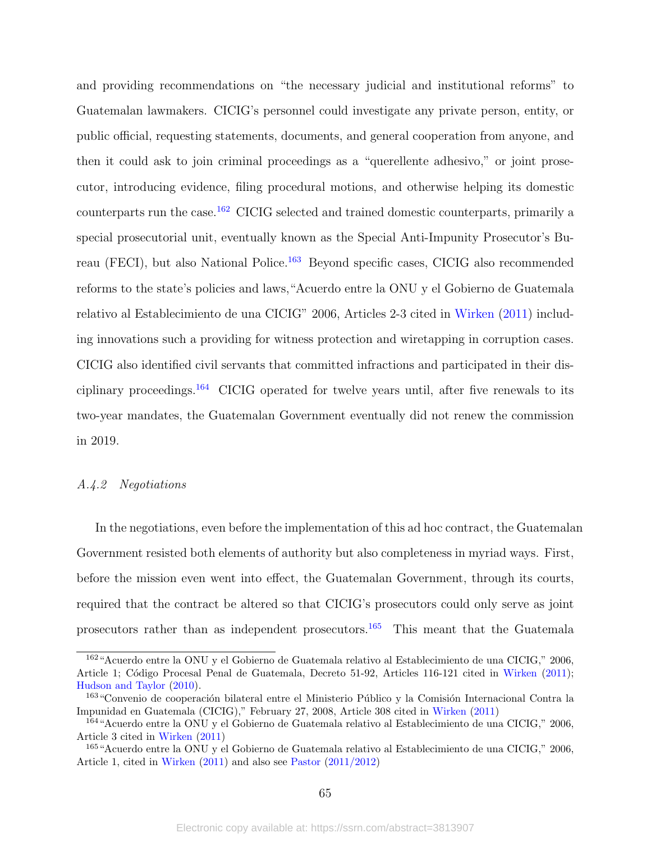and providing recommendations on "the necessary judicial and institutional reforms" to Guatemalan lawmakers. CICIG's personnel could investigate any private person, entity, or public official, requesting statements, documents, and general cooperation from anyone, and then it could ask to join criminal proceedings as a "querellente adhesivo," or joint prosecutor, introducing evidence, filing procedural motions, and otherwise helping its domestic counterparts run the case.[162](#page-64-0) CICIG selected and trained domestic counterparts, primarily a special prosecutorial unit, eventually known as the Special Anti-Impunity Prosecutor's Bu-reau (FECI), but also National Police.<sup>[163](#page-64-1)</sup> Beyond specific cases, CICIG also recommended reforms to the state's policies and laws,"Acuerdo entre la ONU y el Gobierno de Guatemala relativo al Establecimiento de una CICIG" 2006, Articles 2-3 cited in [Wirken](#page-51-8) [\(2011\)](#page-51-8) including innovations such a providing for witness protection and wiretapping in corruption cases. CICIG also identified civil servants that committed infractions and participated in their disciplinary proceedings.[164](#page-64-2) CICIG operated for twelve years until, after five renewals to its two-year mandates, the Guatemalan Government eventually did not renew the commission in 2019.

#### A.4.2 Negotiations

In the negotiations, even before the implementation of this ad hoc contract, the Guatemalan Government resisted both elements of authority but also completeness in myriad ways. First, before the mission even went into effect, the Guatemalan Government, through its courts, required that the contract be altered so that CICIG's prosecutors could only serve as joint prosecutors rather than as independent prosecutors.[165](#page-64-3) This meant that the Guatemala

<span id="page-64-0"></span><sup>162</sup>"Acuerdo entre la ONU y el Gobierno de Guatemala relativo al Establecimiento de una CICIG," 2006, Article 1; Código Procesal Penal de Guatemala, Decreto 51-92, Articles 116-121 cited in [Wirken](#page-51-8) [\(2011\)](#page-51-8); [Hudson and Taylor](#page-44-13) [\(2010\)](#page-44-13).

<span id="page-64-1"></span><sup>&</sup>lt;sup>163</sup> "Convenio de cooperación bilateral entre el Ministerio Público y la Comisión Internacional Contra la Impunidad en Guatemala (CICIG)," February 27, 2008, Article 308 cited in [Wirken](#page-51-8) [\(2011\)](#page-51-8)

<span id="page-64-2"></span><sup>164</sup>"Acuerdo entre la ONU y el Gobierno de Guatemala relativo al Establecimiento de una CICIG," 2006, Article 3 cited in [Wirken](#page-51-8) [\(2011\)](#page-51-8)

<span id="page-64-3"></span><sup>165</sup>"Acuerdo entre la ONU y el Gobierno de Guatemala relativo al Establecimiento de una CICIG," 2006, Article 1, cited in [Wirken](#page-51-8) [\(2011\)](#page-51-8) and also see [Pastor](#page-48-12) [\(2011/2012\)](#page-48-12)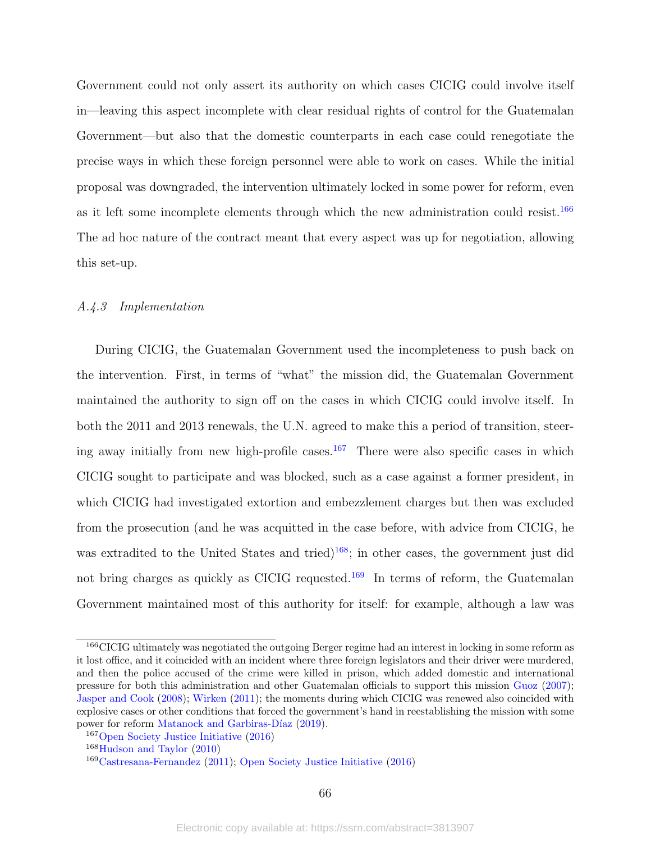Government could not only assert its authority on which cases CICIG could involve itself in—leaving this aspect incomplete with clear residual rights of control for the Guatemalan Government—but also that the domestic counterparts in each case could renegotiate the precise ways in which these foreign personnel were able to work on cases. While the initial proposal was downgraded, the intervention ultimately locked in some power for reform, even as it left some incomplete elements through which the new administration could resist.<sup>[166](#page-65-0)</sup> The ad hoc nature of the contract meant that every aspect was up for negotiation, allowing this set-up.

# A.4.3 Implementation

During CICIG, the Guatemalan Government used the incompleteness to push back on the intervention. First, in terms of "what" the mission did, the Guatemalan Government maintained the authority to sign off on the cases in which CICIG could involve itself. In both the 2011 and 2013 renewals, the U.N. agreed to make this a period of transition, steer-ing away initially from new high-profile cases.<sup>[167](#page-65-1)</sup> There were also specific cases in which CICIG sought to participate and was blocked, such as a case against a former president, in which CICIG had investigated extortion and embezzlement charges but then was excluded from the prosecution (and he was acquitted in the case before, with advice from CICIG, he was extradited to the United States and tried) $168$ ; in other cases, the government just did not bring charges as quickly as CICIG requested.<sup>[169](#page-65-3)</sup> In terms of reform, the Guatemalan Government maintained most of this authority for itself: for example, although a law was

<span id="page-65-0"></span><sup>&</sup>lt;sup>166</sup>CICIG ultimately was negotiated the outgoing Berger regime had an interest in locking in some reform as it lost office, and it coincided with an incident where three foreign legislators and their driver were murdered, and then the police accused of the crime were killed in prison, which added domestic and international pressure for both this administration and other Guatemalan officials to support this mission [Guoz](#page-43-13) [\(2007\)](#page-43-13); [Jasper and Cook](#page-45-13) [\(2008\)](#page-45-13); [Wirken](#page-51-8) [\(2011\)](#page-51-8); the moments during which CICIG was renewed also coincided with explosive cases or other conditions that forced the government's hand in reestablishing the mission with some power for reform Matanock and Garbiras-Díaz [\(2019\)](#page-46-12).

<span id="page-65-1"></span><sup>167</sup>[Open Society Justice Initiative](#page-48-13) [\(2016\)](#page-48-13)

<span id="page-65-2"></span><sup>168</sup>[Hudson and Taylor](#page-44-13) [\(2010\)](#page-44-13)

<span id="page-65-3"></span><sup>169</sup>[Castresana-Fernandez](#page-40-11) [\(2011\)](#page-40-11); [Open Society Justice Initiative](#page-48-13) [\(2016\)](#page-48-13)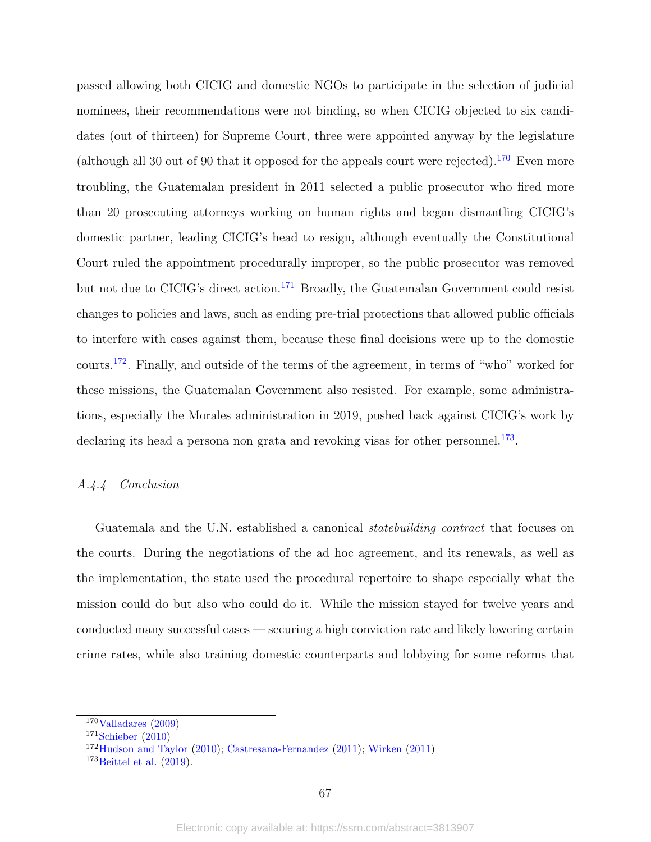passed allowing both CICIG and domestic NGOs to participate in the selection of judicial nominees, their recommendations were not binding, so when CICIG objected to six candidates (out of thirteen) for Supreme Court, three were appointed anyway by the legislature (although all 30 out of 90 that it opposed for the appeals court were rejected).<sup>[170](#page-66-0)</sup> Even more troubling, the Guatemalan president in 2011 selected a public prosecutor who fired more than 20 prosecuting attorneys working on human rights and began dismantling CICIG's domestic partner, leading CICIG's head to resign, although eventually the Constitutional Court ruled the appointment procedurally improper, so the public prosecutor was removed but not due to CICIG's direct action.[171](#page-66-1) Broadly, the Guatemalan Government could resist changes to policies and laws, such as ending pre-trial protections that allowed public officials to interfere with cases against them, because these final decisions were up to the domestic courts.[172](#page-66-2). Finally, and outside of the terms of the agreement, in terms of "who" worked for these missions, the Guatemalan Government also resisted. For example, some administrations, especially the Morales administration in 2019, pushed back against CICIG's work by declaring its head a persona non grata and revoking visas for other personnel.<sup>[173](#page-66-3)</sup>.

#### A.4.4 Conclusion

Guatemala and the U.N. established a canonical *statebuilding contract* that focuses on the courts. During the negotiations of the ad hoc agreement, and its renewals, as well as the implementation, the state used the procedural repertoire to shape especially what the mission could do but also who could do it. While the mission stayed for twelve years and conducted many successful cases — securing a high conviction rate and likely lowering certain crime rates, while also training domestic counterparts and lobbying for some reforms that

<span id="page-66-0"></span> $170$ [Valladares](#page-51-9) [\(2009\)](#page-51-9)

<span id="page-66-1"></span> $171$ [Schieber](#page-49-12) [\(2010\)](#page-49-12)

<span id="page-66-2"></span><sup>172</sup>[Hudson and Taylor](#page-44-13) [\(2010\)](#page-44-13); [Castresana-Fernandez](#page-40-11) [\(2011\)](#page-40-11); [Wirken](#page-51-8) [\(2011\)](#page-51-8)

<span id="page-66-3"></span> $173$ [Beittel et al.](#page-40-12)  $(2019)$ .